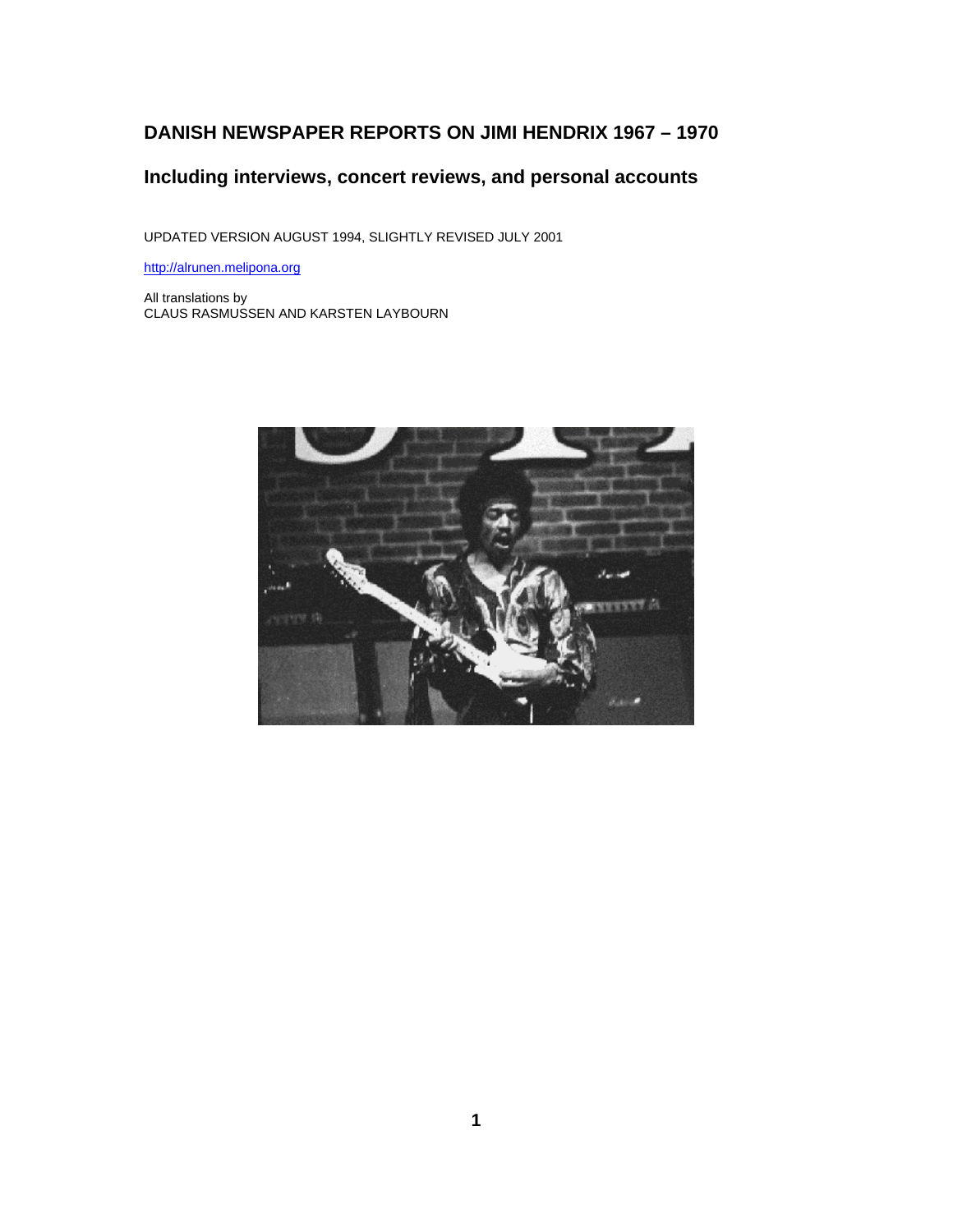## **DANISH NEWSPAPER REPORTS ON JIMI HENDRIX 1967 – 1970**

## **Including interviews, concert reviews, and personal accounts**

UPDATED VERSION AUGUST 1994, SLIGHTLY REVISED JULY 2001

http://alrunen.melipona.org

All translations by CLAUS RASMUSSEN AND KARSTEN LAYBOURN

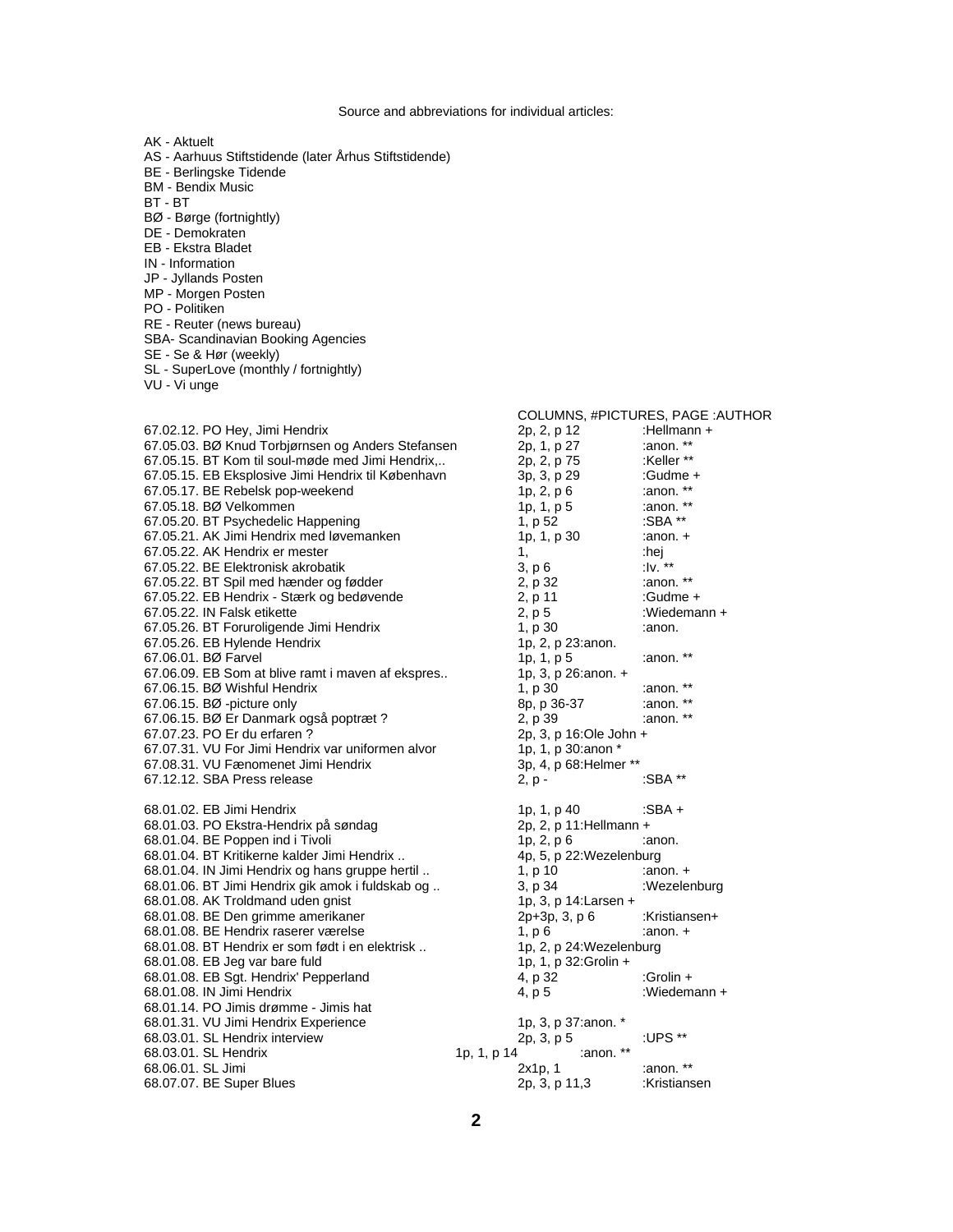Source and abbreviations for individual articles:

AK - Aktuelt

- AS Aarhuus Stiftstidende (later Århus Stiftstidende)
- BE Berlingske Tidende
- BM Bendix Music
- BT BT
- BØ Børge (fortnightly)
- DE Demokraten
- EB Ekstra Bladet
- IN Information
- JP Jyllands Posten
- MP Morgen Posten
- PO Politiken
- 
- RE Reuter (news bureau)
- SBA- Scandinavian Booking Agencies
- SE Se & Hør (weekly)
- SL SuperLove (monthly / fortnightly)
- VU Vi unge

|                                                    |  |                    |                          |           | COLUMNS, #PICTURES, PAGE : AUTHOR |  |
|----------------------------------------------------|--|--------------------|--------------------------|-----------|-----------------------------------|--|
| 67.02.12. PO Hey, Jimi Hendrix                     |  |                    | 2p, 2, p 12              |           | :Hellmann +                       |  |
| 67.05.03. BØ Knud Torbjørnsen og Anders Stefansen  |  |                    | 2p, 1, p 27              |           | :anon. **                         |  |
| 67.05.15. BT Kom til soul-møde med Jimi Hendrix,   |  |                    | 2p, 2, p 75              |           | :Keller **                        |  |
| 67.05.15. EB Eksplosive Jimi Hendrix til København |  |                    | 3p, 3, p 29              |           | :Gudme +                          |  |
| 67.05.17. BE Rebelsk pop-weekend                   |  |                    | 1p, 2, p6                |           | :anon. **                         |  |
| 67.05.18. BØ Velkommen                             |  |                    | 1p, 1, p 5               |           | :anon. **                         |  |
| 67.05.20. BT Psychedelic Happening                 |  |                    | 1, p 52                  |           | :SBA **                           |  |
| 67.05.21, AK Jimi Hendrix med løvemanken           |  |                    | 1p, 1, p 30              |           | $:$ anon. $+$                     |  |
| 67.05.22. AK Hendrix er mester                     |  |                    |                          |           |                                   |  |
| 67.05.22. BE Elektronisk akrobatik                 |  | 1,                 |                          |           | ∶hej<br>: $iv.$ **                |  |
|                                                    |  |                    | 3, p6                    |           |                                   |  |
| 67.05.22. BT Spil med hænder og fødder             |  |                    | 2, p 32                  |           | :anon. **                         |  |
| 67.05.22. EB Hendrix - Stærk og bedøvende          |  |                    | 2, p 11                  |           | :Gudme +                          |  |
| 67.05.22. IN Falsk etikette                        |  |                    | 2, p 5                   |           | :Wiedemann +                      |  |
| 67.05.26. BT Foruroligende Jimi Hendrix            |  |                    | 1, p 30                  |           | :anon.                            |  |
| 67.05.26. EB Hylende Hendrix                       |  |                    | 1p, 2, p 23:anon.        |           |                                   |  |
| 67.06.01. BØ Farvel                                |  |                    | 1p, 1, p 5               |           | :anon. **                         |  |
| 67.06.09. EB Som at blive ramt i maven af ekspres  |  |                    | 1p, 3, p 26:anon. +      |           |                                   |  |
| 67.06.15. BØ Wishful Hendrix                       |  |                    | 1, p 30                  |           | :anon. **                         |  |
| 67.06.15. BØ -picture only                         |  |                    | 8p, p 36-37              |           | :anon. **                         |  |
| 67.06.15. BØ Er Danmark også poptræt?              |  |                    | 2, p 39                  |           | :anon. **                         |  |
| 67.07.23. PO Er du erfaren ?                       |  |                    | 2p, 3, p 16: Ole John +  |           |                                   |  |
| 67.07.31. VU For Jimi Hendrix var uniformen alvor  |  | 1p, 1, p 30:anon * |                          |           |                                   |  |
| 67.08.31. VU Fænomenet Jimi Hendrix                |  |                    | 3p, 4, p 68: Helmer **   |           |                                   |  |
| 67.12.12. SBA Press release                        |  |                    | 2, p -                   |           | :SBA **                           |  |
| 68.01.02. EB Jimi Hendrix                          |  |                    | 1p, 1, p 40              |           | :SBA +                            |  |
| 68.01.03. PO Ekstra-Hendrix på søndag              |  |                    | 2p, 2, p 11: Hellmann +  |           |                                   |  |
| 68.01.04. BE Poppen ind i Tivoli                   |  |                    | 1p, 2, p6                |           | :anon.                            |  |
| 68.01.04. BT Kritikerne kalder Jimi Hendrix        |  |                    | 4p, 5, p 22: Wezelenburg |           |                                   |  |
| 68.01.04. IN Jimi Hendrix og hans gruppe hertil    |  |                    |                          |           |                                   |  |
|                                                    |  |                    | 1, p 10                  |           | $:$ anon. $+$                     |  |
| 68.01.06. BT Jimi Hendrix gik amok i fuldskab og   |  |                    | 3, p 34                  |           | :Wezelenburg                      |  |
| 68.01.08. AK Troldmand uden gnist                  |  |                    | 1p, 3, p 14: Larsen +    |           |                                   |  |
| 68.01.08. BE Den grimme amerikaner                 |  |                    | $2p+3p, 3, p6$           |           | :Kristiansen+                     |  |
| 68.01.08. BE Hendrix raserer værelse               |  |                    | 1, p6                    |           | $:$ anon. $+$                     |  |
| 68.01.08. BT Hendrix er som født i en elektrisk    |  |                    | 1p, 2, p 24: Wezelenburg |           |                                   |  |
| 68.01.08. EB Jeg var bare fuld                     |  |                    | 1p, 1, p 32: Grolin +    |           |                                   |  |
| 68.01.08. EB Sgt. Hendrix' Pepperland              |  |                    | 4, p 32                  |           | :Grolin +                         |  |
| 68.01.08. IN Jimi Hendrix                          |  |                    | 4, p 5                   |           | :Wiedemann +                      |  |
| 68.01.14. PO Jimis drømme - Jimis hat              |  |                    |                          |           |                                   |  |
| 68.01.31. VU Jimi Hendrix Experience               |  |                    | 1p, 3, p 37: anon. *     |           |                                   |  |
| 68.03.01. SL Hendrix interview                     |  |                    | 2p, 3, p 5               |           | :UPS **                           |  |
| 68.03.01. SL Hendrix                               |  | 1p, 1, p 14        |                          | :anon. ** |                                   |  |
| 68.06.01. SL Jimi                                  |  |                    | 2x1p, 1                  |           | :anon. **                         |  |
| 68.07.07. BE Super Blues                           |  |                    | 2p, 3, p 11,3            |           | :Kristiansen                      |  |
|                                                    |  |                    |                          |           |                                   |  |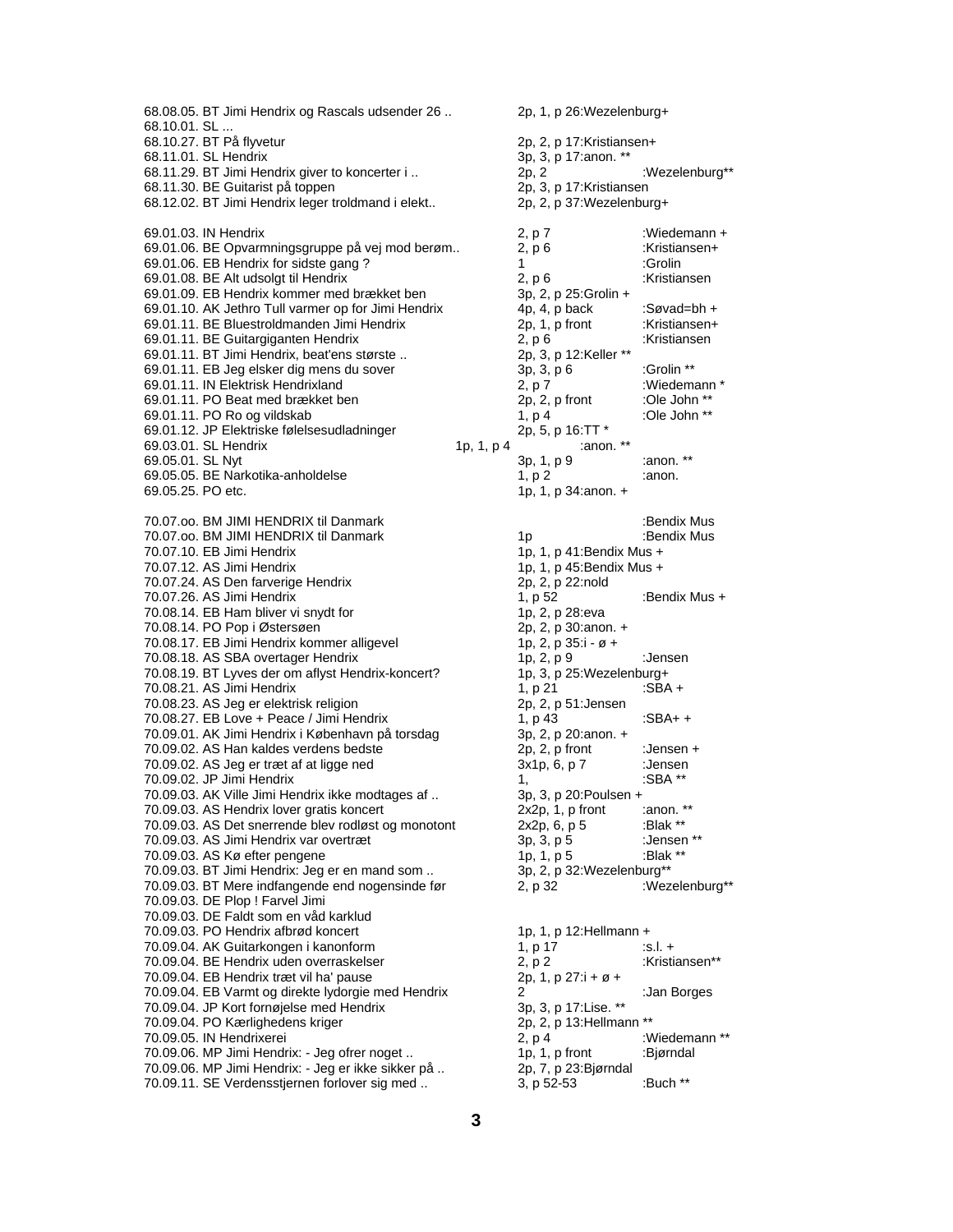68.08.05. BT Jimi Hendrix og Rascals udsender 26 .. 2p, 1, p 26 :Wezelenburg+ 68.10.01. SL ... 68.10.27. BT På flyvetur 2p, 2, p 17 :Kristiansen+ 68.11.01. SL Hendrix 3p, 3, p 17:anon. \*\* 68.11.29. BT Jimi Hendrix giver to koncerter i .. <br>
68.11.30. BE Guitarist på toppen 2p, 3, p 17:Kristiansen 68.11.30. BE Guitarist på toppen 68.12.02. BT Jimi Hendrix leger troldmand i elekt.. 2p, 2, p 37 :Wezelenburg+ 69.01.03. IN Hendrix 2, p 7 :Wiedemann + 69.01.06. BE Opvarmningsgruppe på vej mod berøm.. 2, p 6 :Kristiansen+ 69.01.06. EB Hendrix for sidste gang ? 1 1 :Grolin 69.01.08. BE Alt udsolgt til Hendrix **2, p 6** :Kristiansen 69.01.09. EB Hendrix kommer med brækket ben 3p, 2, p 25 :Grolin + 69.01.10. AK Jethro Tull varmer op for Jimi Hendrix  $4p$ , 4, p back :Søvad=bh + 69.01.11. BE Bluestroldmanden Jimi Hendrix 2p, 1, p front :Kristiansen+ 69.01.11. BE Guitargiganten Hendrix 2, p 6 :Kristiansen<br>69.01.11. BT Jimi Hendrix, beat'ens største .. 2p, 3, p 12:Keller \*\* 69.01.11. BT Jimi Hendrix, beat'ens største .. 69.01.11. EB Jeg elsker dig mens du sover 3p, 3, p 6 :Grolin \*\* 69.01.11. IN Elektrisk Hendrixland 2, p 7 :Wiedemann \* 69.01.11. PO Beat med brækket ben 2p, 2, p front :Ole John \*\*<br>69.01.11. PO Ro og vildskab 3. 1, p 4 :Ole John \*\* 69.01.11. PO Ro og vildskab 1, p 4 1, p 4 5.01.12. JP Elektriske følelsesudladninger 1, p 4 5.01.17 \* 69.01.12. JP Elektriske følelsesudladninger 2p, 5, p 16:TT \* 69.03.01. SL Hendrix  $\frac{2p}{3p}$ . 1, p 4  $\frac{1}{2p}$  :anon. \*\* 69.03.01. SL Hendrix 1p, 1, p 4 69.05.01. SL Nyt 3p, 1, p 9 :anon. \*\* 69.05.05. BE Narkotika-anholdelse 1, p 2 :anon. 69.05.25. PO etc. 1p, 1, p 34:anon. + 70.07.oo. BM JIMI HENDRIX til Danmark :Bendix Mus 70.07.oo. BM JIMI HENDRIX til Danmark 1p :Bendix Mus 70.07.10. EB Jimi Hendrix **1p, 1, p 41:Bendix Mus + 1p, 1, p 41:Bendix Mus + 70.07.12. AS Jimi Hendrix 1p** 70.07.24. AS Den farverige Hendrix 2p, 2, p 22 :nold 70.07.26. AS Jimi Hendrix **1, p 52** :Bendix Mus + 70.08.14. EB Ham bliver vi snydt for 1p, 2, p 28:eva 70.08.14. PO Pop i Østersøen 2p, 2, p 30 :anon. + 70.08.17. EB Jimi Hendrix kommer alligevel  $1p$ , 2, p 35:i - ø + 70.08.18. AS SBA overtager Hendrix 1p, 2, p 9 :Jensen 70.08.19. BT Lyves der om aflyst Hendrix-koncert? 1p, 3, p 25:Wezelenburg+ 70.08.21. AS Jimi Hendrix 1, p 21 :SBA + 70.08.23. AS Jeg er elektrisk religion 2p, 2, p 51 :Jensen 70.08.27. EB Love + Peace / Jimi Hendrix  $1, p 43$  :SBA+ + 70.09.01. AK Jimi Hendrix i København på torsdag 3p, 2, p 20:anon. + 70.09.02. AS Han kaldes verdens bedste 2p, 2, p front :Jensen + 70.09.02. AS Jeg er træt af at ligge ned 3x1p, 6, p 7 :Jensen 70.09.02. JP Jimi Hendrix 1, :SBA \*\* 70.09.03. AK Ville Jimi Hendrix ikke modtages af .. 70.09.03. AS Hendrix lover gratis koncert 2x2p, 1, p front :anon. \*\* 70.09.03. AS Det snerrende blev rodløst og monotont 2x2p, 6, p 5 :Blak \*\*<br>70.09.03. AS Jimi Hendrix var overtræt 3p, 3, p 5 :Jensen \*\* 70.09.03. AS Jimi Hendrix var overtræt 3p, 3, p 5 :Jensen \*\* 70.09.03. AS Kø efter pengene 1p, 1, p 5 70.09.03. BT Jimi Hendrix: Jeg er en mand som .. 3p, 2, p 32 :Wezelenburg\*\* 70.09.03. BT Mere indfangende end nogensinde før 2, p 32 :Wezelenburg\*\* 70.09.03. DE Plop ! Farvel Jimi 70.09.03. DE Faldt som en våd karklud 70.09.03. PO Hendrix afbrød koncert 1p, 1, p 12:Hellmann + 70.09.04. AK Guitarkongen i kanonform 1, p 17 :s.l. + 70.09.04. BE Hendrix uden overraskelser and the control of p 2 :Kristiansen\*\* 70.09.04. EB Hendrix træt vil ha' pause  $2p$ , 1, p 27:i + ø + 70.09.04. EB Varmt og direkte lydorgie med Hendrix 2 :Jan Borges 70.09.04. JP Kort fornøjelse med Hendrix 3p, 3, p 17:Lise. \*\*<br>70.09.04. PO Kærlighedens kriger 1998. Sp. 2, p 13:Hellmann \*\* 70.09.04. PO Kærlighedens kriger 70.09.05. IN Hendrixerei 2, p 4 :Wiedemann \*\* 70.09.06. MP Jimi Hendrix: - Jeg ofrer noget .. 1p, 1, p front : Bjørndal<br>70.09.06. MP Jimi Hendrix: - Jeg er ikke sikker på .. 2p, 7, p 23:Bjørndal 70.09.06. MP Jimi Hendrix: - Jeg er ikke sikker på .. 70.09.11. SE Verdensstjernen forlover sig med .. 3, p 52-53 :Buch \*\*

1p, 1, p 45: Bendix Mus +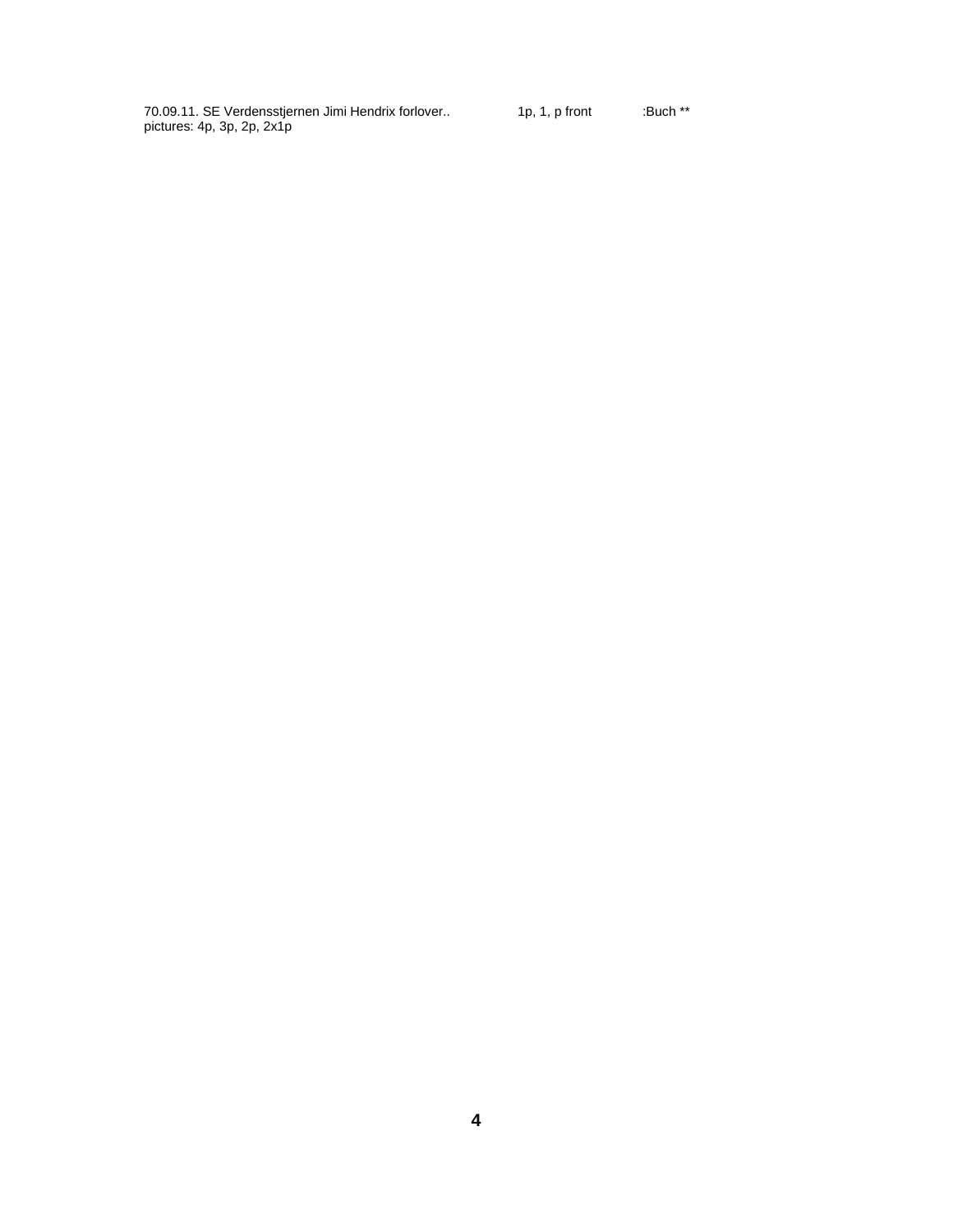70.09.11. SE Verdensstjernen Jimi Hendrix forlover.. 1p, 1, p front :Buch \*\* pictures: 4p, 3p, 2p, 2x1p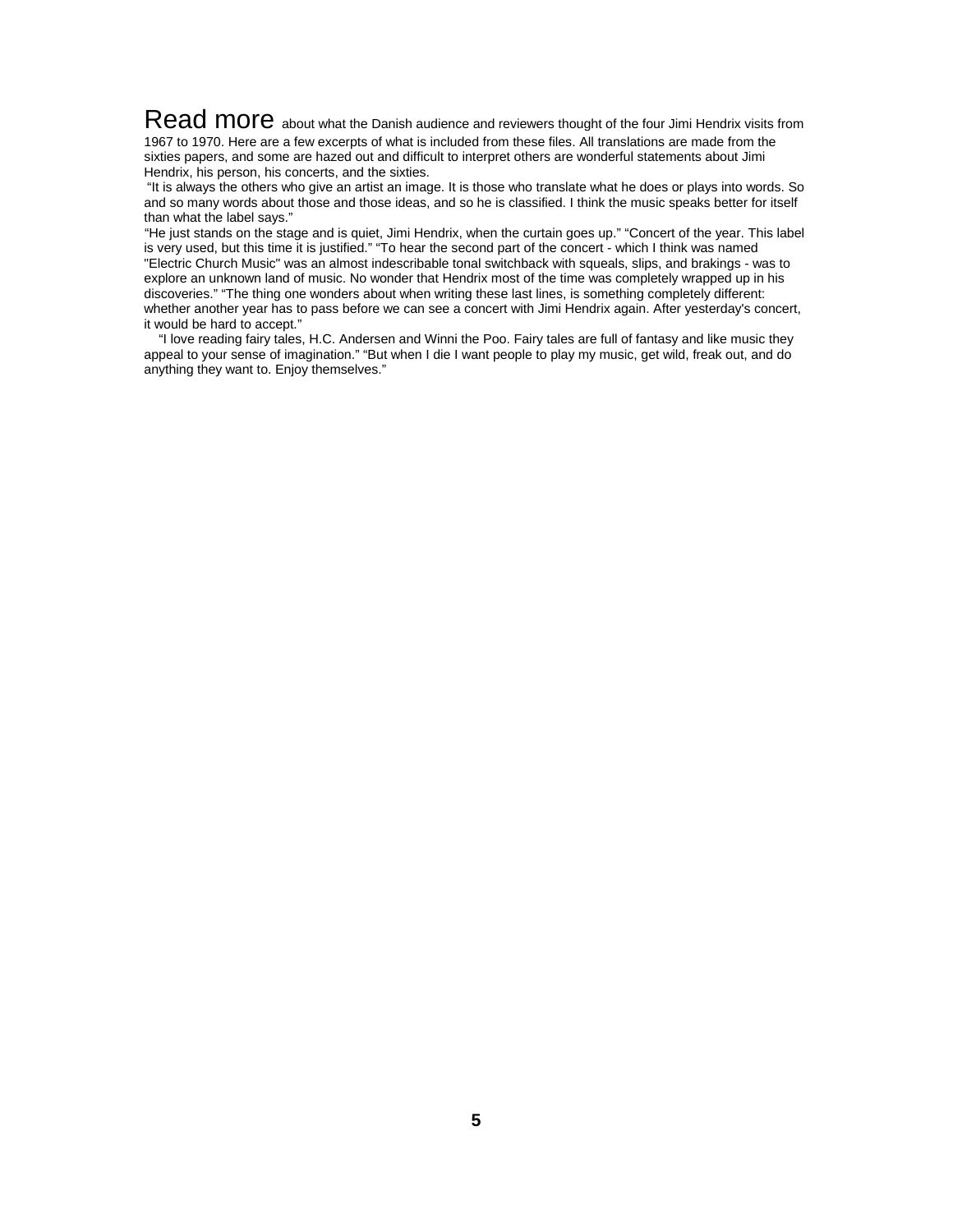Read more about what the Danish audience and reviewers thought of the four Jimi Hendrix visits from 1967 to 1970. Here are a few excerpts of what is included from these files. All translations are made from the sixties papers, and some are hazed out and difficult to interpret others are wonderful statements about Jimi Hendrix, his person, his concerts, and the sixties.

 "It is always the others who give an artist an image. It is those who translate what he does or plays into words. So and so many words about those and those ideas, and so he is classified. I think the music speaks better for itself than what the label says."

 "He just stands on the stage and is quiet, Jimi Hendrix, when the curtain goes up." "Concert of the year. This label is very used, but this time it is justified." "To hear the second part of the concert - which I think was named "Electric Church Music" was an almost indescribable tonal switchback with squeals, slips, and brakings - was to explore an unknown land of music. No wonder that Hendrix most of the time was completely wrapped up in his discoveries." "The thing one wonders about when writing these last lines, is something completely different: whether another year has to pass before we can see a concert with Jimi Hendrix again. After yesterday's concert, it would be hard to accept."

 "I love reading fairy tales, H.C. Andersen and Winni the Poo. Fairy tales are full of fantasy and like music they appeal to your sense of imagination." "But when I die I want people to play my music, get wild, freak out, and do anything they want to. Enjoy themselves."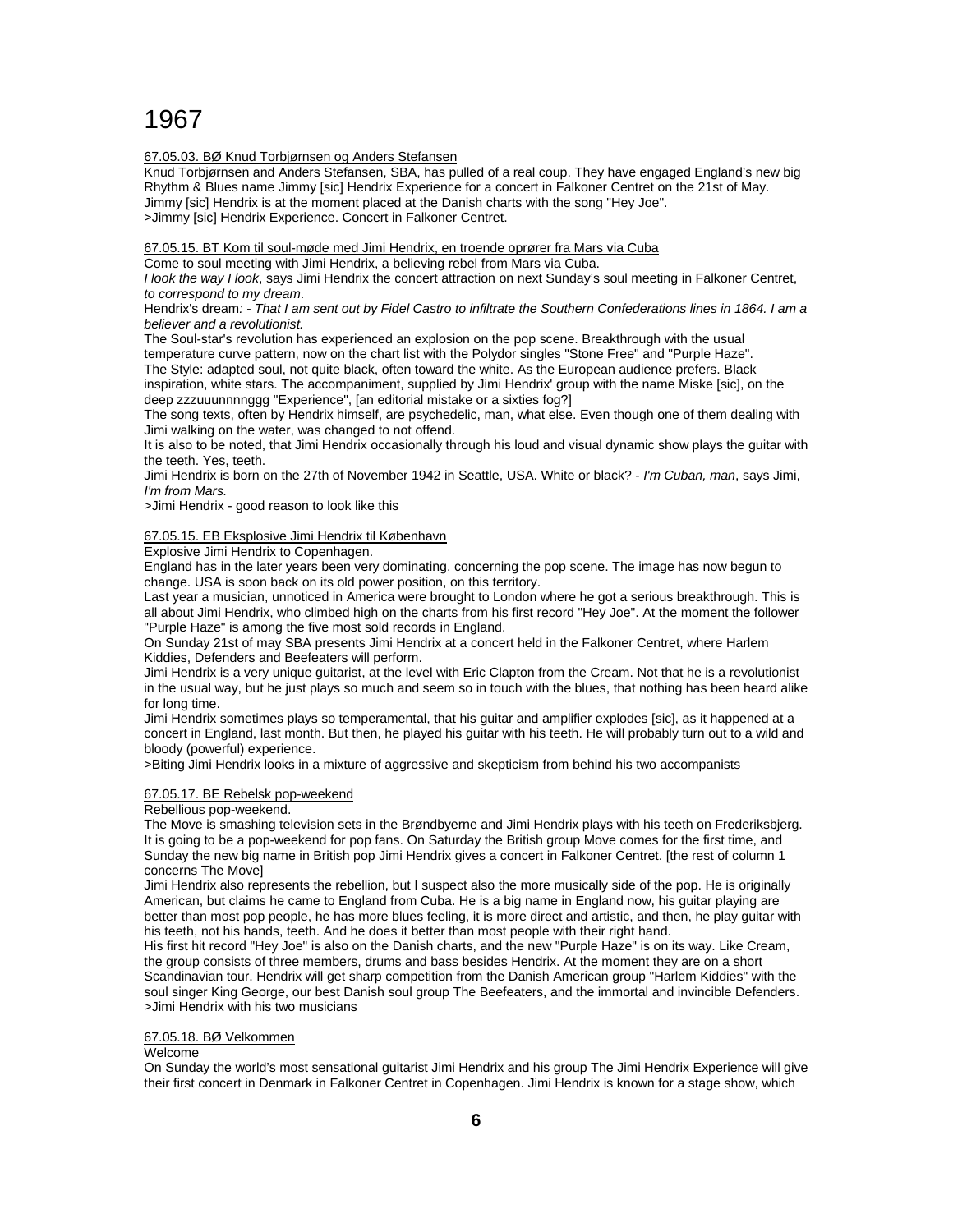# 1967

67.05.03. BØ Knud Torbjørnsen og Anders Stefansen

Knud Torbjørnsen and Anders Stefansen, SBA, has pulled of a real coup. They have engaged England's new big Rhythm & Blues name Jimmy [sic] Hendrix Experience for a concert in Falkoner Centret on the 21st of May. Jimmy [sic] Hendrix is at the moment placed at the Danish charts with the song "Hey Joe". >Jimmy [sic] Hendrix Experience. Concert in Falkoner Centret.

67.05.15. BT Kom til soul-møde med Jimi Hendrix, en troende oprører fra Mars via Cuba

Come to soul meeting with Jimi Hendrix, a believing rebel from Mars via Cuba.

*I look the way I look*, says Jimi Hendrix the concert attraction on next Sunday's soul meeting in Falkoner Centret, *to correspond to my dream*.

Hendrix's dream*: - That I am sent out by Fidel Castro to infiltrate the Southern Confederations lines in 1864. I am a believer and a revolutionist.* 

The Soul-star's revolution has experienced an explosion on the pop scene. Breakthrough with the usual temperature curve pattern, now on the chart list with the Polydor singles "Stone Free" and "Purple Haze". The Style: adapted soul, not quite black, often toward the white. As the European audience prefers. Black inspiration, white stars. The accompaniment, supplied by Jimi Hendrix' group with the name Miske [sic], on the

deep zzzuuunnnnggg "Experience", [an editorial mistake or a sixties fog?] The song texts, often by Hendrix himself, are psychedelic, man, what else. Even though one of them dealing with Jimi walking on the water, was changed to not offend.

It is also to be noted, that Jimi Hendrix occasionally through his loud and visual dynamic show plays the guitar with the teeth. Yes, teeth.

Jimi Hendrix is born on the 27th of November 1942 in Seattle, USA. White or black? - *I'm Cuban, man*, says Jimi, *I'm from Mars.* 

>Jimi Hendrix - good reason to look like this

#### 67.05.15. EB Eksplosive Jimi Hendrix til København

Explosive Jimi Hendrix to Copenhagen.

England has in the later years been very dominating, concerning the pop scene. The image has now begun to change. USA is soon back on its old power position, on this territory.

Last year a musician, unnoticed in America were brought to London where he got a serious breakthrough. This is all about Jimi Hendrix, who climbed high on the charts from his first record "Hey Joe". At the moment the follower "Purple Haze" is among the five most sold records in England.

On Sunday 21st of may SBA presents Jimi Hendrix at a concert held in the Falkoner Centret, where Harlem Kiddies, Defenders and Beefeaters will perform.

Jimi Hendrix is a very unique guitarist, at the level with Eric Clapton from the Cream. Not that he is a revolutionist in the usual way, but he just plays so much and seem so in touch with the blues, that nothing has been heard alike for long time.

Jimi Hendrix sometimes plays so temperamental, that his guitar and amplifier explodes [sic], as it happened at a concert in England, last month. But then, he played his guitar with his teeth. He will probably turn out to a wild and bloody (powerful) experience.

>Biting Jimi Hendrix looks in a mixture of aggressive and skepticism from behind his two accompanists

## 67.05.17. BE Rebelsk pop-weekend

Rebellious pop-weekend.

The Move is smashing television sets in the Brøndbyerne and Jimi Hendrix plays with his teeth on Frederiksbjerg. It is going to be a pop-weekend for pop fans. On Saturday the British group Move comes for the first time, and Sunday the new big name in British pop Jimi Hendrix gives a concert in Falkoner Centret. [the rest of column 1 concerns The Move]

Jimi Hendrix also represents the rebellion, but I suspect also the more musically side of the pop. He is originally American, but claims he came to England from Cuba. He is a big name in England now, his guitar playing are better than most pop people, he has more blues feeling, it is more direct and artistic, and then, he play guitar with his teeth, not his hands, teeth. And he does it better than most people with their right hand.

His first hit record "Hey Joe" is also on the Danish charts, and the new "Purple Haze" is on its way. Like Cream, the group consists of three members, drums and bass besides Hendrix. At the moment they are on a short Scandinavian tour. Hendrix will get sharp competition from the Danish American group "Harlem Kiddies" with the soul singer King George, our best Danish soul group The Beefeaters, and the immortal and invincible Defenders. >Jimi Hendrix with his two musicians

#### 67.05.18. BØ Velkommen

**Welcome** 

On Sunday the world's most sensational guitarist Jimi Hendrix and his group The Jimi Hendrix Experience will give their first concert in Denmark in Falkoner Centret in Copenhagen. Jimi Hendrix is known for a stage show, which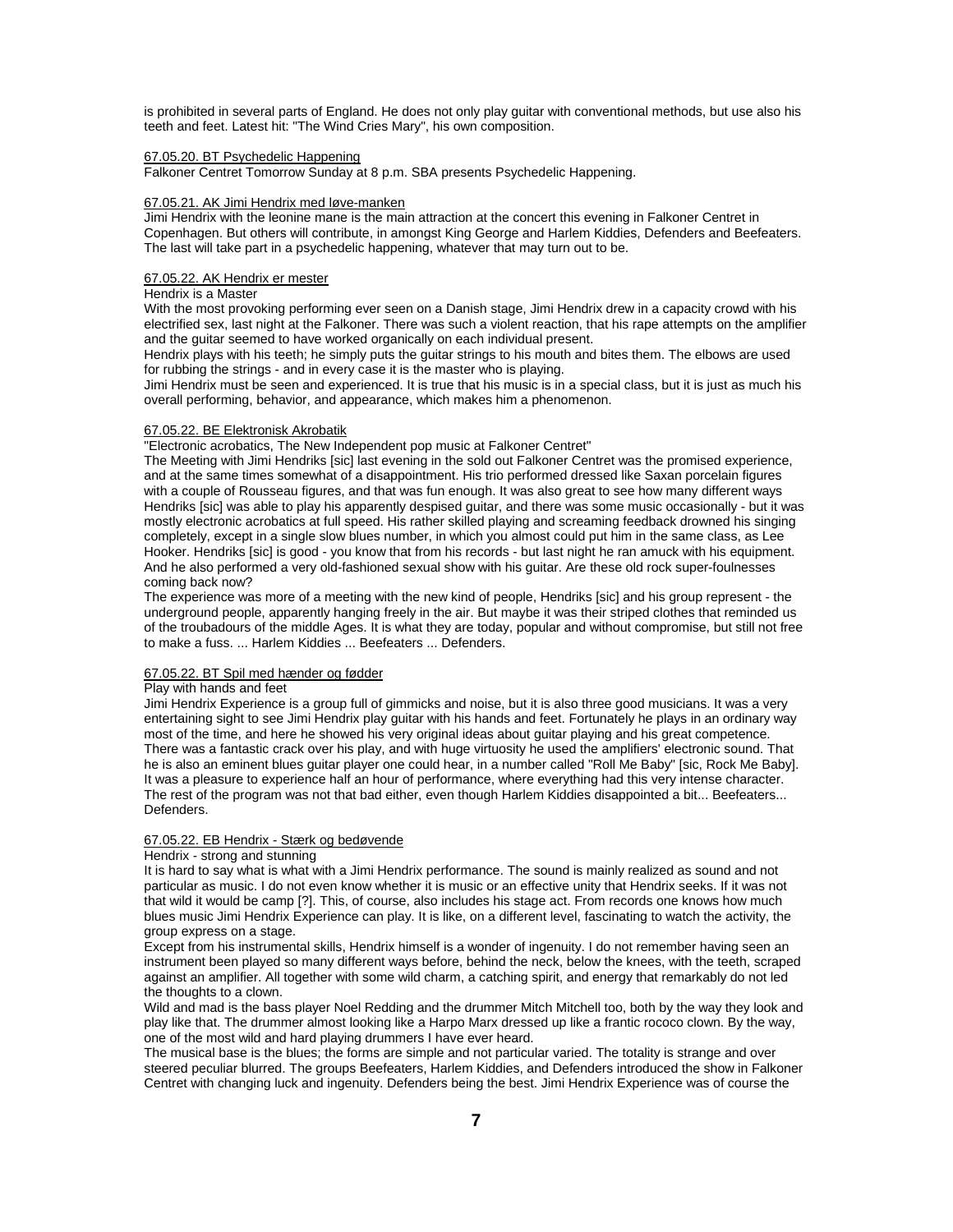is prohibited in several parts of England. He does not only play guitar with conventional methods, but use also his teeth and feet. Latest hit: "The Wind Cries Mary", his own composition.

#### 67.05.20. BT Psychedelic Happening

Falkoner Centret Tomorrow Sunday at 8 p.m. SBA presents Psychedelic Happening.

## 67.05.21. AK Jimi Hendrix med løve-manken

Jimi Hendrix with the leonine mane is the main attraction at the concert this evening in Falkoner Centret in Copenhagen. But others will contribute, in amongst King George and Harlem Kiddies, Defenders and Beefeaters. The last will take part in a psychedelic happening, whatever that may turn out to be.

## 67.05.22. AK Hendrix er mester

## Hendrix is a Master

With the most provoking performing ever seen on a Danish stage, Jimi Hendrix drew in a capacity crowd with his electrified sex, last night at the Falkoner. There was such a violent reaction, that his rape attempts on the amplifier and the guitar seemed to have worked organically on each individual present.

Hendrix plays with his teeth; he simply puts the guitar strings to his mouth and bites them. The elbows are used for rubbing the strings - and in every case it is the master who is playing.

Jimi Hendrix must be seen and experienced. It is true that his music is in a special class, but it is just as much his overall performing, behavior, and appearance, which makes him a phenomenon.

#### 67.05.22. BE Elektronisk Akrobatik

"Electronic acrobatics, The New Independent pop music at Falkoner Centret"

The Meeting with Jimi Hendriks [sic] last evening in the sold out Falkoner Centret was the promised experience, and at the same times somewhat of a disappointment. His trio performed dressed like Saxan porcelain figures with a couple of Rousseau figures, and that was fun enough. It was also great to see how many different ways Hendriks [sic] was able to play his apparently despised guitar, and there was some music occasionally - but it was mostly electronic acrobatics at full speed. His rather skilled playing and screaming feedback drowned his singing completely, except in a single slow blues number, in which you almost could put him in the same class, as Lee Hooker. Hendriks [sic] is good - you know that from his records - but last night he ran amuck with his equipment. And he also performed a very old-fashioned sexual show with his guitar. Are these old rock super-foulnesses coming back now?

The experience was more of a meeting with the new kind of people, Hendriks [sic] and his group represent - the underground people, apparently hanging freely in the air. But maybe it was their striped clothes that reminded us of the troubadours of the middle Ages. It is what they are today, popular and without compromise, but still not free to make a fuss. ... Harlem Kiddies ... Beefeaters ... Defenders.

#### 67.05.22. BT Spil med hænder og fødder

#### Play with hands and feet

Jimi Hendrix Experience is a group full of gimmicks and noise, but it is also three good musicians. It was a very entertaining sight to see Jimi Hendrix play guitar with his hands and feet. Fortunately he plays in an ordinary way most of the time, and here he showed his very original ideas about guitar playing and his great competence. There was a fantastic crack over his play, and with huge virtuosity he used the amplifiers' electronic sound. That he is also an eminent blues guitar player one could hear, in a number called "Roll Me Baby" [sic, Rock Me Baby]. It was a pleasure to experience half an hour of performance, where everything had this very intense character. The rest of the program was not that bad either, even though Harlem Kiddies disappointed a bit... Beefeaters... Defenders.

#### 67.05.22. EB Hendrix - Stærk og bedøvende

## Hendrix - strong and stunning

It is hard to say what is what with a Jimi Hendrix performance. The sound is mainly realized as sound and not particular as music. I do not even know whether it is music or an effective unity that Hendrix seeks. If it was not that wild it would be camp [?]. This, of course, also includes his stage act. From records one knows how much blues music Jimi Hendrix Experience can play. It is like, on a different level, fascinating to watch the activity, the group express on a stage.

Except from his instrumental skills, Hendrix himself is a wonder of ingenuity. I do not remember having seen an instrument been played so many different ways before, behind the neck, below the knees, with the teeth, scraped against an amplifier. All together with some wild charm, a catching spirit, and energy that remarkably do not led the thoughts to a clown.

Wild and mad is the bass player Noel Redding and the drummer Mitch Mitchell too, both by the way they look and play like that. The drummer almost looking like a Harpo Marx dressed up like a frantic rococo clown. By the way, one of the most wild and hard playing drummers I have ever heard.

The musical base is the blues; the forms are simple and not particular varied. The totality is strange and over steered peculiar blurred. The groups Beefeaters, Harlem Kiddies, and Defenders introduced the show in Falkoner Centret with changing luck and ingenuity. Defenders being the best. Jimi Hendrix Experience was of course the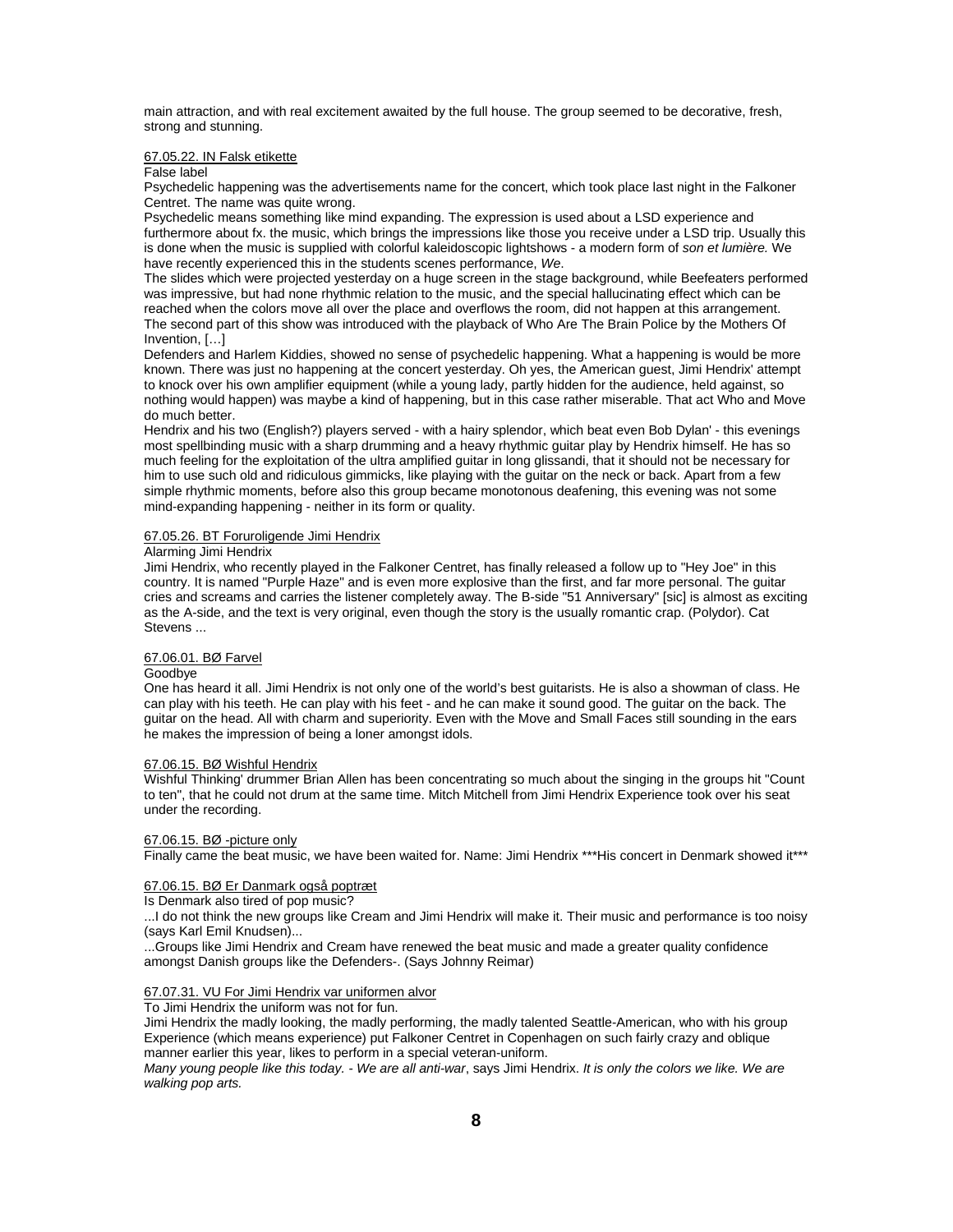main attraction, and with real excitement awaited by the full house. The group seemed to be decorative, fresh, strong and stunning.

#### 67.05.22. IN Falsk etikette

False label

Psychedelic happening was the advertisements name for the concert, which took place last night in the Falkoner Centret. The name was quite wrong.

Psychedelic means something like mind expanding. The expression is used about a LSD experience and furthermore about fx. the music, which brings the impressions like those you receive under a LSD trip. Usually this is done when the music is supplied with colorful kaleidoscopic lightshows - a modern form of *son et lumière.* We have recently experienced this in the students scenes performance, *We*.

The slides which were projected yesterday on a huge screen in the stage background, while Beefeaters performed was impressive, but had none rhythmic relation to the music, and the special hallucinating effect which can be reached when the colors move all over the place and overflows the room, did not happen at this arrangement. The second part of this show was introduced with the playback of Who Are The Brain Police by the Mothers Of Invention, […]

Defenders and Harlem Kiddies, showed no sense of psychedelic happening. What a happening is would be more known. There was just no happening at the concert yesterday. Oh yes, the American guest, Jimi Hendrix' attempt to knock over his own amplifier equipment (while a young lady, partly hidden for the audience, held against, so nothing would happen) was maybe a kind of happening, but in this case rather miserable. That act Who and Move do much better.

Hendrix and his two (English?) players served - with a hairy splendor, which beat even Bob Dylan' - this evenings most spellbinding music with a sharp drumming and a heavy rhythmic guitar play by Hendrix himself. He has so much feeling for the exploitation of the ultra amplified guitar in long glissandi, that it should not be necessary for him to use such old and ridiculous gimmicks, like playing with the guitar on the neck or back. Apart from a few simple rhythmic moments, before also this group became monotonous deafening, this evening was not some mind-expanding happening - neither in its form or quality.

### 67.05.26. BT Foruroligende Jimi Hendrix

#### Alarming Jimi Hendrix

Jimi Hendrix, who recently played in the Falkoner Centret, has finally released a follow up to "Hey Joe" in this country. It is named "Purple Haze" and is even more explosive than the first, and far more personal. The guitar cries and screams and carries the listener completely away. The B-side "51 Anniversary" [sic] is almost as exciting as the A-side, and the text is very original, even though the story is the usually romantic crap. (Polydor). Cat Stevens ...

## 67.06.01. BØ Farvel

### Goodbye

One has heard it all. Jimi Hendrix is not only one of the world's best guitarists. He is also a showman of class. He can play with his teeth. He can play with his feet - and he can make it sound good. The guitar on the back. The guitar on the head. All with charm and superiority. Even with the Move and Small Faces still sounding in the ears he makes the impression of being a loner amongst idols.

#### 67.06.15. BØ Wishful Hendrix

Wishful Thinking' drummer Brian Allen has been concentrating so much about the singing in the groups hit "Count to ten", that he could not drum at the same time. Mitch Mitchell from Jimi Hendrix Experience took over his seat under the recording.

#### 67.06.15. BØ -picture only

Finally came the beat music, we have been waited for. Name: Jimi Hendrix \*\*\*His concert in Denmark showed it\*\*\*

#### 67.06.15. BØ Er Danmark også poptræt

Is Denmark also tired of pop music?

...I do not think the new groups like Cream and Jimi Hendrix will make it. Their music and performance is too noisy (says Karl Emil Knudsen)...

...Groups like Jimi Hendrix and Cream have renewed the beat music and made a greater quality confidence amongst Danish groups like the Defenders-. (Says Johnny Reimar)

## 67.07.31. VU For Jimi Hendrix var uniformen alvor

To Jimi Hendrix the uniform was not for fun.

Jimi Hendrix the madly looking, the madly performing, the madly talented Seattle-American, who with his group Experience (which means experience) put Falkoner Centret in Copenhagen on such fairly crazy and oblique manner earlier this year, likes to perform in a special veteran-uniform.

*Many young people like this today. - We are all anti-war*, says Jimi Hendrix. *It is only the colors we like. We are walking pop arts.*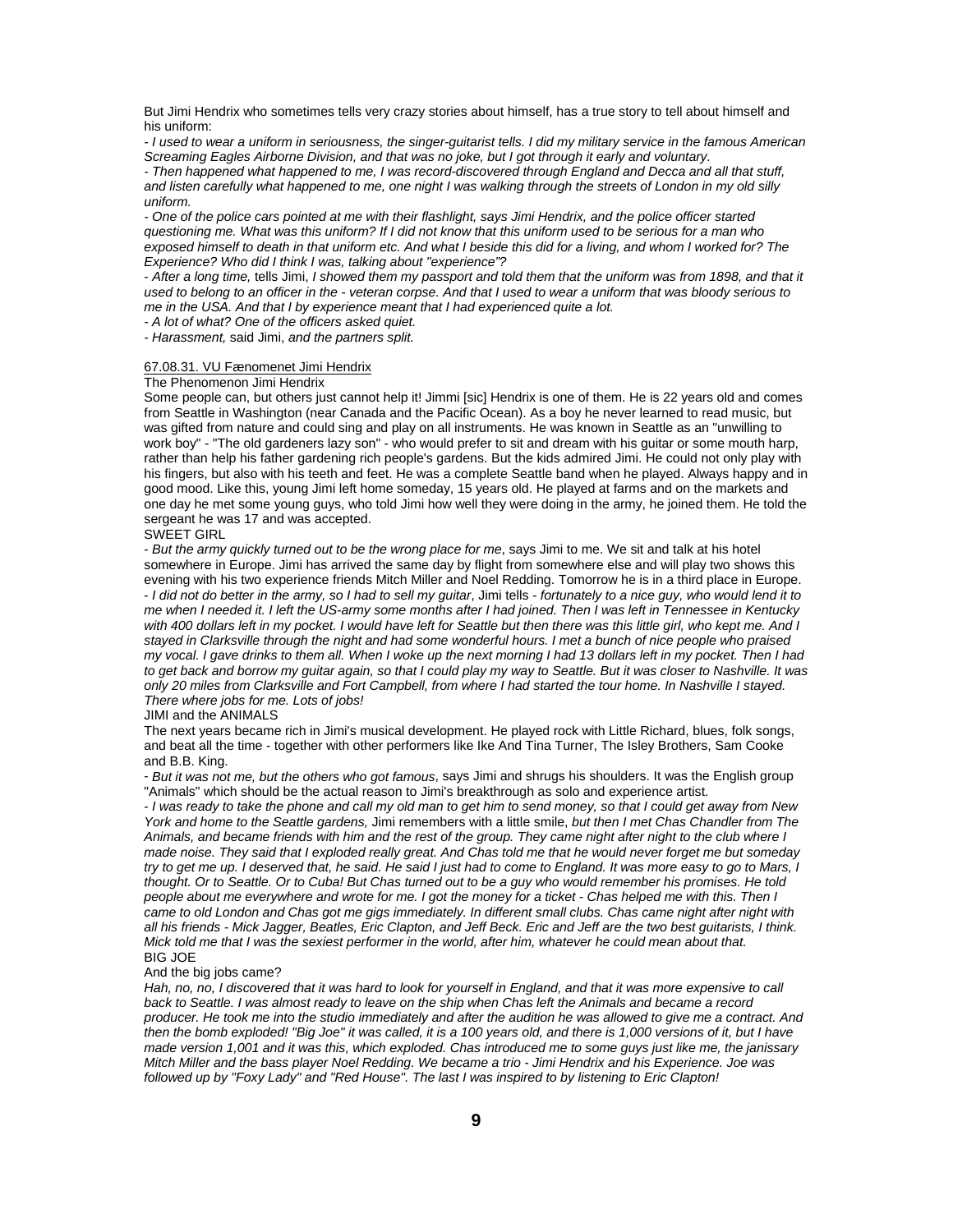But Jimi Hendrix who sometimes tells very crazy stories about himself, has a true story to tell about himself and his uniform:

*- I used to wear a uniform in seriousness, the singer-guitarist tells. I did my military service in the famous American Screaming Eagles Airborne Division, and that was no joke, but I got through it early and voluntary.* 

*- Then happened what happened to me, I was record-discovered through England and Decca and all that stuff, and listen carefully what happened to me, one night I was walking through the streets of London in my old silly uniform.* 

*- One of the police cars pointed at me with their flashlight, says Jimi Hendrix, and the police officer started questioning me. What was this uniform? If I did not know that this uniform used to be serious for a man who exposed himself to death in that uniform etc. And what I beside this did for a living, and whom I worked for? The Experience? Who did I think I was, talking about "experience"?* 

- *After a long time,* tells Jimi, *I showed them my passport and told them that the uniform was from 1898, and that it used to belong to an officer in the - veteran corpse. And that I used to wear a uniform that was bloody serious to me in the USA. And that I by experience meant that I had experienced quite a lot.* 

*- A lot of what? One of the officers asked quiet.* 

*- Harassment,* said Jimi, *and the partners split.* 

#### 67.08.31. VU Fænomenet Jimi Hendrix

## The Phenomenon Jimi Hendrix

Some people can, but others just cannot help it! Jimmi [sic] Hendrix is one of them. He is 22 years old and comes from Seattle in Washington (near Canada and the Pacific Ocean). As a boy he never learned to read music, but was gifted from nature and could sing and play on all instruments. He was known in Seattle as an "unwilling to work boy" - "The old gardeners lazy son" - who would prefer to sit and dream with his guitar or some mouth harp, rather than help his father gardening rich people's gardens. But the kids admired Jimi. He could not only play with his fingers, but also with his teeth and feet. He was a complete Seattle band when he played. Always happy and in good mood. Like this, young Jimi left home someday, 15 years old. He played at farms and on the markets and one day he met some young guys, who told Jimi how well they were doing in the army, he joined them. He told the sergeant he was 17 and was accepted.

#### SWEET GIRL

- *But the army quickly turned out to be the wrong place for me*, says Jimi to me. We sit and talk at his hotel somewhere in Europe. Jimi has arrived the same day by flight from somewhere else and will play two shows this evening with his two experience friends Mitch Miller and Noel Redding. Tomorrow he is in a third place in Europe. - *I did not do better in the army, so I had to sell my guitar*, Jimi tells - *fortunately to a nice guy, who would lend it to me when I needed it. I left the US-army some months after I had joined. Then I was left in Tennessee in Kentucky*  with 400 dollars left in my pocket. I would have left for Seattle but then there was this little girl, who kept me. And I *stayed in Clarksville through the night and had some wonderful hours. I met a bunch of nice people who praised my vocal. I gave drinks to them all. When I woke up the next morning I had 13 dollars left in my pocket. Then I had to get back and borrow my guitar again, so that I could play my way to Seattle. But it was closer to Nashville. It was only 20 miles from Clarksville and Fort Campbell, from where I had started the tour home. In Nashville I stayed. There where jobs for me. Lots of jobs!* 

#### JIMI and the ANIMALS

The next years became rich in Jimi's musical development. He played rock with Little Richard, blues, folk songs, and beat all the time - together with other performers like Ike And Tina Turner, The Isley Brothers, Sam Cooke and B.B. King.

- *But it was not me, but the others who got famous*, says Jimi and shrugs his shoulders. It was the English group "Animals" which should be the actual reason to Jimi's breakthrough as solo and experience artist.

- *I was ready to take the phone and call my old man to get him to send money, so that I could get away from New York and home to the Seattle gardens,* Jimi remembers with a little smile, *but then I met Chas Chandler from The Animals, and became friends with him and the rest of the group. They came night after night to the club where I made noise. They said that I exploded really great. And Chas told me that he would never forget me but someday try to get me up. I deserved that, he said. He said I just had to come to England. It was more easy to go to Mars, I thought. Or to Seattle. Or to Cuba! But Chas turned out to be a guy who would remember his promises. He told people about me everywhere and wrote for me. I got the money for a ticket - Chas helped me with this. Then I came to old London and Chas got me gigs immediately. In different small clubs. Chas came night after night with all his friends - Mick Jagger, Beatles, Eric Clapton, and Jeff Beck. Eric and Jeff are the two best guitarists, I think. Mick told me that I was the sexiest performer in the world, after him, whatever he could mean about that.*  BIG JOE

## And the big jobs came?

Hah, no, no, I discovered that it was hard to look for yourself in England, and that it was more expensive to call *back to Seattle. I was almost ready to leave on the ship when Chas left the Animals and became a record producer. He took me into the studio immediately and after the audition he was allowed to give me a contract. And then the bomb exploded! "Big Joe" it was called, it is a 100 years old, and there is 1,000 versions of it, but I have made version 1,001 and it was this, which exploded. Chas introduced me to some guys just like me, the janissary Mitch Miller and the bass player Noel Redding. We became a trio - Jimi Hendrix and his Experience. Joe was followed up by "Foxy Lady" and "Red House". The last I was inspired to by listening to Eric Clapton!*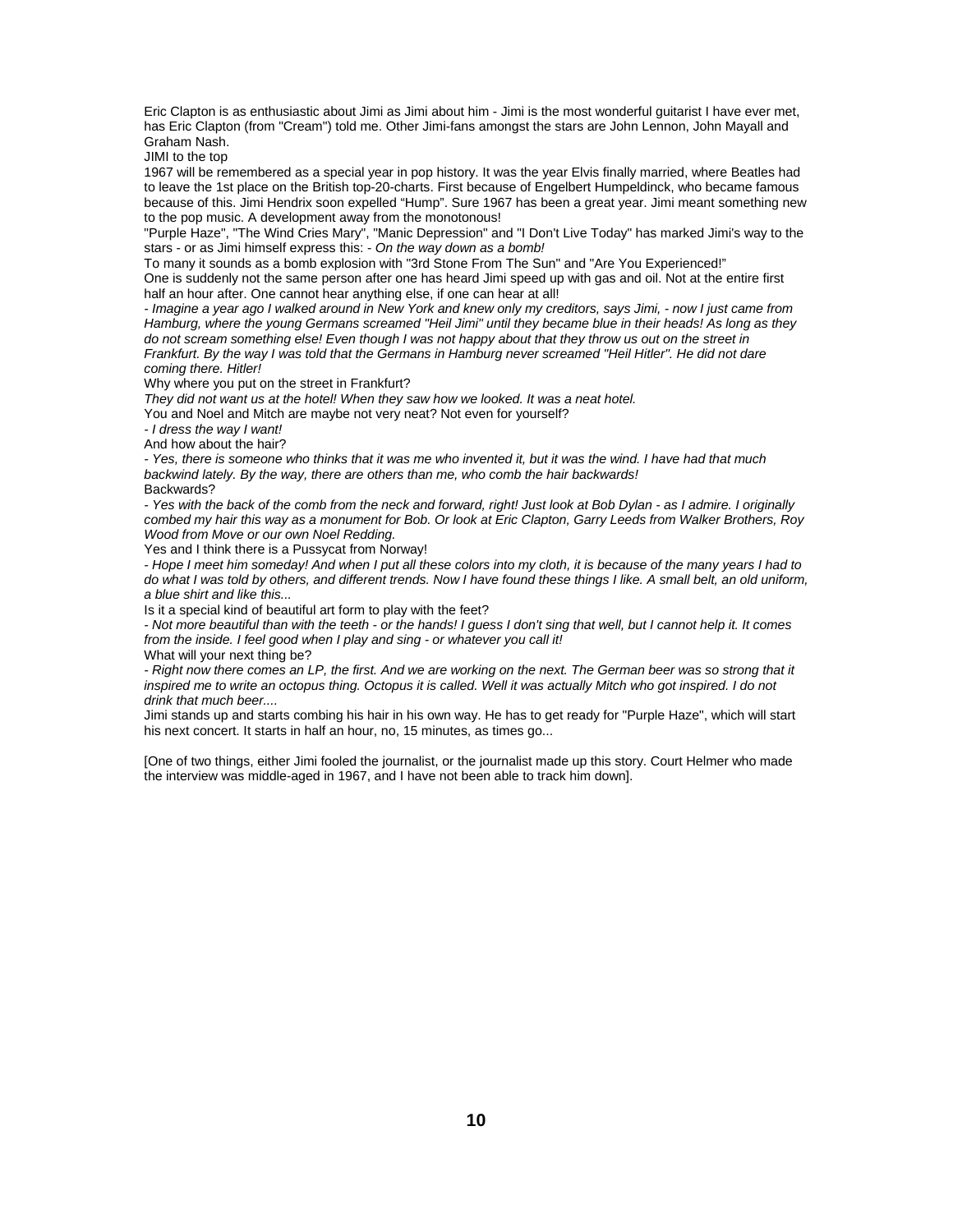Eric Clapton is as enthusiastic about Jimi as Jimi about him - Jimi is the most wonderful guitarist I have ever met, has Eric Clapton (from "Cream") told me. Other Jimi-fans amongst the stars are John Lennon, John Mayall and Graham Nash.

JIMI to the top

1967 will be remembered as a special year in pop history. It was the year Elvis finally married, where Beatles had to leave the 1st place on the British top-20-charts. First because of Engelbert Humpeldinck, who became famous because of this. Jimi Hendrix soon expelled "Hump". Sure 1967 has been a great year. Jimi meant something new to the pop music. A development away from the monotonous!

"Purple Haze", "The Wind Cries Mary", "Manic Depression" and "I Don't Live Today" has marked Jimi's way to the stars - or as Jimi himself express this: - *On the way down as a bomb!*

To many it sounds as a bomb explosion with "3rd Stone From The Sun" and "Are You Experienced!"

One is suddenly not the same person after one has heard Jimi speed up with gas and oil. Not at the entire first half an hour after. One cannot hear anything else, if one can hear at all!

*- Imagine a year ago I walked around in New York and knew only my creditors, says Jimi, - now I just came from Hamburg, where the young Germans screamed "Heil Jimi" until they became blue in their heads! As long as they do not scream something else! Even though I was not happy about that they throw us out on the street in Frankfurt. By the way I was told that the Germans in Hamburg never screamed "Heil Hitler". He did not dare coming there. Hitler!* 

Why where you put on the street in Frankfurt?

*They did not want us at the hotel! When they saw how we looked. It was a neat hotel.* 

You and Noel and Mitch are maybe not very neat? Not even for yourself?

*- I dress the way I want!* 

And how about the hair?

*- Yes, there is someone who thinks that it was me who invented it, but it was the wind. I have had that much backwind lately. By the way, there are others than me, who comb the hair backwards!*  Backwards?

*- Yes with the back of the comb from the neck and forward, right! Just look at Bob Dylan - as I admire. I originally combed my hair this way as a monument for Bob. Or look at Eric Clapton, Garry Leeds from Walker Brothers, Roy Wood from Move or our own Noel Redding.* 

Yes and I think there is a Pussycat from Norway!

*- Hope I meet him someday! And when I put all these colors into my cloth, it is because of the many years I had to do what I was told by others, and different trends. Now I have found these things I like. A small belt, an old uniform, a blue shirt and like this...* 

Is it a special kind of beautiful art form to play with the feet?

*- Not more beautiful than with the teeth - or the hands! I guess I don't sing that well, but I cannot help it. It comes from the inside. I feel good when I play and sing - or whatever you call it!* 

What will your next thing be?

- Right now there comes an LP, the first. And we are working on the next. The German beer was so strong that it *inspired me to write an octopus thing. Octopus it is called. Well it was actually Mitch who got inspired. I do not drink that much beer....* 

Jimi stands up and starts combing his hair in his own way. He has to get ready for "Purple Haze", which will start his next concert. It starts in half an hour, no, 15 minutes, as times go...

[One of two things, either Jimi fooled the journalist, or the journalist made up this story. Court Helmer who made the interview was middle-aged in 1967, and I have not been able to track him down].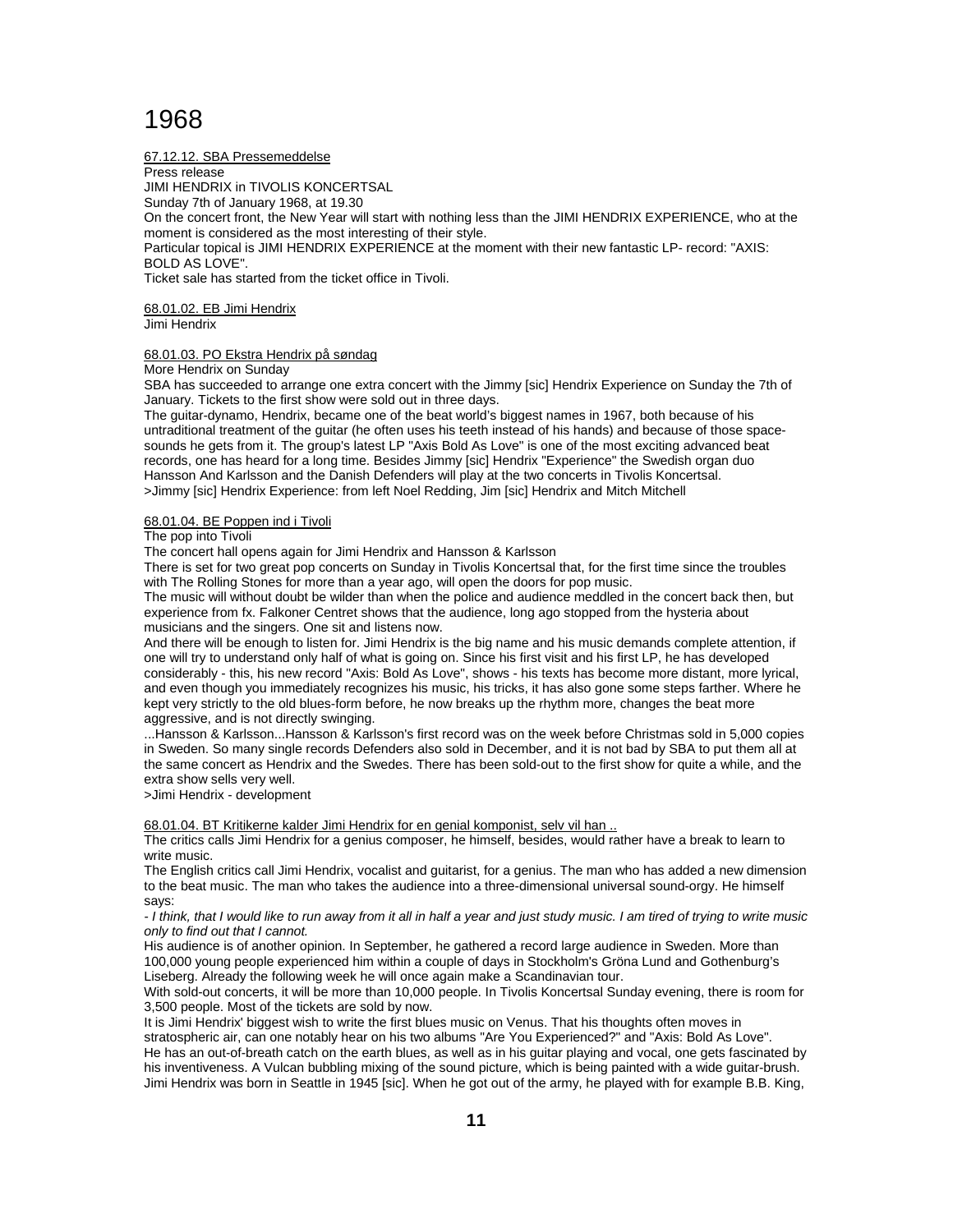## 1968

67.12.12. SBA Pressemeddelse

Press release JIMI HENDRIX in TIVOLIS KONCERTSAL

Sunday 7th of January 1968, at 19.30

On the concert front, the New Year will start with nothing less than the JIMI HENDRIX EXPERIENCE, who at the moment is considered as the most interesting of their style.

Particular topical is JIMI HENDRIX EXPERIENCE at the moment with their new fantastic LP- record: "AXIS: BOLD AS LOVE".

Ticket sale has started from the ticket office in Tivoli.

68.01.02. EB Jimi Hendrix

Jimi Hendrix

68.01.03. PO Ekstra Hendrix på søndag

More Hendrix on Sunday

SBA has succeeded to arrange one extra concert with the Jimmy [sic] Hendrix Experience on Sunday the 7th of January. Tickets to the first show were sold out in three days.

The guitar-dynamo, Hendrix, became one of the beat world's biggest names in 1967, both because of his untraditional treatment of the guitar (he often uses his teeth instead of his hands) and because of those spacesounds he gets from it. The group's latest LP "Axis Bold As Love" is one of the most exciting advanced beat records, one has heard for a long time. Besides Jimmy [sic] Hendrix "Experience" the Swedish organ duo Hansson And Karlsson and the Danish Defenders will play at the two concerts in Tivolis Koncertsal. >Jimmy [sic] Hendrix Experience: from left Noel Redding, Jim [sic] Hendrix and Mitch Mitchell

## 68.01.04. BE Poppen ind i Tivoli

The pop into Tivoli

The concert hall opens again for Jimi Hendrix and Hansson & Karlsson

There is set for two great pop concerts on Sunday in Tivolis Koncertsal that, for the first time since the troubles with The Rolling Stones for more than a year ago, will open the doors for pop music.

The music will without doubt be wilder than when the police and audience meddled in the concert back then, but experience from fx. Falkoner Centret shows that the audience, long ago stopped from the hysteria about musicians and the singers. One sit and listens now.

And there will be enough to listen for. Jimi Hendrix is the big name and his music demands complete attention, if one will try to understand only half of what is going on. Since his first visit and his first LP, he has developed considerably - this, his new record "Axis: Bold As Love", shows - his texts has become more distant, more lyrical, and even though you immediately recognizes his music, his tricks, it has also gone some steps farther. Where he kept very strictly to the old blues-form before, he now breaks up the rhythm more, changes the beat more aggressive, and is not directly swinging.

...Hansson & Karlsson...Hansson & Karlsson's first record was on the week before Christmas sold in 5,000 copies in Sweden. So many single records Defenders also sold in December, and it is not bad by SBA to put them all at the same concert as Hendrix and the Swedes. There has been sold-out to the first show for quite a while, and the extra show sells very well.

>Jimi Hendrix - development

68.01.04. BT Kritikerne kalder Jimi Hendrix for en genial komponist, selv vil han ..

The critics calls Jimi Hendrix for a genius composer, he himself, besides, would rather have a break to learn to write music.

The English critics call Jimi Hendrix, vocalist and guitarist, for a genius. The man who has added a new dimension to the beat music. The man who takes the audience into a three-dimensional universal sound-orgy. He himself says:

*- I think, that I would like to run away from it all in half a year and just study music. I am tired of trying to write music only to find out that I cannot.* 

His audience is of another opinion. In September, he gathered a record large audience in Sweden. More than 100,000 young people experienced him within a couple of days in Stockholm's Gröna Lund and Gothenburg's Liseberg. Already the following week he will once again make a Scandinavian tour.

With sold-out concerts, it will be more than 10,000 people. In Tivolis Koncertsal Sunday evening, there is room for 3,500 people. Most of the tickets are sold by now.

It is Jimi Hendrix' biggest wish to write the first blues music on Venus. That his thoughts often moves in stratospheric air, can one notably hear on his two albums "Are You Experienced?" and "Axis: Bold As Love". He has an out-of-breath catch on the earth blues, as well as in his guitar playing and vocal, one gets fascinated by his inventiveness. A Vulcan bubbling mixing of the sound picture, which is being painted with a wide guitar-brush. Jimi Hendrix was born in Seattle in 1945 [sic]. When he got out of the army, he played with for example B.B. King,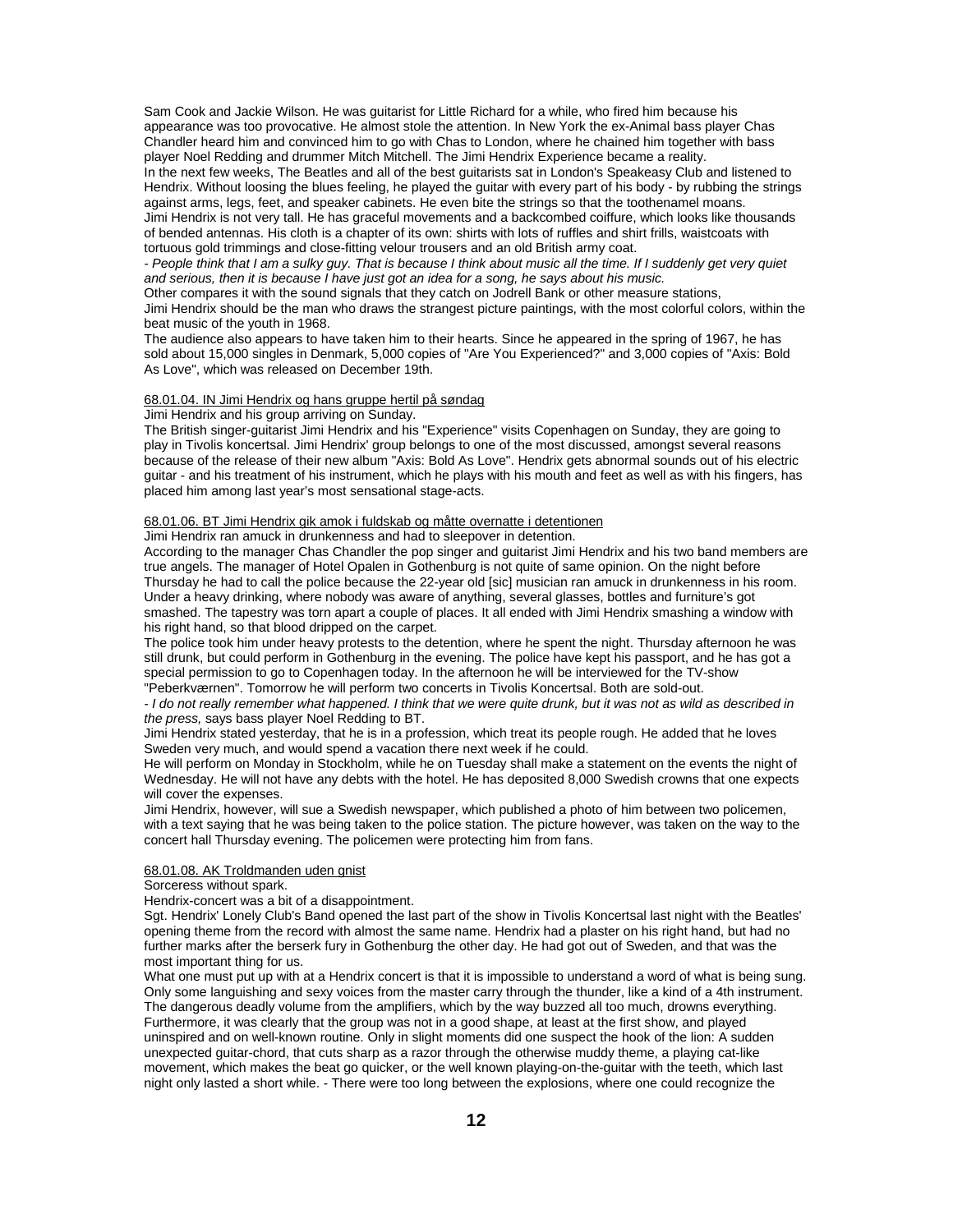Sam Cook and Jackie Wilson. He was guitarist for Little Richard for a while, who fired him because his appearance was too provocative. He almost stole the attention. In New York the ex-Animal bass player Chas Chandler heard him and convinced him to go with Chas to London, where he chained him together with bass player Noel Redding and drummer Mitch Mitchell. The Jimi Hendrix Experience became a reality.

In the next few weeks, The Beatles and all of the best guitarists sat in London's Speakeasy Club and listened to Hendrix. Without loosing the blues feeling, he played the guitar with every part of his body - by rubbing the strings against arms, legs, feet, and speaker cabinets. He even bite the strings so that the toothenamel moans.

Jimi Hendrix is not very tall. He has graceful movements and a backcombed coiffure, which looks like thousands of bended antennas. His cloth is a chapter of its own: shirts with lots of ruffles and shirt frills, waistcoats with tortuous gold trimmings and close-fitting velour trousers and an old British army coat.

- People think that I am a sulky guy. That is because I think about music all the time. If I suddenly get very quiet *and serious, then it is because I have just got an idea for a song, he says about his music.* 

Other compares it with the sound signals that they catch on Jodrell Bank or other measure stations, Jimi Hendrix should be the man who draws the strangest picture paintings, with the most colorful colors, within the beat music of the youth in 1968.

The audience also appears to have taken him to their hearts. Since he appeared in the spring of 1967, he has sold about 15,000 singles in Denmark, 5,000 copies of "Are You Experienced?" and 3,000 copies of "Axis: Bold As Love", which was released on December 19th.

## 68.01.04. IN Jimi Hendrix og hans gruppe hertil på søndag

Jimi Hendrix and his group arriving on Sunday.

The British singer-guitarist Jimi Hendrix and his "Experience" visits Copenhagen on Sunday, they are going to play in Tivolis koncertsal. Jimi Hendrix' group belongs to one of the most discussed, amongst several reasons because of the release of their new album "Axis: Bold As Love". Hendrix gets abnormal sounds out of his electric guitar - and his treatment of his instrument, which he plays with his mouth and feet as well as with his fingers, has placed him among last year's most sensational stage-acts.

## 68.01.06. BT Jimi Hendrix gik amok i fuldskab og måtte overnatte i detentionen

Jimi Hendrix ran amuck in drunkenness and had to sleepover in detention.

According to the manager Chas Chandler the pop singer and guitarist Jimi Hendrix and his two band members are true angels. The manager of Hotel Opalen in Gothenburg is not quite of same opinion. On the night before Thursday he had to call the police because the 22-year old [sic] musician ran amuck in drunkenness in his room. Under a heavy drinking, where nobody was aware of anything, several glasses, bottles and furniture's got smashed. The tapestry was torn apart a couple of places. It all ended with Jimi Hendrix smashing a window with his right hand, so that blood dripped on the carpet.

The police took him under heavy protests to the detention, where he spent the night. Thursday afternoon he was still drunk, but could perform in Gothenburg in the evening. The police have kept his passport, and he has got a special permission to go to Copenhagen today. In the afternoon he will be interviewed for the TV-show "Peberkværnen". Tomorrow he will perform two concerts in Tivolis Koncertsal. Both are sold-out.

*- I do not really remember what happened. I think that we were quite drunk, but it was not as wild as described in the press,* says bass player Noel Redding to BT.

Jimi Hendrix stated yesterday, that he is in a profession, which treat its people rough. He added that he loves Sweden very much, and would spend a vacation there next week if he could.

He will perform on Monday in Stockholm, while he on Tuesday shall make a statement on the events the night of Wednesday. He will not have any debts with the hotel. He has deposited 8,000 Swedish crowns that one expects will cover the expenses.

Jimi Hendrix, however, will sue a Swedish newspaper, which published a photo of him between two policemen, with a text saying that he was being taken to the police station. The picture however, was taken on the way to the concert hall Thursday evening. The policemen were protecting him from fans.

## 68.01.08. AK Troldmanden uden gnist

Sorceress without spark.

Hendrix-concert was a bit of a disappointment.

Sgt. Hendrix' Lonely Club's Band opened the last part of the show in Tivolis Koncertsal last night with the Beatles' opening theme from the record with almost the same name. Hendrix had a plaster on his right hand, but had no further marks after the berserk fury in Gothenburg the other day. He had got out of Sweden, and that was the most important thing for us.

What one must put up with at a Hendrix concert is that it is impossible to understand a word of what is being sung. Only some languishing and sexy voices from the master carry through the thunder, like a kind of a 4th instrument. The dangerous deadly volume from the amplifiers, which by the way buzzed all too much, drowns everything. Furthermore, it was clearly that the group was not in a good shape, at least at the first show, and played uninspired and on well-known routine. Only in slight moments did one suspect the hook of the lion: A sudden unexpected guitar-chord, that cuts sharp as a razor through the otherwise muddy theme, a playing cat-like movement, which makes the beat go quicker, or the well known playing-on-the-guitar with the teeth, which last night only lasted a short while. - There were too long between the explosions, where one could recognize the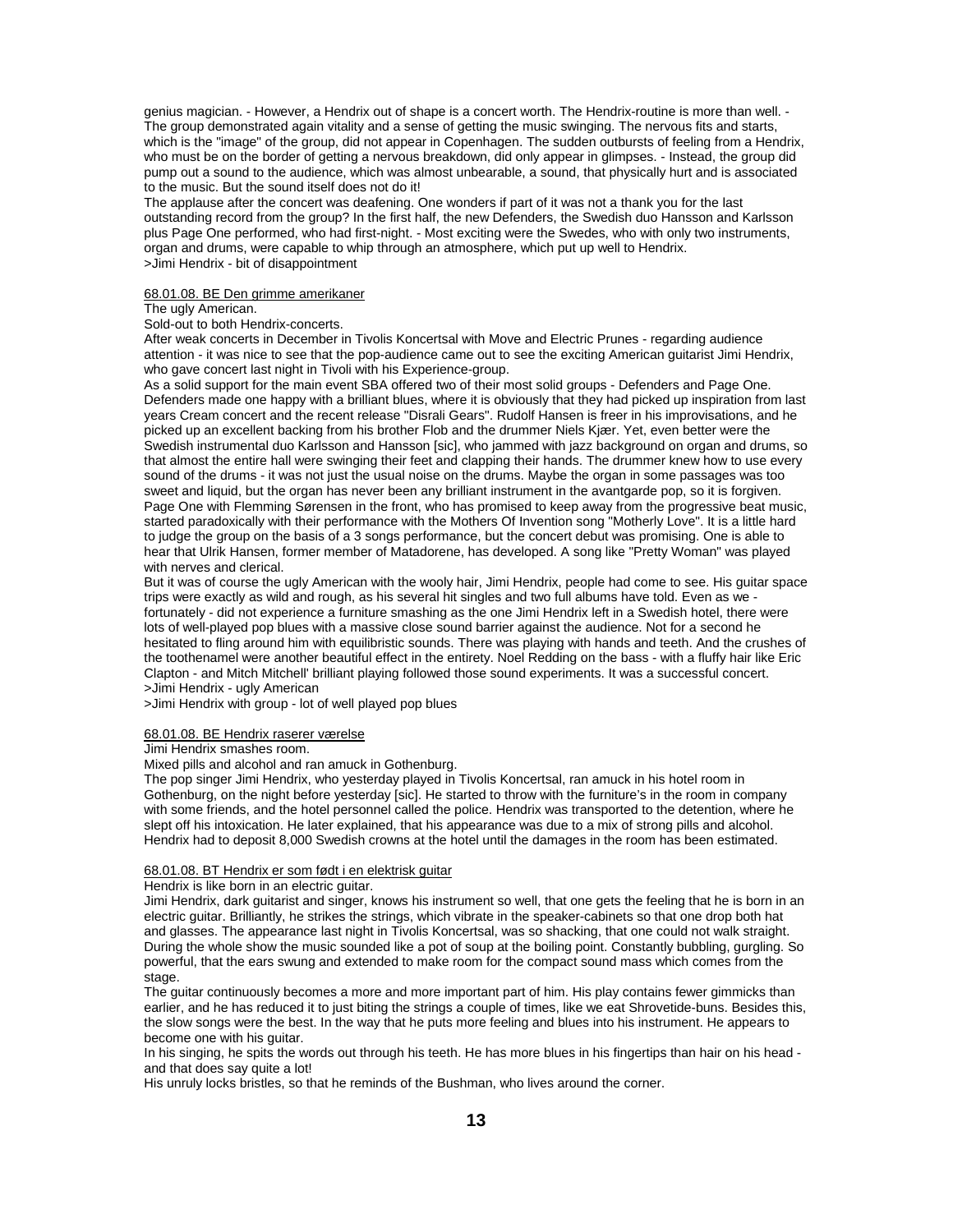genius magician. - However, a Hendrix out of shape is a concert worth. The Hendrix-routine is more than well. - The group demonstrated again vitality and a sense of getting the music swinging. The nervous fits and starts, which is the "image" of the group, did not appear in Copenhagen. The sudden outbursts of feeling from a Hendrix, who must be on the border of getting a nervous breakdown, did only appear in glimpses. - Instead, the group did pump out a sound to the audience, which was almost unbearable, a sound, that physically hurt and is associated to the music. But the sound itself does not do it!

The applause after the concert was deafening. One wonders if part of it was not a thank you for the last outstanding record from the group? In the first half, the new Defenders, the Swedish duo Hansson and Karlsson plus Page One performed, who had first-night. - Most exciting were the Swedes, who with only two instruments, organ and drums, were capable to whip through an atmosphere, which put up well to Hendrix. >Jimi Hendrix - bit of disappointment

## 68.01.08. BE Den grimme amerikaner

## The ugly American.

Sold-out to both Hendrix-concerts.

After weak concerts in December in Tivolis Koncertsal with Move and Electric Prunes - regarding audience attention - it was nice to see that the pop-audience came out to see the exciting American guitarist Jimi Hendrix, who gave concert last night in Tivoli with his Experience-group.

As a solid support for the main event SBA offered two of their most solid groups - Defenders and Page One. Defenders made one happy with a brilliant blues, where it is obviously that they had picked up inspiration from last years Cream concert and the recent release "Disrali Gears". Rudolf Hansen is freer in his improvisations, and he picked up an excellent backing from his brother Flob and the drummer Niels Kjær. Yet, even better were the Swedish instrumental duo Karlsson and Hansson [sic], who jammed with jazz background on organ and drums, so that almost the entire hall were swinging their feet and clapping their hands. The drummer knew how to use every sound of the drums - it was not just the usual noise on the drums. Maybe the organ in some passages was too sweet and liquid, but the organ has never been any brilliant instrument in the avantgarde pop, so it is forgiven. Page One with Flemming Sørensen in the front, who has promised to keep away from the progressive beat music, started paradoxically with their performance with the Mothers Of Invention song "Motherly Love". It is a little hard to judge the group on the basis of a 3 songs performance, but the concert debut was promising. One is able to hear that Ulrik Hansen, former member of Matadorene, has developed. A song like "Pretty Woman" was played with nerves and clerical.

But it was of course the ugly American with the wooly hair, Jimi Hendrix, people had come to see. His guitar space trips were exactly as wild and rough, as his several hit singles and two full albums have told. Even as we fortunately - did not experience a furniture smashing as the one Jimi Hendrix left in a Swedish hotel, there were lots of well-played pop blues with a massive close sound barrier against the audience. Not for a second he hesitated to fling around him with equilibristic sounds. There was playing with hands and teeth. And the crushes of the toothenamel were another beautiful effect in the entirety. Noel Redding on the bass - with a fluffy hair like Eric Clapton - and Mitch Mitchell' brilliant playing followed those sound experiments. It was a successful concert. >Jimi Hendrix - ugly American

>Jimi Hendrix with group - lot of well played pop blues

#### 68.01.08. BE Hendrix raserer værelse

Jimi Hendrix smashes room.

Mixed pills and alcohol and ran amuck in Gothenburg.

The pop singer Jimi Hendrix, who yesterday played in Tivolis Koncertsal, ran amuck in his hotel room in Gothenburg, on the night before yesterday [sic]. He started to throw with the furniture's in the room in company with some friends, and the hotel personnel called the police. Hendrix was transported to the detention, where he slept off his intoxication. He later explained, that his appearance was due to a mix of strong pills and alcohol. Hendrix had to deposit 8,000 Swedish crowns at the hotel until the damages in the room has been estimated.

## 68.01.08. BT Hendrix er som født i en elektrisk guitar

Hendrix is like born in an electric guitar.

Jimi Hendrix, dark guitarist and singer, knows his instrument so well, that one gets the feeling that he is born in an electric guitar. Brilliantly, he strikes the strings, which vibrate in the speaker-cabinets so that one drop both hat and glasses. The appearance last night in Tivolis Koncertsal, was so shacking, that one could not walk straight. During the whole show the music sounded like a pot of soup at the boiling point. Constantly bubbling, gurgling. So powerful, that the ears swung and extended to make room for the compact sound mass which comes from the stage.

The guitar continuously becomes a more and more important part of him. His play contains fewer gimmicks than earlier, and he has reduced it to just biting the strings a couple of times, like we eat Shrovetide-buns. Besides this, the slow songs were the best. In the way that he puts more feeling and blues into his instrument. He appears to become one with his guitar.

In his singing, he spits the words out through his teeth. He has more blues in his fingertips than hair on his head and that does say quite a lot!

His unruly locks bristles, so that he reminds of the Bushman, who lives around the corner.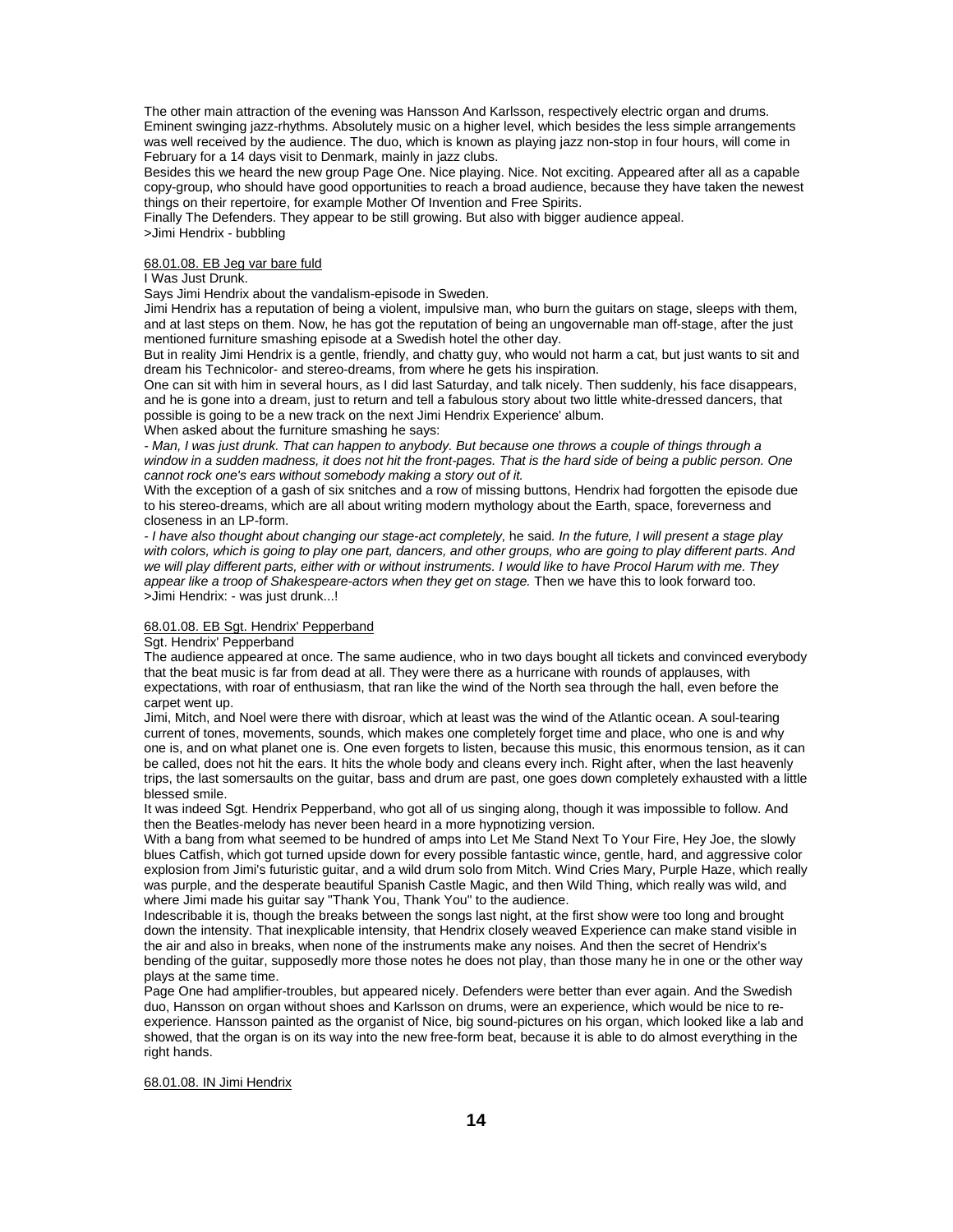The other main attraction of the evening was Hansson And Karlsson, respectively electric organ and drums. Eminent swinging jazz-rhythms. Absolutely music on a higher level, which besides the less simple arrangements was well received by the audience. The duo, which is known as playing jazz non-stop in four hours, will come in February for a 14 days visit to Denmark, mainly in jazz clubs.

Besides this we heard the new group Page One. Nice playing. Nice. Not exciting. Appeared after all as a capable copy-group, who should have good opportunities to reach a broad audience, because they have taken the newest things on their repertoire, for example Mother Of Invention and Free Spirits.

Finally The Defenders. They appear to be still growing. But also with bigger audience appeal. >Jimi Hendrix - bubbling

68.01.08. EB Jeg var bare fuld

I Was Just Drunk.

Says Jimi Hendrix about the vandalism-episode in Sweden.

Jimi Hendrix has a reputation of being a violent, impulsive man, who burn the guitars on stage, sleeps with them, and at last steps on them. Now, he has got the reputation of being an ungovernable man off-stage, after the just mentioned furniture smashing episode at a Swedish hotel the other day.

But in reality Jimi Hendrix is a gentle, friendly, and chatty guy, who would not harm a cat, but just wants to sit and dream his Technicolor- and stereo-dreams, from where he gets his inspiration.

One can sit with him in several hours, as I did last Saturday, and talk nicely. Then suddenly, his face disappears, and he is gone into a dream, just to return and tell a fabulous story about two little white-dressed dancers, that possible is going to be a new track on the next Jimi Hendrix Experience' album.

When asked about the furniture smashing he says:

*- Man, I was just drunk. That can happen to anybody. But because one throws a couple of things through a*  window in a sudden madness, it does not hit the front-pages. That is the hard side of being a public person. One *cannot rock one's ears without somebody making a story out of it.* 

With the exception of a gash of six snitches and a row of missing buttons, Hendrix had forgotten the episode due to his stereo-dreams, which are all about writing modern mythology about the Earth, space, foreverness and closeness in an LP-form.

*- I have also thought about changing our stage-act completely,* he said*. In the future, I will present a stage play*  with colors, which is going to play one part, dancers, and other groups, who are going to play different parts. And *we will play different parts, either with or without instruments. I would like to have Procol Harum with me. They appear like a troop of Shakespeare-actors when they get on stage.* Then we have this to look forward too. >Jimi Hendrix: - was just drunk...!

#### 68.01.08. EB Sgt. Hendrix' Pepperband

## Sgt. Hendrix' Pepperband

The audience appeared at once. The same audience, who in two days bought all tickets and convinced everybody that the beat music is far from dead at all. They were there as a hurricane with rounds of applauses, with expectations, with roar of enthusiasm, that ran like the wind of the North sea through the hall, even before the carpet went up.

Jimi, Mitch, and Noel were there with disroar, which at least was the wind of the Atlantic ocean. A soul-tearing current of tones, movements, sounds, which makes one completely forget time and place, who one is and why one is, and on what planet one is. One even forgets to listen, because this music, this enormous tension, as it can be called, does not hit the ears. It hits the whole body and cleans every inch. Right after, when the last heavenly trips, the last somersaults on the guitar, bass and drum are past, one goes down completely exhausted with a little blessed smile.

It was indeed Sgt. Hendrix Pepperband, who got all of us singing along, though it was impossible to follow. And then the Beatles-melody has never been heard in a more hypnotizing version.

With a bang from what seemed to be hundred of amps into Let Me Stand Next To Your Fire, Hey Joe, the slowly blues Catfish, which got turned upside down for every possible fantastic wince, gentle, hard, and aggressive color explosion from Jimi's futuristic guitar, and a wild drum solo from Mitch. Wind Cries Mary, Purple Haze, which really was purple, and the desperate beautiful Spanish Castle Magic, and then Wild Thing, which really was wild, and where Jimi made his guitar say "Thank You, Thank You" to the audience.

Indescribable it is, though the breaks between the songs last night, at the first show were too long and brought down the intensity. That inexplicable intensity, that Hendrix closely weaved Experience can make stand visible in the air and also in breaks, when none of the instruments make any noises. And then the secret of Hendrix's bending of the guitar, supposedly more those notes he does not play, than those many he in one or the other way plays at the same time.

Page One had amplifier-troubles, but appeared nicely. Defenders were better than ever again. And the Swedish duo, Hansson on organ without shoes and Karlsson on drums, were an experience, which would be nice to reexperience. Hansson painted as the organist of Nice, big sound-pictures on his organ, which looked like a lab and showed, that the organ is on its way into the new free-form beat, because it is able to do almost everything in the right hands.

#### 68.01.08. IN Jimi Hendrix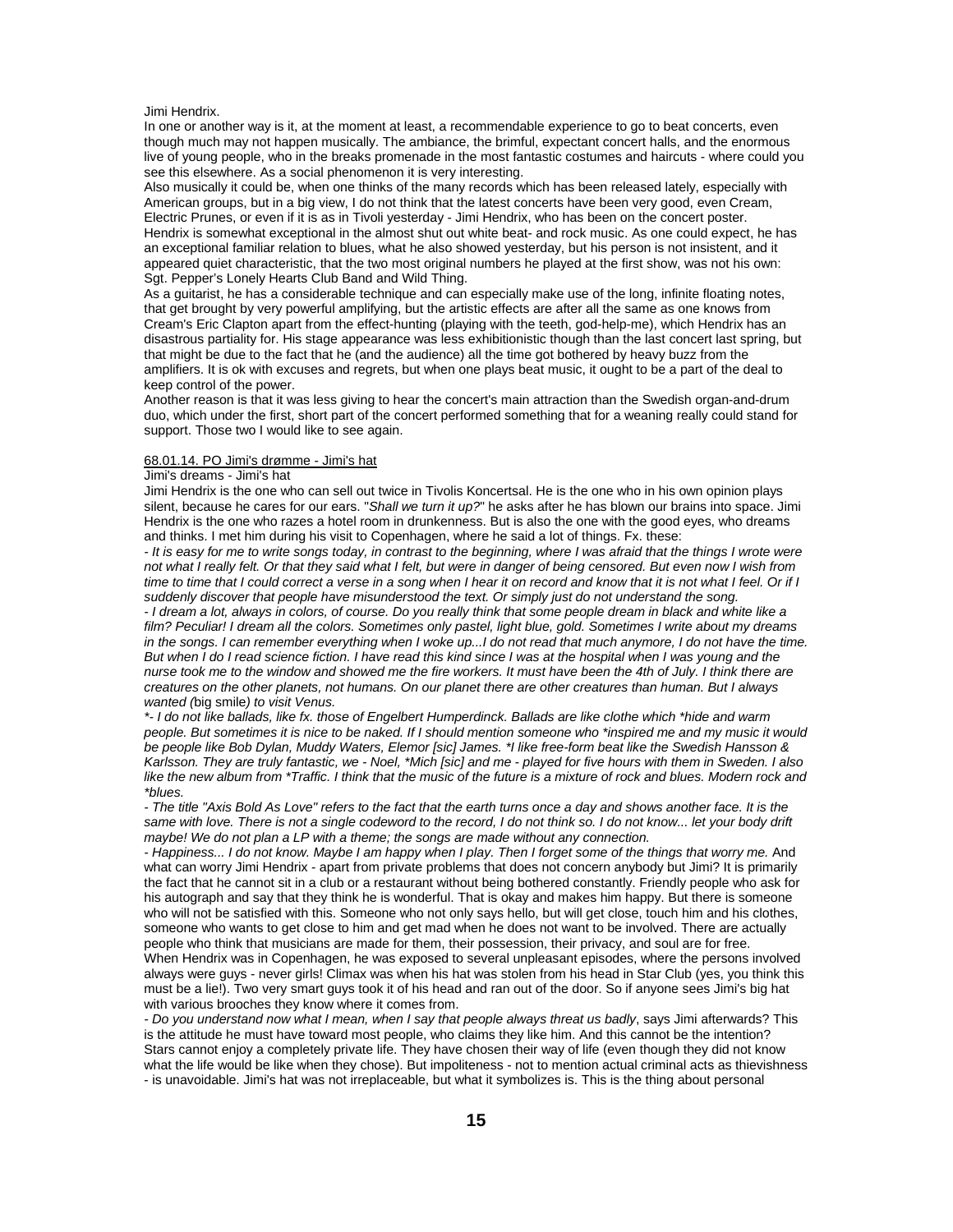## Jimi Hendrix.

In one or another way is it, at the moment at least, a recommendable experience to go to beat concerts, even though much may not happen musically. The ambiance, the brimful, expectant concert halls, and the enormous live of young people, who in the breaks promenade in the most fantastic costumes and haircuts - where could you see this elsewhere. As a social phenomenon it is very interesting.

Also musically it could be, when one thinks of the many records which has been released lately, especially with American groups, but in a big view, I do not think that the latest concerts have been very good, even Cream, Electric Prunes, or even if it is as in Tivoli yesterday - Jimi Hendrix, who has been on the concert poster. Hendrix is somewhat exceptional in the almost shut out white beat- and rock music. As one could expect, he has an exceptional familiar relation to blues, what he also showed yesterday, but his person is not insistent, and it appeared quiet characteristic, that the two most original numbers he played at the first show, was not his own: Sgt. Pepper's Lonely Hearts Club Band and Wild Thing.

As a guitarist, he has a considerable technique and can especially make use of the long, infinite floating notes, that get brought by very powerful amplifying, but the artistic effects are after all the same as one knows from Cream's Eric Clapton apart from the effect-hunting (playing with the teeth, god-help-me), which Hendrix has an disastrous partiality for. His stage appearance was less exhibitionistic though than the last concert last spring, but that might be due to the fact that he (and the audience) all the time got bothered by heavy buzz from the amplifiers. It is ok with excuses and regrets, but when one plays beat music, it ought to be a part of the deal to keep control of the power.

Another reason is that it was less giving to hear the concert's main attraction than the Swedish organ-and-drum duo, which under the first, short part of the concert performed something that for a weaning really could stand for support. Those two I would like to see again.

## 68.01.14. PO Jimi's drømme - Jimi's hat

#### Jimi's dreams - Jimi's hat

Jimi Hendrix is the one who can sell out twice in Tivolis Koncertsal. He is the one who in his own opinion plays silent, because he cares for our ears. "*Shall we turn it up?*" he asks after he has blown our brains into space. Jimi Hendrix is the one who razes a hotel room in drunkenness. But is also the one with the good eyes, who dreams and thinks. I met him during his visit to Copenhagen, where he said a lot of things. Fx. these:

*- It is easy for me to write songs today, in contrast to the beginning, where I was afraid that the things I wrote were not what I really felt. Or that they said what I felt, but were in danger of being censored. But even now I wish from time to time that I could correct a verse in a song when I hear it on record and know that it is not what I feel. Or if I suddenly discover that people have misunderstood the text. Or simply just do not understand the song.* 

*- I dream a lot, always in colors, of course. Do you really think that some people dream in black and white like a film? Peculiar! I dream all the colors. Sometimes only pastel, light blue, gold. Sometimes I write about my dreams in the songs. I can remember everything when I woke up...I do not read that much anymore, I do not have the time. But when I do I read science fiction. I have read this kind since I was at the hospital when I was young and the nurse took me to the window and showed me the fire workers. It must have been the 4th of July. I think there are creatures on the other planets, not humans. On our planet there are other creatures than human. But I always wanted (*big smile*) to visit Venus.* 

*\*- I do not like ballads, like fx. those of Engelbert Humperdinck. Ballads are like clothe which \*hide and warm people. But sometimes it is nice to be naked. If I should mention someone who \*inspired me and my music it would be people like Bob Dylan, Muddy Waters, Elemor [sic] James. \*I like free-form beat like the Swedish Hansson & Karlsson. They are truly fantastic, we - Noel, \*Mich [sic] and me - played for five hours with them in Sweden. I also*  like the new album from \*Traffic. I think that the music of the future is a mixture of rock and blues. Modern rock and *\*blues.* 

*- The title "Axis Bold As Love" refers to the fact that the earth turns once a day and shows another face. It is the*  same with love. There is not a single codeword to the record, I do not think so. I do not know... let your body drift *maybe! We do not plan a LP with a theme; the songs are made without any connection.* 

*- Happiness... I do not know. Maybe I am happy when I play. Then I forget some of the things that worry me.* And what can worry Jimi Hendrix - apart from private problems that does not concern anybody but Jimi? It is primarily the fact that he cannot sit in a club or a restaurant without being bothered constantly. Friendly people who ask for his autograph and say that they think he is wonderful. That is okay and makes him happy. But there is someone who will not be satisfied with this. Someone who not only says hello, but will get close, touch him and his clothes, someone who wants to get close to him and get mad when he does not want to be involved. There are actually people who think that musicians are made for them, their possession, their privacy, and soul are for free. When Hendrix was in Copenhagen, he was exposed to several unpleasant episodes, where the persons involved always were guys - never girls! Climax was when his hat was stolen from his head in Star Club (yes, you think this must be a lie!). Two very smart guys took it of his head and ran out of the door. So if anyone sees Jimi's big hat with various brooches they know where it comes from.

*- Do you understand now what I mean, when I say that people always threat us badly*, says Jimi afterwards? This is the attitude he must have toward most people, who claims they like him. And this cannot be the intention? Stars cannot enjoy a completely private life. They have chosen their way of life (even though they did not know what the life would be like when they chose). But impoliteness - not to mention actual criminal acts as thievishness - is unavoidable. Jimi's hat was not irreplaceable, but what it symbolizes is. This is the thing about personal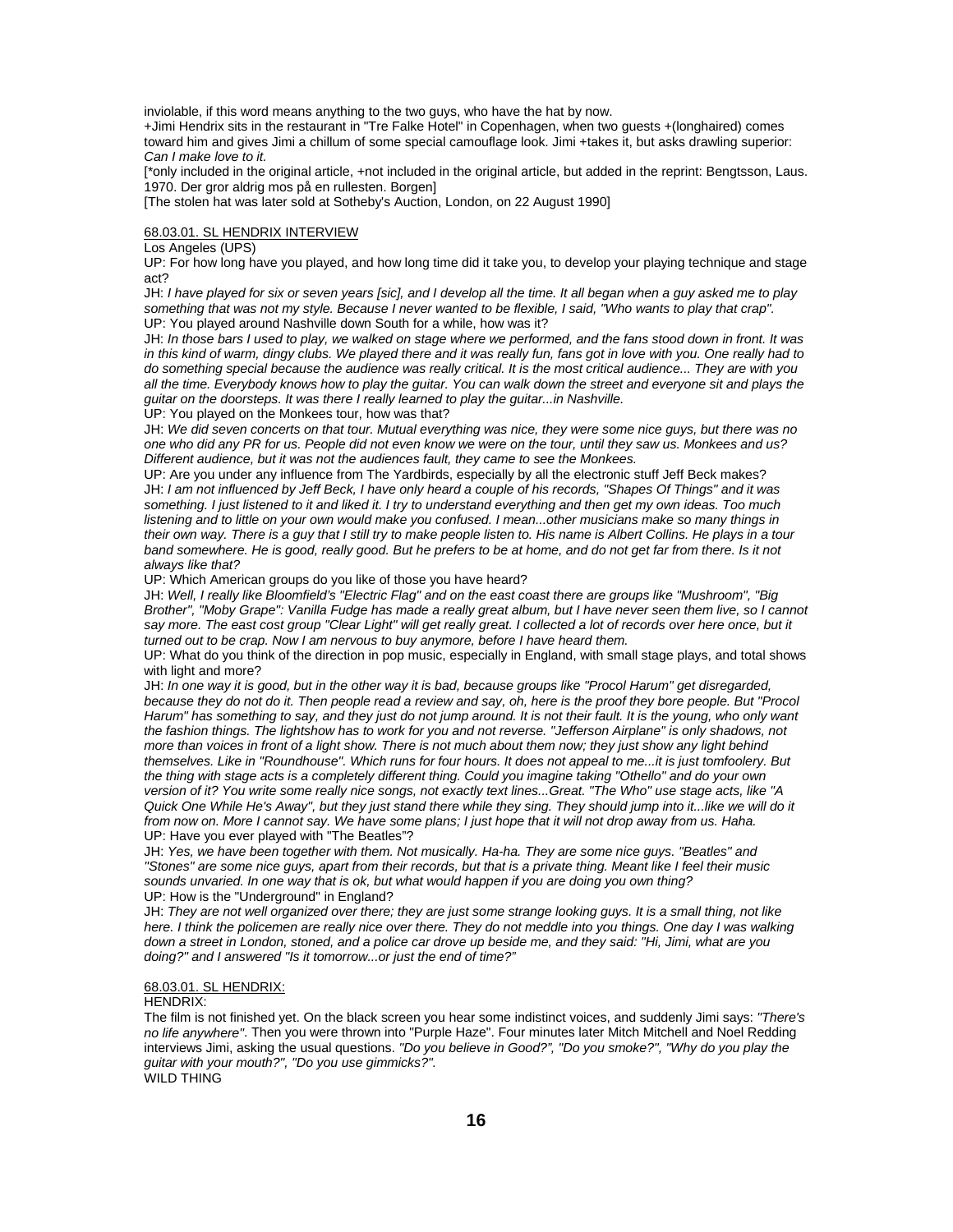inviolable, if this word means anything to the two guys, who have the hat by now.

+Jimi Hendrix sits in the restaurant in "Tre Falke Hotel" in Copenhagen, when two guests +(longhaired) comes toward him and gives Jimi a chillum of some special camouflage look. Jimi +takes it, but asks drawling superior: *Can I make love to it.* 

[\*only included in the original article, +not included in the original article, but added in the reprint: Bengtsson, Laus. 1970. Der gror aldrig mos på en rullesten. Borgen]

[The stolen hat was later sold at Sotheby's Auction, London, on 22 August 1990]

#### 68.03.01. SL HENDRIX INTERVIEW

Los Angeles (UPS)

UP: For how long have you played, and how long time did it take you, to develop your playing technique and stage act?

JH: *I have played for six or seven years [sic], and I develop all the time. It all began when a guy asked me to play something that was not my style. Because I never wanted to be flexible, I said, "Who wants to play that crap".*  UP: You played around Nashville down South for a while, how was it?

JH: *In those bars I used to play, we walked on stage where we performed, and the fans stood down in front. It was in this kind of warm, dingy clubs. We played there and it was really fun, fans got in love with you. One really had to do something special because the audience was really critical. It is the most critical audience... They are with you all the time. Everybody knows how to play the guitar. You can walk down the street and everyone sit and plays the guitar on the doorsteps. It was there I really learned to play the guitar...in Nashville.* 

UP: You played on the Monkees tour, how was that?

JH: *We did seven concerts on that tour. Mutual everything was nice, they were some nice guys, but there was no one who did any PR for us. People did not even know we were on the tour, until they saw us. Monkees and us? Different audience, but it was not the audiences fault, they came to see the Monkees.* 

UP: Are you under any influence from The Yardbirds, especially by all the electronic stuff Jeff Beck makes? JH: *I am not influenced by Jeff Beck, I have only heard a couple of his records, "Shapes Of Things" and it was something. I just listened to it and liked it. I try to understand everything and then get my own ideas. Too much listening and to little on your own would make you confused. I mean...other musicians make so many things in their own way. There is a guy that I still try to make people listen to. His name is Albert Collins. He plays in a tour*  band somewhere. He is good, really good. But he prefers to be at home, and do not get far from there. Is it not *always like that?* 

UP: Which American groups do you like of those you have heard?

JH: *Well, I really like Bloomfield's "Electric Flag" and on the east coast there are groups like "Mushroom", "Big Brother", "Moby Grape": Vanilla Fudge has made a really great album, but I have never seen them live, so I cannot*  say more. The east cost group "Clear Light" will get really great. I collected a lot of records over here once, but it *turned out to be crap. Now I am nervous to buy anymore, before I have heard them.* 

UP: What do you think of the direction in pop music, especially in England, with small stage plays, and total shows with light and more?

JH: *In one way it is good, but in the other way it is bad, because groups like "Procol Harum" get disregarded, because they do not do it. Then people read a review and say, oh, here is the proof they bore people. But "Procol Harum" has something to say, and they just do not jump around. It is not their fault. It is the young, who only want the fashion things. The lightshow has to work for you and not reverse. "Jefferson Airplane" is only shadows, not more than voices in front of a light show. There is not much about them now; they just show any light behind themselves. Like in "Roundhouse". Which runs for four hours. It does not appeal to me...it is just tomfoolery. But the thing with stage acts is a completely different thing. Could you imagine taking "Othello" and do your own version of it? You write some really nice songs, not exactly text lines...Great. "The Who" use stage acts, like "A Quick One While He's Away", but they just stand there while they sing. They should jump into it...like we will do it from now on. More I cannot say. We have some plans; I just hope that it will not drop away from us. Haha.*  UP: Have you ever played with "The Beatles"?

JH: *Yes, we have been together with them. Not musically. Ha-ha. They are some nice guys. "Beatles" and "Stones" are some nice guys, apart from their records, but that is a private thing. Meant like I feel their music sounds unvaried. In one way that is ok, but what would happen if you are doing you own thing?*  UP: How is the "Underground" in England?

JH: *They are not well organized over there; they are just some strange looking guys. It is a small thing, not like here. I think the policemen are really nice over there. They do not meddle into you things. One day I was walking down a street in London, stoned, and a police car drove up beside me, and they said: "Hi, Jimi, what are you doing?" and I answered "Is it tomorrow...or just the end of time?"* 

## 68.03.01. SL HENDRIX:

HENDRIX:

The film is not finished yet. On the black screen you hear some indistinct voices, and suddenly Jimi says: *"There's no life anywhere"*. Then you were thrown into "Purple Haze". Four minutes later Mitch Mitchell and Noel Redding interviews Jimi, asking the usual questions. *"Do you believe in Good?", "Do you smoke?", "Why do you play the guitar with your mouth?", "Do you use gimmicks?".* 

WILD THING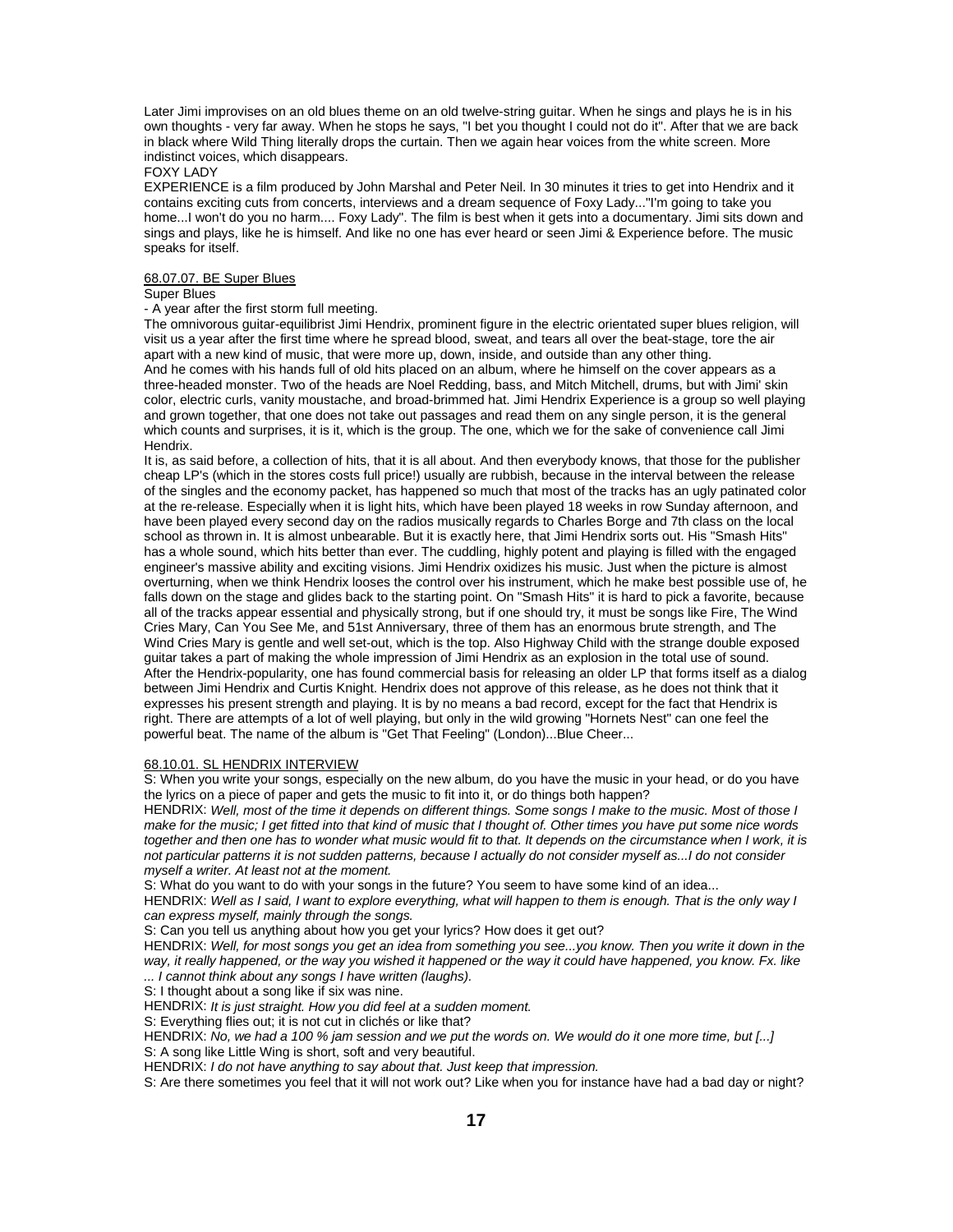Later Jimi improvises on an old blues theme on an old twelve-string guitar. When he sings and plays he is in his own thoughts - very far away. When he stops he says, "I bet you thought I could not do it". After that we are back in black where Wild Thing literally drops the curtain. Then we again hear voices from the white screen. More indistinct voices, which disappears.

FOXY LADY

EXPERIENCE is a film produced by John Marshal and Peter Neil. In 30 minutes it tries to get into Hendrix and it contains exciting cuts from concerts, interviews and a dream sequence of Foxy Lady..."I'm going to take you home...I won't do you no harm.... Foxy Lady". The film is best when it gets into a documentary. Jimi sits down and sings and plays, like he is himself. And like no one has ever heard or seen Jimi & Experience before. The music speaks for itself.

## 68.07.07. BE Super Blues

#### Super Blues

## - A year after the first storm full meeting.

The omnivorous guitar-equilibrist Jimi Hendrix, prominent figure in the electric orientated super blues religion, will visit us a year after the first time where he spread blood, sweat, and tears all over the beat-stage, tore the air apart with a new kind of music, that were more up, down, inside, and outside than any other thing. And he comes with his hands full of old hits placed on an album, where he himself on the cover appears as a three-headed monster. Two of the heads are Noel Redding, bass, and Mitch Mitchell, drums, but with Jimi' skin color, electric curls, vanity moustache, and broad-brimmed hat. Jimi Hendrix Experience is a group so well playing and grown together, that one does not take out passages and read them on any single person, it is the general which counts and surprises, it is it, which is the group. The one, which we for the sake of convenience call Jimi Hendrix.

It is, as said before, a collection of hits, that it is all about. And then everybody knows, that those for the publisher cheap LP's (which in the stores costs full price!) usually are rubbish, because in the interval between the release of the singles and the economy packet, has happened so much that most of the tracks has an ugly patinated color at the re-release. Especially when it is light hits, which have been played 18 weeks in row Sunday afternoon, and have been played every second day on the radios musically regards to Charles Borge and 7th class on the local school as thrown in. It is almost unbearable. But it is exactly here, that Jimi Hendrix sorts out. His "Smash Hits" has a whole sound, which hits better than ever. The cuddling, highly potent and playing is filled with the engaged engineer's massive ability and exciting visions. Jimi Hendrix oxidizes his music. Just when the picture is almost overturning, when we think Hendrix looses the control over his instrument, which he make best possible use of, he falls down on the stage and glides back to the starting point. On "Smash Hits" it is hard to pick a favorite, because all of the tracks appear essential and physically strong, but if one should try, it must be songs like Fire, The Wind Cries Mary, Can You See Me, and 51st Anniversary, three of them has an enormous brute strength, and The Wind Cries Mary is gentle and well set-out, which is the top. Also Highway Child with the strange double exposed guitar takes a part of making the whole impression of Jimi Hendrix as an explosion in the total use of sound. After the Hendrix-popularity, one has found commercial basis for releasing an older LP that forms itself as a dialog between Jimi Hendrix and Curtis Knight. Hendrix does not approve of this release, as he does not think that it expresses his present strength and playing. It is by no means a bad record, except for the fact that Hendrix is right. There are attempts of a lot of well playing, but only in the wild growing "Hornets Nest" can one feel the powerful beat. The name of the album is "Get That Feeling" (London)...Blue Cheer...

## 68.10.01. SL HENDRIX INTERVIEW

S: When you write your songs, especially on the new album, do you have the music in your head, or do you have the lyrics on a piece of paper and gets the music to fit into it, or do things both happen?

HENDRIX: *Well, most of the time it depends on different things. Some songs I make to the music. Most of those I make for the music; I get fitted into that kind of music that I thought of. Other times you have put some nice words together and then one has to wonder what music would fit to that. It depends on the circumstance when I work, it is not particular patterns it is not sudden patterns, because I actually do not consider myself as...I do not consider myself a writer. At least not at the moment.* 

S: What do you want to do with your songs in the future? You seem to have some kind of an idea...

HENDRIX: *Well as I said, I want to explore everything, what will happen to them is enough. That is the only way I can express myself, mainly through the songs.* 

S: Can you tell us anything about how you get your lyrics? How does it get out?

HENDRIX: *Well, for most songs you get an idea from something you see...you know. Then you write it down in the way, it really happened, or the way you wished it happened or the way it could have happened, you know. Fx. like ... I cannot think about any songs I have written (laughs).* 

S: I thought about a song like if six was nine.

HENDRIX: *It is just straight. How you did feel at a sudden moment.* 

S: Everything flies out; it is not cut in clichés or like that?

HENDRIX: *No, we had a 100 % jam session and we put the words on. We would do it one more time, but [...]*  S: A song like Little Wing is short, soft and very beautiful.

HENDRIX: *I do not have anything to say about that. Just keep that impression.* 

S: Are there sometimes you feel that it will not work out? Like when you for instance have had a bad day or night?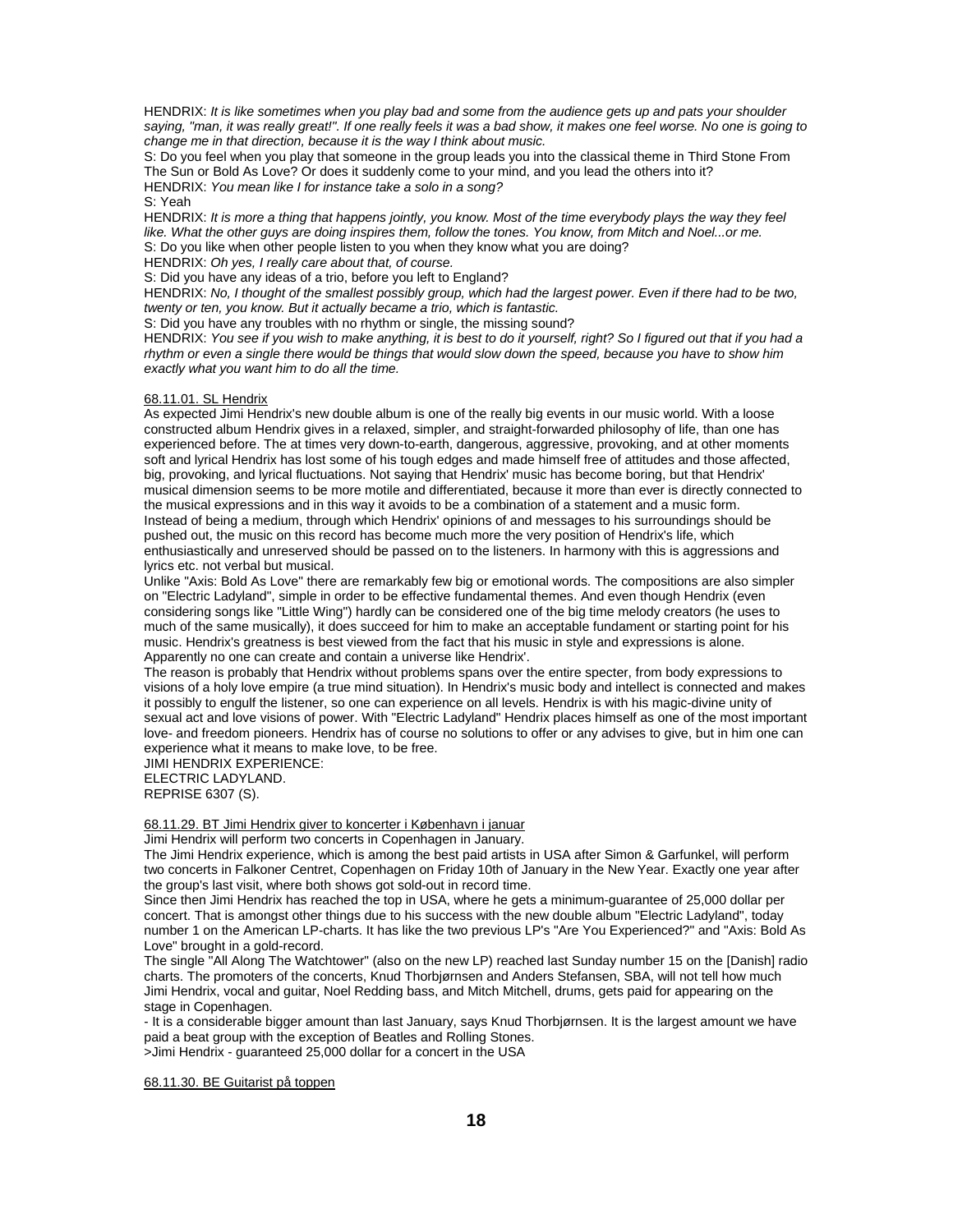HENDRIX: *It is like sometimes when you play bad and some from the audience gets up and pats your shoulder saying, "man, it was really great!". If one really feels it was a bad show, it makes one feel worse. No one is going to change me in that direction, because it is the way I think about music.* 

S: Do you feel when you play that someone in the group leads you into the classical theme in Third Stone From The Sun or Bold As Love? Or does it suddenly come to your mind, and you lead the others into it? HENDRIX: *You mean like I for instance take a solo in a song?*  S: Yeah

HENDRIX: *It is more a thing that happens jointly, you know. Most of the time everybody plays the way they feel like. What the other guys are doing inspires them, follow the tones. You know, from Mitch and Noel...or me.* S: Do you like when other people listen to you when they know what you are doing?

HENDRIX: *Oh yes, I really care about that, of course.* 

S: Did you have any ideas of a trio, before you left to England?

HENDRIX: *No, I thought of the smallest possibly group, which had the largest power. Even if there had to be two, twenty or ten, you know. But it actually became a trio, which is fantastic.* 

S: Did you have any troubles with no rhythm or single, the missing sound?

HENDRIX: *You see if you wish to make anything, it is best to do it yourself, right? So I figured out that if you had a rhythm or even a single there would be things that would slow down the speed, because you have to show him exactly what you want him to do all the time.* 

#### 68.11.01. SL Hendrix

As expected Jimi Hendrix's new double album is one of the really big events in our music world. With a loose constructed album Hendrix gives in a relaxed, simpler, and straight-forwarded philosophy of life, than one has experienced before. The at times very down-to-earth, dangerous, aggressive, provoking, and at other moments soft and lyrical Hendrix has lost some of his tough edges and made himself free of attitudes and those affected, big, provoking, and lyrical fluctuations. Not saying that Hendrix' music has become boring, but that Hendrix' musical dimension seems to be more motile and differentiated, because it more than ever is directly connected to the musical expressions and in this way it avoids to be a combination of a statement and a music form. Instead of being a medium, through which Hendrix' opinions of and messages to his surroundings should be pushed out, the music on this record has become much more the very position of Hendrix's life, which enthusiastically and unreserved should be passed on to the listeners. In harmony with this is aggressions and lyrics etc. not verbal but musical.

Unlike "Axis: Bold As Love" there are remarkably few big or emotional words. The compositions are also simpler on "Electric Ladyland", simple in order to be effective fundamental themes. And even though Hendrix (even considering songs like "Little Wing") hardly can be considered one of the big time melody creators (he uses to much of the same musically), it does succeed for him to make an acceptable fundament or starting point for his music. Hendrix's greatness is best viewed from the fact that his music in style and expressions is alone. Apparently no one can create and contain a universe like Hendrix'.

The reason is probably that Hendrix without problems spans over the entire specter, from body expressions to visions of a holy love empire (a true mind situation). In Hendrix's music body and intellect is connected and makes it possibly to engulf the listener, so one can experience on all levels. Hendrix is with his magic-divine unity of sexual act and love visions of power. With "Electric Ladyland" Hendrix places himself as one of the most important love- and freedom pioneers. Hendrix has of course no solutions to offer or any advises to give, but in him one can experience what it means to make love, to be free.

JIMI HENDRIX EXPERIENCE: ELECTRIC LADYLAND. REPRISE 6307 (S).

68.11.29. BT Jimi Hendrix giver to koncerter i København i januar

Jimi Hendrix will perform two concerts in Copenhagen in January.

The Jimi Hendrix experience, which is among the best paid artists in USA after Simon & Garfunkel, will perform two concerts in Falkoner Centret, Copenhagen on Friday 10th of January in the New Year. Exactly one year after the group's last visit, where both shows got sold-out in record time.

Since then Jimi Hendrix has reached the top in USA, where he gets a minimum-guarantee of 25,000 dollar per concert. That is amongst other things due to his success with the new double album "Electric Ladyland", today number 1 on the American LP-charts. It has like the two previous LP's "Are You Experienced?" and "Axis: Bold As Love" brought in a gold-record.

The single "All Along The Watchtower" (also on the new LP) reached last Sunday number 15 on the [Danish] radio charts. The promoters of the concerts, Knud Thorbjørnsen and Anders Stefansen, SBA, will not tell how much Jimi Hendrix, vocal and guitar, Noel Redding bass, and Mitch Mitchell, drums, gets paid for appearing on the stage in Copenhagen.

- It is a considerable bigger amount than last January, says Knud Thorbjørnsen. It is the largest amount we have paid a beat group with the exception of Beatles and Rolling Stones.

>Jimi Hendrix - guaranteed 25,000 dollar for a concert in the USA

68.11.30. BE Guitarist på toppen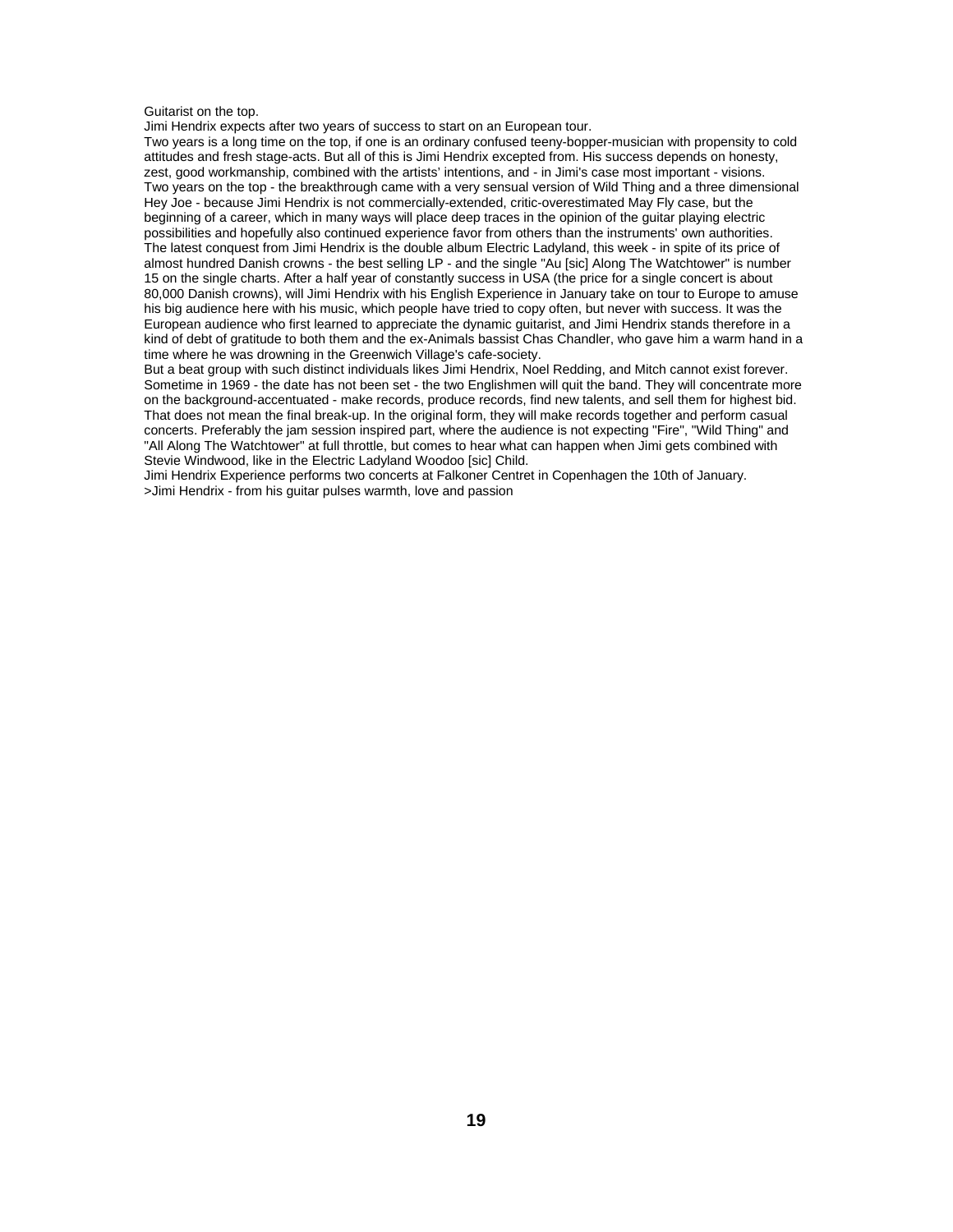Guitarist on the top.

Jimi Hendrix expects after two years of success to start on an European tour.

Two years is a long time on the top, if one is an ordinary confused teeny-bopper-musician with propensity to cold attitudes and fresh stage-acts. But all of this is Jimi Hendrix excepted from. His success depends on honesty, zest, good workmanship, combined with the artists' intentions, and - in Jimi's case most important - visions. Two years on the top - the breakthrough came with a very sensual version of Wild Thing and a three dimensional Hey Joe - because Jimi Hendrix is not commercially-extended, critic-overestimated May Fly case, but the beginning of a career, which in many ways will place deep traces in the opinion of the guitar playing electric possibilities and hopefully also continued experience favor from others than the instruments' own authorities. The latest conquest from Jimi Hendrix is the double album Electric Ladyland, this week - in spite of its price of almost hundred Danish crowns - the best selling LP - and the single "Au [sic] Along The Watchtower" is number 15 on the single charts. After a half year of constantly success in USA (the price for a single concert is about 80,000 Danish crowns), will Jimi Hendrix with his English Experience in January take on tour to Europe to amuse his big audience here with his music, which people have tried to copy often, but never with success. It was the European audience who first learned to appreciate the dynamic guitarist, and Jimi Hendrix stands therefore in a kind of debt of gratitude to both them and the ex-Animals bassist Chas Chandler, who gave him a warm hand in a time where he was drowning in the Greenwich Village's cafe-society.

But a beat group with such distinct individuals likes Jimi Hendrix, Noel Redding, and Mitch cannot exist forever. Sometime in 1969 - the date has not been set - the two Englishmen will quit the band. They will concentrate more on the background-accentuated - make records, produce records, find new talents, and sell them for highest bid. That does not mean the final break-up. In the original form, they will make records together and perform casual concerts. Preferably the jam session inspired part, where the audience is not expecting "Fire", "Wild Thing" and "All Along The Watchtower" at full throttle, but comes to hear what can happen when Jimi gets combined with Stevie Windwood, like in the Electric Ladyland Woodoo [sic] Child.

Jimi Hendrix Experience performs two concerts at Falkoner Centret in Copenhagen the 10th of January. >Jimi Hendrix - from his guitar pulses warmth, love and passion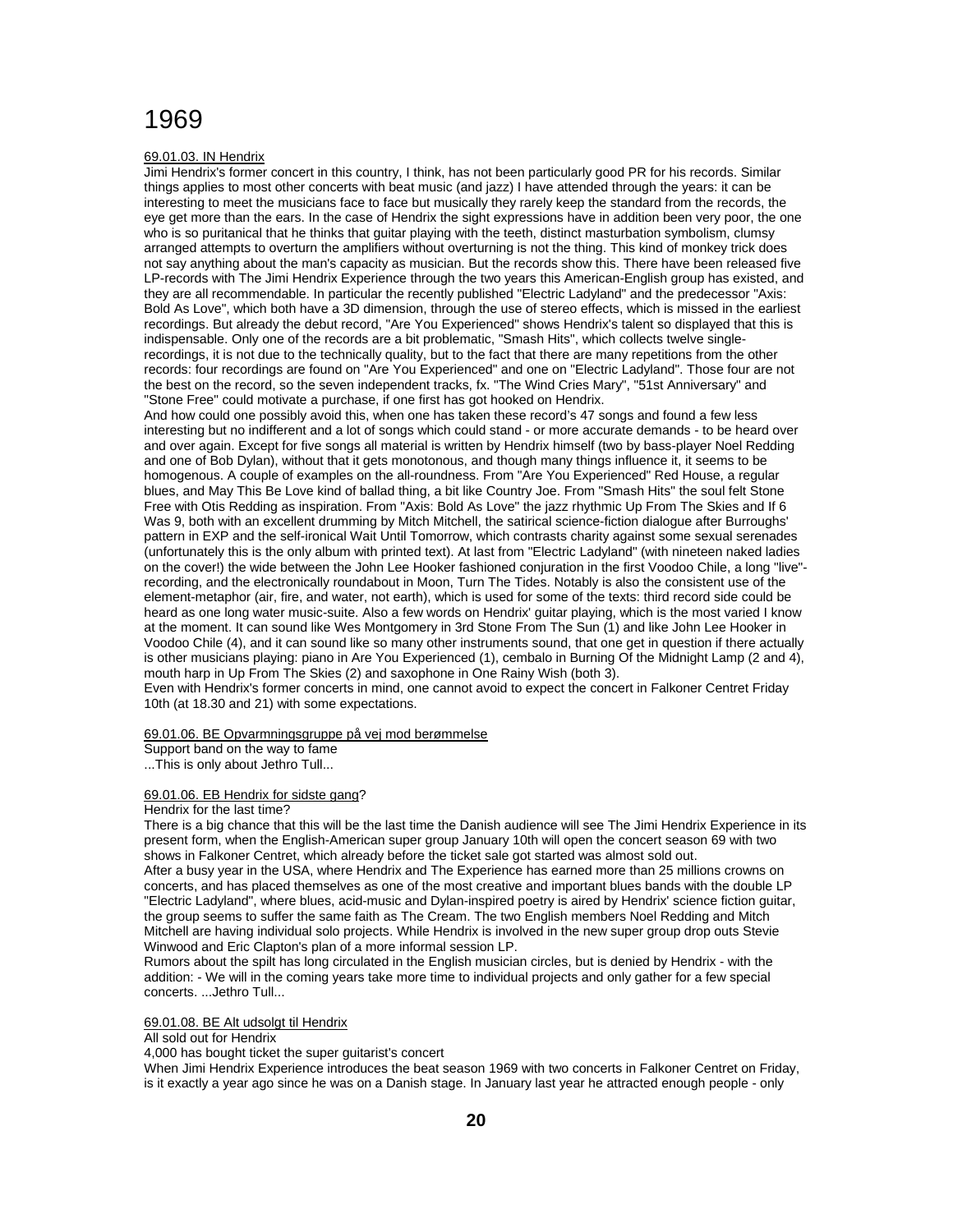## 1969

### 69.01.03. IN Hendrix

Jimi Hendrix's former concert in this country, I think, has not been particularly good PR for his records. Similar things applies to most other concerts with beat music (and jazz) I have attended through the years: it can be interesting to meet the musicians face to face but musically they rarely keep the standard from the records, the eye get more than the ears. In the case of Hendrix the sight expressions have in addition been very poor, the one who is so puritanical that he thinks that guitar playing with the teeth, distinct masturbation symbolism, clumsy arranged attempts to overturn the amplifiers without overturning is not the thing. This kind of monkey trick does not say anything about the man's capacity as musician. But the records show this. There have been released five LP-records with The Jimi Hendrix Experience through the two years this American-English group has existed, and they are all recommendable. In particular the recently published "Electric Ladyland" and the predecessor "Axis: Bold As Love", which both have a 3D dimension, through the use of stereo effects, which is missed in the earliest recordings. But already the debut record, "Are You Experienced" shows Hendrix's talent so displayed that this is indispensable. Only one of the records are a bit problematic, "Smash Hits", which collects twelve singlerecordings, it is not due to the technically quality, but to the fact that there are many repetitions from the other records: four recordings are found on "Are You Experienced" and one on "Electric Ladyland". Those four are not the best on the record, so the seven independent tracks, fx. "The Wind Cries Mary", "51st Anniversary" and "Stone Free" could motivate a purchase, if one first has got hooked on Hendrix.

And how could one possibly avoid this, when one has taken these record's 47 songs and found a few less interesting but no indifferent and a lot of songs which could stand - or more accurate demands - to be heard over and over again. Except for five songs all material is written by Hendrix himself (two by bass-player Noel Redding and one of Bob Dylan), without that it gets monotonous, and though many things influence it, it seems to be homogenous. A couple of examples on the all-roundness. From "Are You Experienced" Red House, a regular blues, and May This Be Love kind of ballad thing, a bit like Country Joe. From "Smash Hits" the soul felt Stone Free with Otis Redding as inspiration. From "Axis: Bold As Love" the jazz rhythmic Up From The Skies and If 6 Was 9, both with an excellent drumming by Mitch Mitchell, the satirical science-fiction dialogue after Burroughs' pattern in EXP and the self-ironical Wait Until Tomorrow, which contrasts charity against some sexual serenades (unfortunately this is the only album with printed text). At last from "Electric Ladyland" (with nineteen naked ladies on the cover!) the wide between the John Lee Hooker fashioned conjuration in the first Voodoo Chile, a long "live" recording, and the electronically roundabout in Moon, Turn The Tides. Notably is also the consistent use of the element-metaphor (air, fire, and water, not earth), which is used for some of the texts: third record side could be heard as one long water music-suite. Also a few words on Hendrix' guitar playing, which is the most varied I know at the moment. It can sound like Wes Montgomery in 3rd Stone From The Sun (1) and like John Lee Hooker in Voodoo Chile (4), and it can sound like so many other instruments sound, that one get in question if there actually is other musicians playing: piano in Are You Experienced (1), cembalo in Burning Of the Midnight Lamp (2 and 4), mouth harp in Up From The Skies (2) and saxophone in One Rainy Wish (both 3).

Even with Hendrix's former concerts in mind, one cannot avoid to expect the concert in Falkoner Centret Friday 10th (at 18.30 and 21) with some expectations.

69.01.06. BE Opvarmningsgruppe på vej mod berømmelse

Support band on the way to fame

...This is only about Jethro Tull...

## 69.01.06. EB Hendrix for sidste gang?

Hendrix for the last time?

There is a big chance that this will be the last time the Danish audience will see The Jimi Hendrix Experience in its present form, when the English-American super group January 10th will open the concert season 69 with two shows in Falkoner Centret, which already before the ticket sale got started was almost sold out.

After a busy year in the USA, where Hendrix and The Experience has earned more than 25 millions crowns on concerts, and has placed themselves as one of the most creative and important blues bands with the double LP "Electric Ladyland", where blues, acid-music and Dylan-inspired poetry is aired by Hendrix' science fiction guitar, the group seems to suffer the same faith as The Cream. The two English members Noel Redding and Mitch Mitchell are having individual solo projects. While Hendrix is involved in the new super group drop outs Stevie Winwood and Eric Clapton's plan of a more informal session LP.

Rumors about the spilt has long circulated in the English musician circles, but is denied by Hendrix - with the addition: - We will in the coming years take more time to individual projects and only gather for a few special concerts. ...Jethro Tull...

69.01.08. BE Alt udsolgt til Hendrix

All sold out for Hendrix

4,000 has bought ticket the super guitarist's concert

When Jimi Hendrix Experience introduces the beat season 1969 with two concerts in Falkoner Centret on Friday, is it exactly a year ago since he was on a Danish stage. In January last year he attracted enough people - only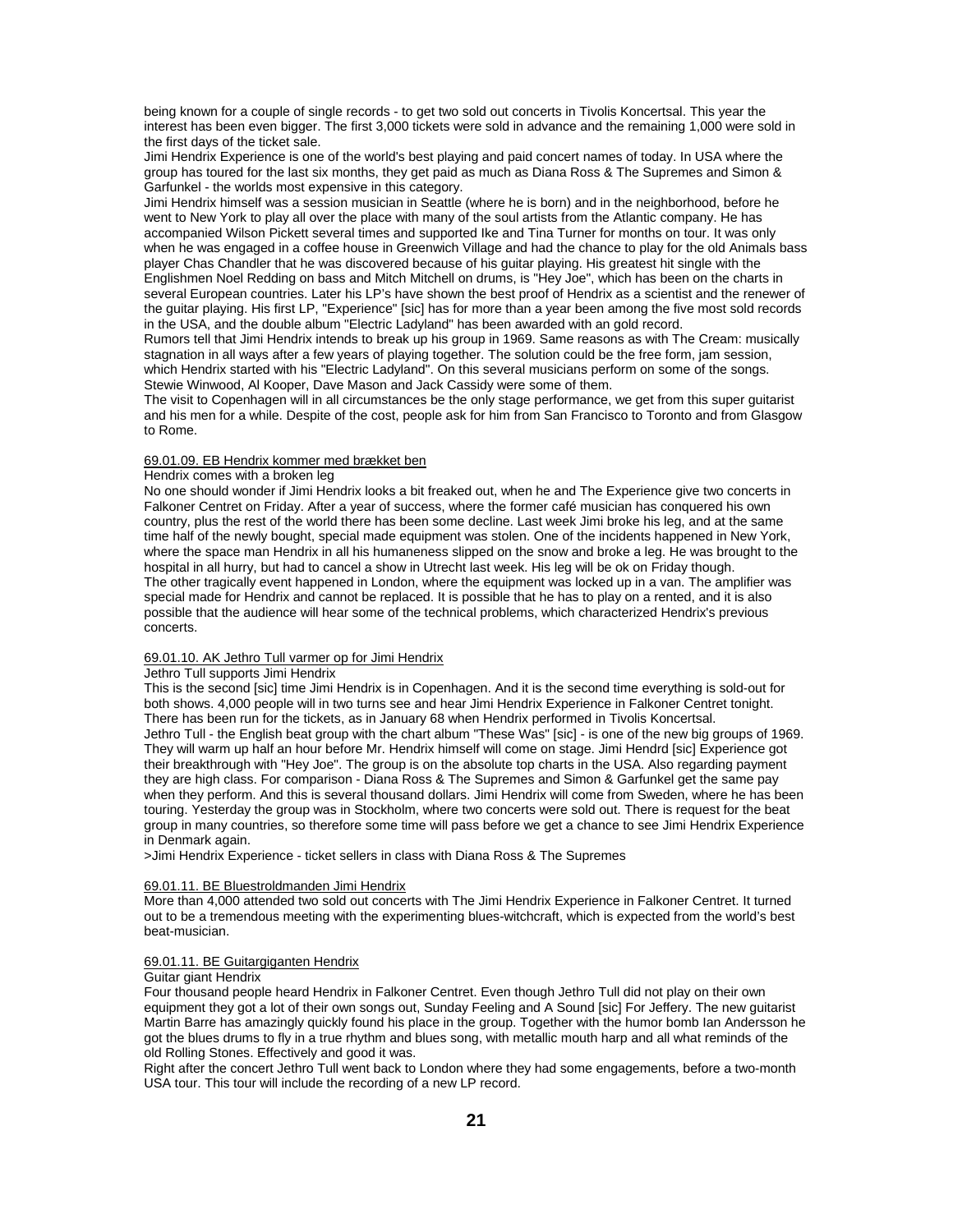being known for a couple of single records - to get two sold out concerts in Tivolis Koncertsal. This year the interest has been even bigger. The first 3,000 tickets were sold in advance and the remaining 1,000 were sold in the first days of the ticket sale.

Jimi Hendrix Experience is one of the world's best playing and paid concert names of today. In USA where the group has toured for the last six months, they get paid as much as Diana Ross & The Supremes and Simon & Garfunkel - the worlds most expensive in this category.

Jimi Hendrix himself was a session musician in Seattle (where he is born) and in the neighborhood, before he went to New York to play all over the place with many of the soul artists from the Atlantic company. He has accompanied Wilson Pickett several times and supported Ike and Tina Turner for months on tour. It was only when he was engaged in a coffee house in Greenwich Village and had the chance to play for the old Animals bass player Chas Chandler that he was discovered because of his guitar playing. His greatest hit single with the Englishmen Noel Redding on bass and Mitch Mitchell on drums, is "Hey Joe", which has been on the charts in several European countries. Later his LP's have shown the best proof of Hendrix as a scientist and the renewer of the guitar playing. His first LP, "Experience" [sic] has for more than a year been among the five most sold records in the USA, and the double album "Electric Ladyland" has been awarded with an gold record.

Rumors tell that Jimi Hendrix intends to break up his group in 1969. Same reasons as with The Cream: musically stagnation in all ways after a few years of playing together. The solution could be the free form, jam session, which Hendrix started with his "Electric Ladyland". On this several musicians perform on some of the songs. Stewie Winwood, Al Kooper, Dave Mason and Jack Cassidy were some of them.

The visit to Copenhagen will in all circumstances be the only stage performance, we get from this super guitarist and his men for a while. Despite of the cost, people ask for him from San Francisco to Toronto and from Glasgow to Rome.

## 69.01.09. EB Hendrix kommer med brækket ben

#### Hendrix comes with a broken leg

No one should wonder if Jimi Hendrix looks a bit freaked out, when he and The Experience give two concerts in Falkoner Centret on Friday. After a year of success, where the former café musician has conquered his own country, plus the rest of the world there has been some decline. Last week Jimi broke his leg, and at the same time half of the newly bought, special made equipment was stolen. One of the incidents happened in New York, where the space man Hendrix in all his humaneness slipped on the snow and broke a leg. He was brought to the hospital in all hurry, but had to cancel a show in Utrecht last week. His leg will be ok on Friday though. The other tragically event happened in London, where the equipment was locked up in a van. The amplifier was special made for Hendrix and cannot be replaced. It is possible that he has to play on a rented, and it is also possible that the audience will hear some of the technical problems, which characterized Hendrix's previous concerts.

## 69.01.10. AK Jethro Tull varmer op for Jimi Hendrix

#### Jethro Tull supports Jimi Hendrix

This is the second [sic] time Jimi Hendrix is in Copenhagen. And it is the second time everything is sold-out for both shows. 4,000 people will in two turns see and hear Jimi Hendrix Experience in Falkoner Centret tonight. There has been run for the tickets, as in January 68 when Hendrix performed in Tivolis Koncertsal. Jethro Tull - the English beat group with the chart album "These Was" [sic] - is one of the new big groups of 1969. They will warm up half an hour before Mr. Hendrix himself will come on stage. Jimi Hendrd [sic] Experience got their breakthrough with "Hey Joe". The group is on the absolute top charts in the USA. Also regarding payment they are high class. For comparison - Diana Ross & The Supremes and Simon & Garfunkel get the same pay when they perform. And this is several thousand dollars. Jimi Hendrix will come from Sweden, where he has been touring. Yesterday the group was in Stockholm, where two concerts were sold out. There is request for the beat group in many countries, so therefore some time will pass before we get a chance to see Jimi Hendrix Experience in Denmark again.

>Jimi Hendrix Experience - ticket sellers in class with Diana Ross & The Supremes

#### 69.01.11. BE Bluestroldmanden Jimi Hendrix

More than 4,000 attended two sold out concerts with The Jimi Hendrix Experience in Falkoner Centret. It turned out to be a tremendous meeting with the experimenting blues-witchcraft, which is expected from the world's best beat-musician.

#### 69.01.11. BE Guitargiganten Hendrix

#### Guitar giant Hendrix

Four thousand people heard Hendrix in Falkoner Centret. Even though Jethro Tull did not play on their own equipment they got a lot of their own songs out, Sunday Feeling and A Sound [sic] For Jeffery. The new guitarist Martin Barre has amazingly quickly found his place in the group. Together with the humor bomb Ian Andersson he got the blues drums to fly in a true rhythm and blues song, with metallic mouth harp and all what reminds of the old Rolling Stones. Effectively and good it was.

Right after the concert Jethro Tull went back to London where they had some engagements, before a two-month USA tour. This tour will include the recording of a new LP record.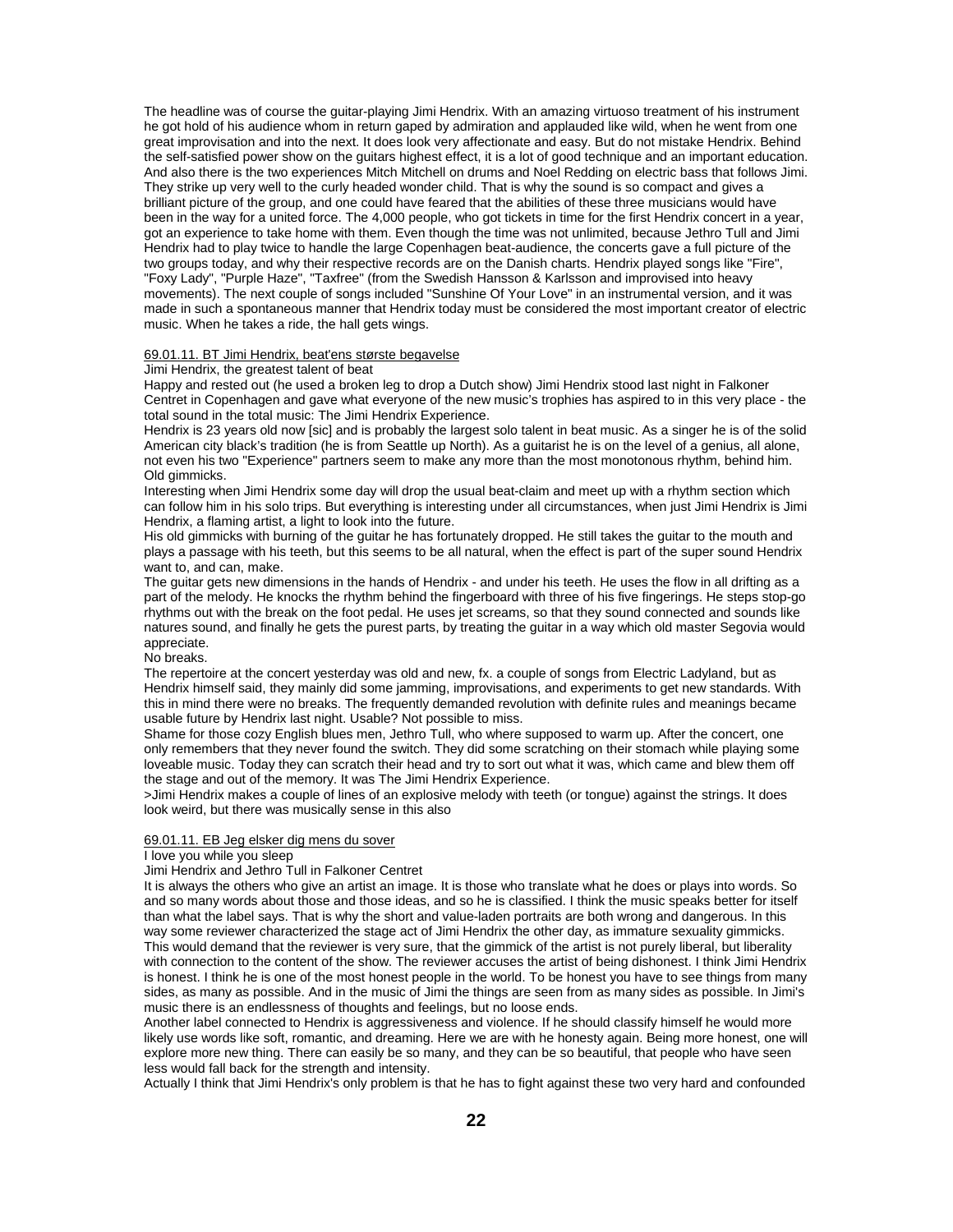The headline was of course the guitar-playing Jimi Hendrix. With an amazing virtuoso treatment of his instrument he got hold of his audience whom in return gaped by admiration and applauded like wild, when he went from one great improvisation and into the next. It does look very affectionate and easy. But do not mistake Hendrix. Behind the self-satisfied power show on the guitars highest effect, it is a lot of good technique and an important education. And also there is the two experiences Mitch Mitchell on drums and Noel Redding on electric bass that follows Jimi. They strike up very well to the curly headed wonder child. That is why the sound is so compact and gives a brilliant picture of the group, and one could have feared that the abilities of these three musicians would have been in the way for a united force. The 4,000 people, who got tickets in time for the first Hendrix concert in a year, got an experience to take home with them. Even though the time was not unlimited, because Jethro Tull and Jimi Hendrix had to play twice to handle the large Copenhagen beat-audience, the concerts gave a full picture of the two groups today, and why their respective records are on the Danish charts. Hendrix played songs like "Fire", "Foxy Lady", "Purple Haze", "Taxfree" (from the Swedish Hansson & Karlsson and improvised into heavy movements). The next couple of songs included "Sunshine Of Your Love" in an instrumental version, and it was made in such a spontaneous manner that Hendrix today must be considered the most important creator of electric music. When he takes a ride, the hall gets wings.

#### 69.01.11. BT Jimi Hendrix, beat'ens største begavelse

#### Jimi Hendrix, the greatest talent of beat

Happy and rested out (he used a broken leg to drop a Dutch show) Jimi Hendrix stood last night in Falkoner Centret in Copenhagen and gave what everyone of the new music's trophies has aspired to in this very place - the total sound in the total music: The Jimi Hendrix Experience.

Hendrix is 23 years old now [sic] and is probably the largest solo talent in beat music. As a singer he is of the solid American city black's tradition (he is from Seattle up North). As a guitarist he is on the level of a genius, all alone, not even his two "Experience" partners seem to make any more than the most monotonous rhythm, behind him. Old gimmicks.

Interesting when Jimi Hendrix some day will drop the usual beat-claim and meet up with a rhythm section which can follow him in his solo trips. But everything is interesting under all circumstances, when just Jimi Hendrix is Jimi Hendrix, a flaming artist, a light to look into the future.

His old gimmicks with burning of the guitar he has fortunately dropped. He still takes the guitar to the mouth and plays a passage with his teeth, but this seems to be all natural, when the effect is part of the super sound Hendrix want to, and can, make.

The guitar gets new dimensions in the hands of Hendrix - and under his teeth. He uses the flow in all drifting as a part of the melody. He knocks the rhythm behind the fingerboard with three of his five fingerings. He steps stop-go rhythms out with the break on the foot pedal. He uses jet screams, so that they sound connected and sounds like natures sound, and finally he gets the purest parts, by treating the guitar in a way which old master Segovia would appreciate.

## No breaks.

The repertoire at the concert yesterday was old and new, fx. a couple of songs from Electric Ladyland, but as Hendrix himself said, they mainly did some jamming, improvisations, and experiments to get new standards. With this in mind there were no breaks. The frequently demanded revolution with definite rules and meanings became usable future by Hendrix last night. Usable? Not possible to miss.

Shame for those cozy English blues men, Jethro Tull, who where supposed to warm up. After the concert, one only remembers that they never found the switch. They did some scratching on their stomach while playing some loveable music. Today they can scratch their head and try to sort out what it was, which came and blew them off the stage and out of the memory. It was The Jimi Hendrix Experience.

>Jimi Hendrix makes a couple of lines of an explosive melody with teeth (or tongue) against the strings. It does look weird, but there was musically sense in this also

#### 69.01.11. EB Jeg elsker dig mens du sover

## I love you while you sleep

Jimi Hendrix and Jethro Tull in Falkoner Centret

It is always the others who give an artist an image. It is those who translate what he does or plays into words. So and so many words about those and those ideas, and so he is classified. I think the music speaks better for itself than what the label says. That is why the short and value-laden portraits are both wrong and dangerous. In this way some reviewer characterized the stage act of Jimi Hendrix the other day, as immature sexuality gimmicks. This would demand that the reviewer is very sure, that the gimmick of the artist is not purely liberal, but liberality with connection to the content of the show. The reviewer accuses the artist of being dishonest. I think Jimi Hendrix is honest. I think he is one of the most honest people in the world. To be honest you have to see things from many sides, as many as possible. And in the music of Jimi the things are seen from as many sides as possible. In Jimi's music there is an endlessness of thoughts and feelings, but no loose ends.

Another label connected to Hendrix is aggressiveness and violence. If he should classify himself he would more likely use words like soft, romantic, and dreaming. Here we are with he honesty again. Being more honest, one will explore more new thing. There can easily be so many, and they can be so beautiful, that people who have seen less would fall back for the strength and intensity.

Actually I think that Jimi Hendrix's only problem is that he has to fight against these two very hard and confounded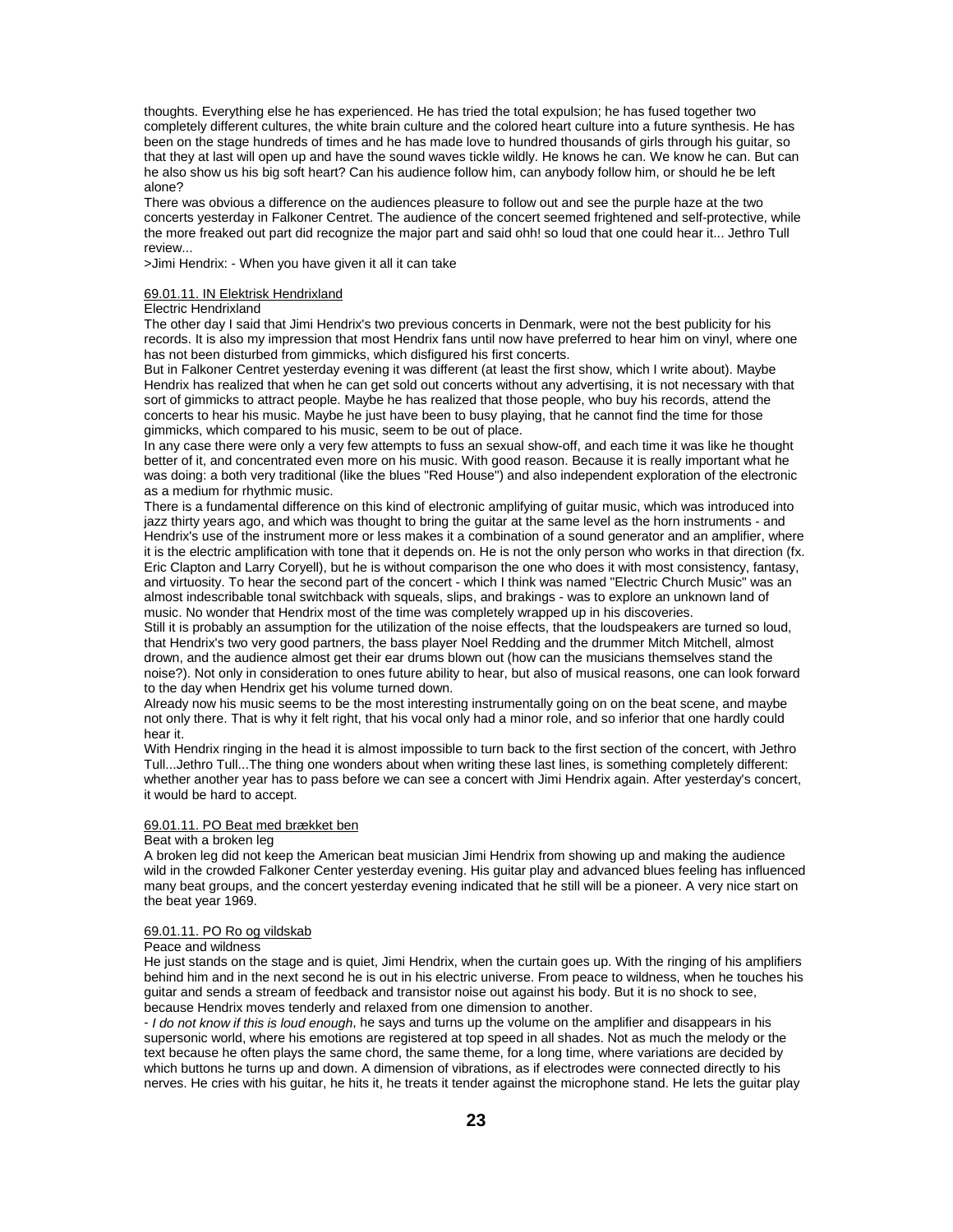thoughts. Everything else he has experienced. He has tried the total expulsion; he has fused together two completely different cultures, the white brain culture and the colored heart culture into a future synthesis. He has been on the stage hundreds of times and he has made love to hundred thousands of girls through his guitar, so that they at last will open up and have the sound waves tickle wildly. He knows he can. We know he can. But can he also show us his big soft heart? Can his audience follow him, can anybody follow him, or should he be left alone?

There was obvious a difference on the audiences pleasure to follow out and see the purple haze at the two concerts yesterday in Falkoner Centret. The audience of the concert seemed frightened and self-protective, while the more freaked out part did recognize the major part and said ohh! so loud that one could hear it... Jethro Tull review...

>Jimi Hendrix: - When you have given it all it can take

#### 69.01.11. IN Elektrisk Hendrixland

## Electric Hendrixland

The other day I said that Jimi Hendrix's two previous concerts in Denmark, were not the best publicity for his records. It is also my impression that most Hendrix fans until now have preferred to hear him on vinyl, where one has not been disturbed from gimmicks, which disfigured his first concerts.

But in Falkoner Centret yesterday evening it was different (at least the first show, which I write about). Maybe Hendrix has realized that when he can get sold out concerts without any advertising, it is not necessary with that sort of gimmicks to attract people. Maybe he has realized that those people, who buy his records, attend the concerts to hear his music. Maybe he just have been to busy playing, that he cannot find the time for those gimmicks, which compared to his music, seem to be out of place.

In any case there were only a very few attempts to fuss an sexual show-off, and each time it was like he thought better of it, and concentrated even more on his music. With good reason. Because it is really important what he was doing: a both very traditional (like the blues "Red House") and also independent exploration of the electronic as a medium for rhythmic music.

There is a fundamental difference on this kind of electronic amplifying of guitar music, which was introduced into jazz thirty years ago, and which was thought to bring the guitar at the same level as the horn instruments - and Hendrix's use of the instrument more or less makes it a combination of a sound generator and an amplifier, where it is the electric amplification with tone that it depends on. He is not the only person who works in that direction (fx. Eric Clapton and Larry Coryell), but he is without comparison the one who does it with most consistency, fantasy, and virtuosity. To hear the second part of the concert - which I think was named "Electric Church Music" was an almost indescribable tonal switchback with squeals, slips, and brakings - was to explore an unknown land of music. No wonder that Hendrix most of the time was completely wrapped up in his discoveries.

Still it is probably an assumption for the utilization of the noise effects, that the loudspeakers are turned so loud, that Hendrix's two very good partners, the bass player Noel Redding and the drummer Mitch Mitchell, almost drown, and the audience almost get their ear drums blown out (how can the musicians themselves stand the noise?). Not only in consideration to ones future ability to hear, but also of musical reasons, one can look forward to the day when Hendrix get his volume turned down.

Already now his music seems to be the most interesting instrumentally going on on the beat scene, and maybe not only there. That is why it felt right, that his vocal only had a minor role, and so inferior that one hardly could hear it.

With Hendrix ringing in the head it is almost impossible to turn back to the first section of the concert, with Jethro Tull...Jethro Tull...The thing one wonders about when writing these last lines, is something completely different: whether another year has to pass before we can see a concert with Jimi Hendrix again. After yesterday's concert, it would be hard to accept.

#### 69.01.11. PO Beat med brækket ben

#### Beat with a broken leg

A broken leg did not keep the American beat musician Jimi Hendrix from showing up and making the audience wild in the crowded Falkoner Center yesterday evening. His guitar play and advanced blues feeling has influenced many beat groups, and the concert yesterday evening indicated that he still will be a pioneer. A very nice start on the beat year 1969.

#### 69.01.11. PO Ro og vildskab

#### Peace and wildness

He just stands on the stage and is quiet, Jimi Hendrix, when the curtain goes up. With the ringing of his amplifiers behind him and in the next second he is out in his electric universe. From peace to wildness, when he touches his guitar and sends a stream of feedback and transistor noise out against his body. But it is no shock to see, because Hendrix moves tenderly and relaxed from one dimension to another.

- *I do not know if this is loud enough*, he says and turns up the volume on the amplifier and disappears in his supersonic world, where his emotions are registered at top speed in all shades. Not as much the melody or the text because he often plays the same chord, the same theme, for a long time, where variations are decided by which buttons he turns up and down. A dimension of vibrations, as if electrodes were connected directly to his nerves. He cries with his guitar, he hits it, he treats it tender against the microphone stand. He lets the guitar play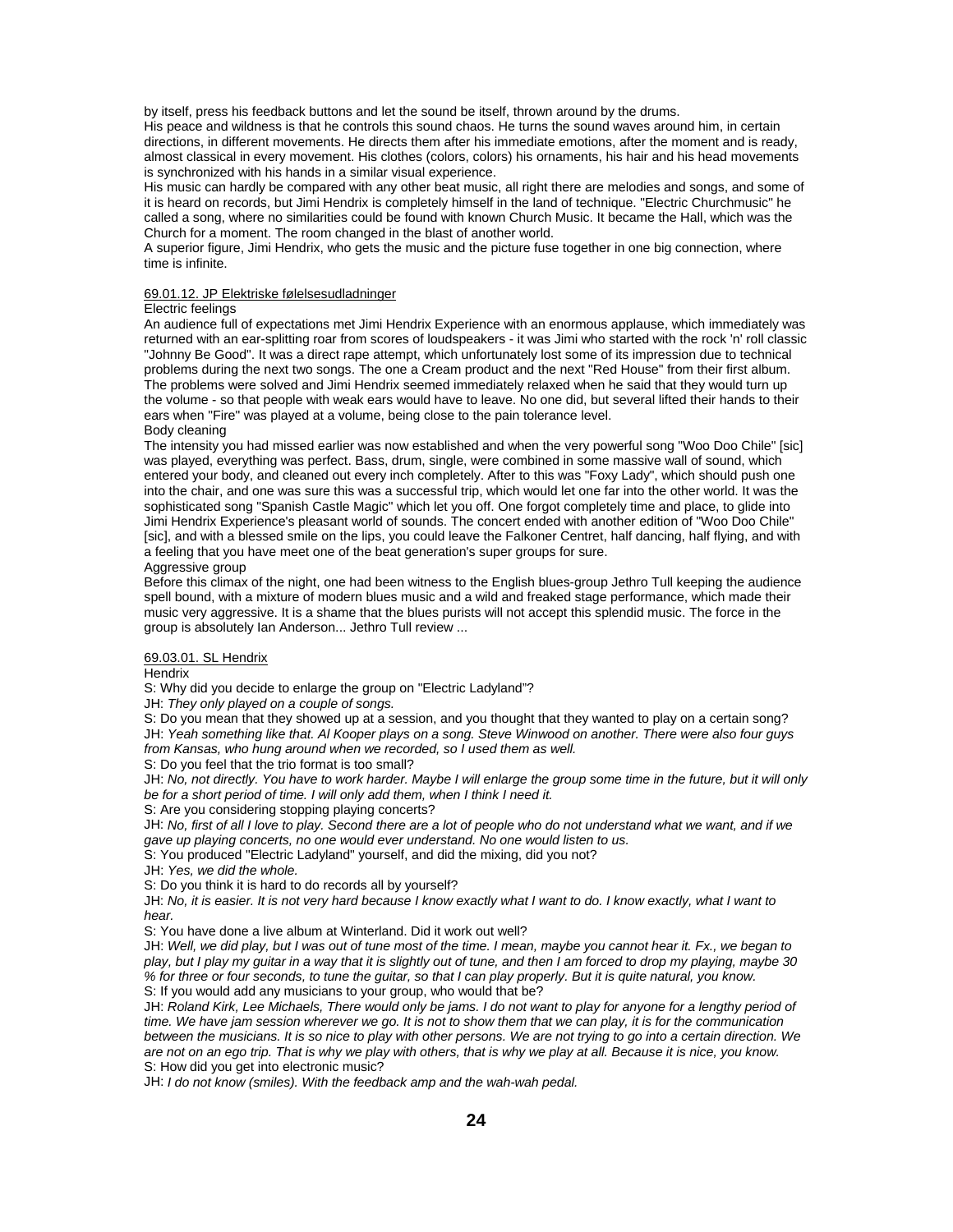by itself, press his feedback buttons and let the sound be itself, thrown around by the drums.

His peace and wildness is that he controls this sound chaos. He turns the sound waves around him, in certain directions, in different movements. He directs them after his immediate emotions, after the moment and is ready, almost classical in every movement. His clothes (colors, colors) his ornaments, his hair and his head movements is synchronized with his hands in a similar visual experience.

His music can hardly be compared with any other beat music, all right there are melodies and songs, and some of it is heard on records, but Jimi Hendrix is completely himself in the land of technique. "Electric Churchmusic" he called a song, where no similarities could be found with known Church Music. It became the Hall, which was the Church for a moment. The room changed in the blast of another world.

A superior figure, Jimi Hendrix, who gets the music and the picture fuse together in one big connection, where time is infinite.

#### 69.01.12. JP Elektriske følelsesudladninger

Electric feelings

An audience full of expectations met Jimi Hendrix Experience with an enormous applause, which immediately was returned with an ear-splitting roar from scores of loudspeakers - it was Jimi who started with the rock 'n' roll classic "Johnny Be Good". It was a direct rape attempt, which unfortunately lost some of its impression due to technical problems during the next two songs. The one a Cream product and the next "Red House" from their first album. The problems were solved and Jimi Hendrix seemed immediately relaxed when he said that they would turn up the volume - so that people with weak ears would have to leave. No one did, but several lifted their hands to their ears when "Fire" was played at a volume, being close to the pain tolerance level.

Body cleaning

The intensity you had missed earlier was now established and when the very powerful song "Woo Doo Chile" [sic] was played, everything was perfect. Bass, drum, single, were combined in some massive wall of sound, which entered your body, and cleaned out every inch completely. After to this was "Foxy Lady", which should push one into the chair, and one was sure this was a successful trip, which would let one far into the other world. It was the sophisticated song "Spanish Castle Magic" which let you off. One forgot completely time and place, to glide into Jimi Hendrix Experience's pleasant world of sounds. The concert ended with another edition of "Woo Doo Chile" [sic], and with a blessed smile on the lips, you could leave the Falkoner Centret, half dancing, half flying, and with a feeling that you have meet one of the beat generation's super groups for sure.

#### Aggressive group

Before this climax of the night, one had been witness to the English blues-group Jethro Tull keeping the audience spell bound, with a mixture of modern blues music and a wild and freaked stage performance, which made their music very aggressive. It is a shame that the blues purists will not accept this splendid music. The force in the group is absolutely Ian Anderson... Jethro Tull review ...

## 69.03.01. SL Hendrix

**Hendrix** 

S: Why did you decide to enlarge the group on "Electric Ladyland"?

JH: *They only played on a couple of songs.* 

S: Do you mean that they showed up at a session, and you thought that they wanted to play on a certain song? JH: *Yeah something like that. Al Kooper plays on a song. Steve Winwood on another. There were also four guys from Kansas, who hung around when we recorded, so I used them as well.* 

S: Do you feel that the trio format is too small?

JH: *No, not directly. You have to work harder. Maybe I will enlarge the group some time in the future, but it will only be for a short period of time. I will only add them, when I think I need it.* 

S: Are you considering stopping playing concerts?

JH: *No, first of all I love to play. Second there are a lot of people who do not understand what we want, and if we gave up playing concerts, no one would ever understand. No one would listen to us.* 

S: You produced "Electric Ladyland" yourself, and did the mixing, did you not?

JH: *Yes, we did the whole.* 

S: Do you think it is hard to do records all by yourself?

JH: *No, it is easier. It is not very hard because I know exactly what I want to do. I know exactly, what I want to hear.*

S: You have done a live album at Winterland. Did it work out well?

JH: *Well, we did play, but I was out of tune most of the time. I mean, maybe you cannot hear it. Fx., we began to play, but I play my guitar in a way that it is slightly out of tune, and then I am forced to drop my playing, maybe 30 % for three or four seconds, to tune the guitar, so that I can play properly. But it is quite natural, you know.*  S: If you would add any musicians to your group, who would that be?

JH: *Roland Kirk, Lee Michaels, There would only be jams. I do not want to play for anyone for a lengthy period of time. We have jam session wherever we go. It is not to show them that we can play, it is for the communication between the musicians. It is so nice to play with other persons. We are not trying to go into a certain direction. We are not on an ego trip. That is why we play with others, that is why we play at all. Because it is nice, you know.*  S: How did you get into electronic music?

JH: *I do not know (smiles). With the feedback amp and the wah-wah pedal.*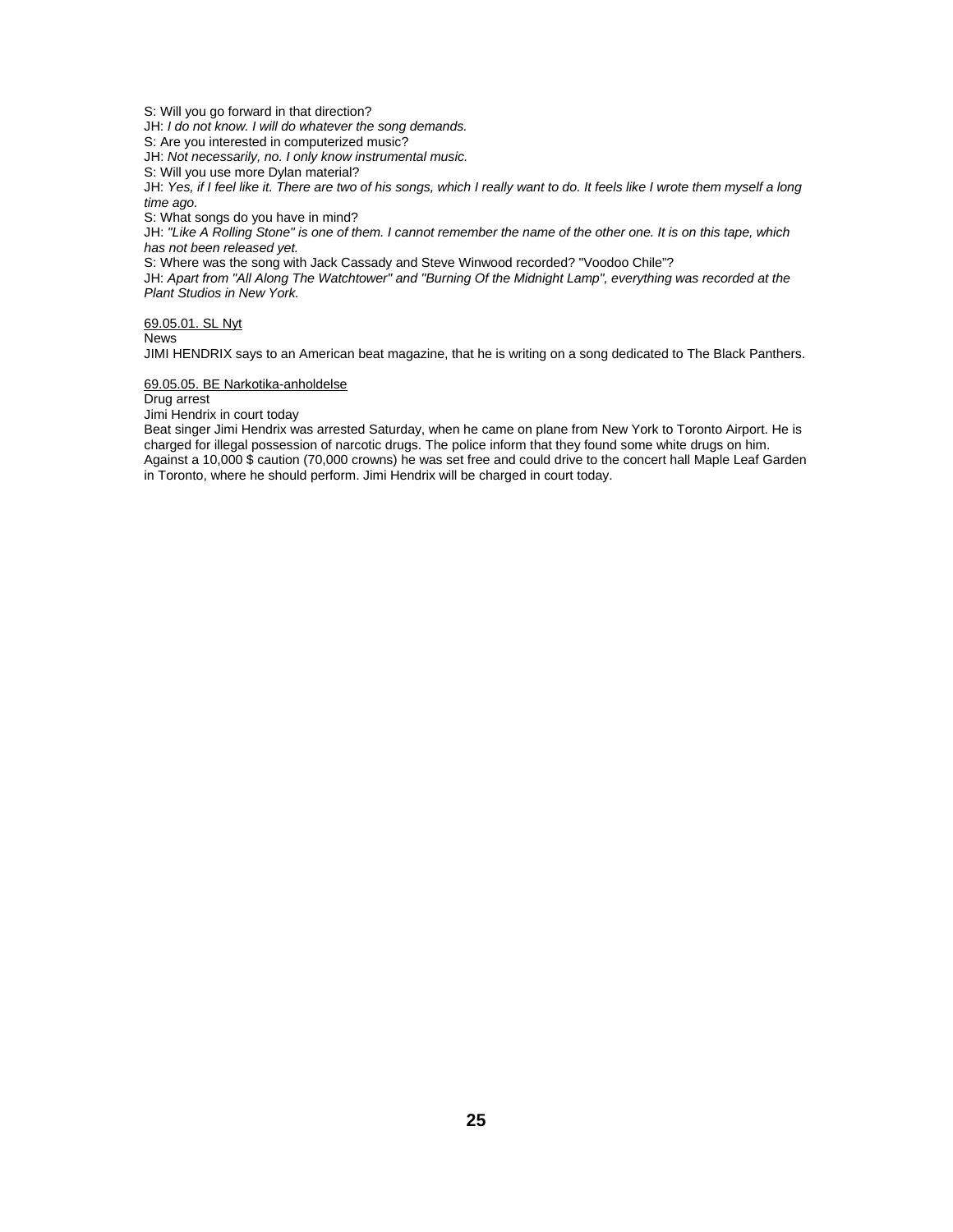S: Will you go forward in that direction?

JH: *I do not know. I will do whatever the song demands.* 

S: Are you interested in computerized music?

JH: *Not necessarily, no. I only know instrumental music.* 

S: Will you use more Dylan material?

JH: *Yes, if I feel like it. There are two of his songs, which I really want to do. It feels like I wrote them myself a long time ago.* 

S: What songs do you have in mind?

JH: *"Like A Rolling Stone" is one of them. I cannot remember the name of the other one. It is on this tape, which has not been released yet.* 

S: Where was the song with Jack Cassady and Steve Winwood recorded? "Voodoo Chile"?

JH: *Apart from "All Along The Watchtower" and "Burning Of the Midnight Lamp", everything was recorded at the Plant Studios in New York.* 

69.05.01. SL Nyt

**News** 

JIMI HENDRIX says to an American beat magazine, that he is writing on a song dedicated to The Black Panthers.

69.05.05. BE Narkotika-anholdelse

Drug arrest

Jimi Hendrix in court today

Beat singer Jimi Hendrix was arrested Saturday, when he came on plane from New York to Toronto Airport. He is charged for illegal possession of narcotic drugs. The police inform that they found some white drugs on him. Against a 10,000 \$ caution (70,000 crowns) he was set free and could drive to the concert hall Maple Leaf Garden in Toronto, where he should perform. Jimi Hendrix will be charged in court today.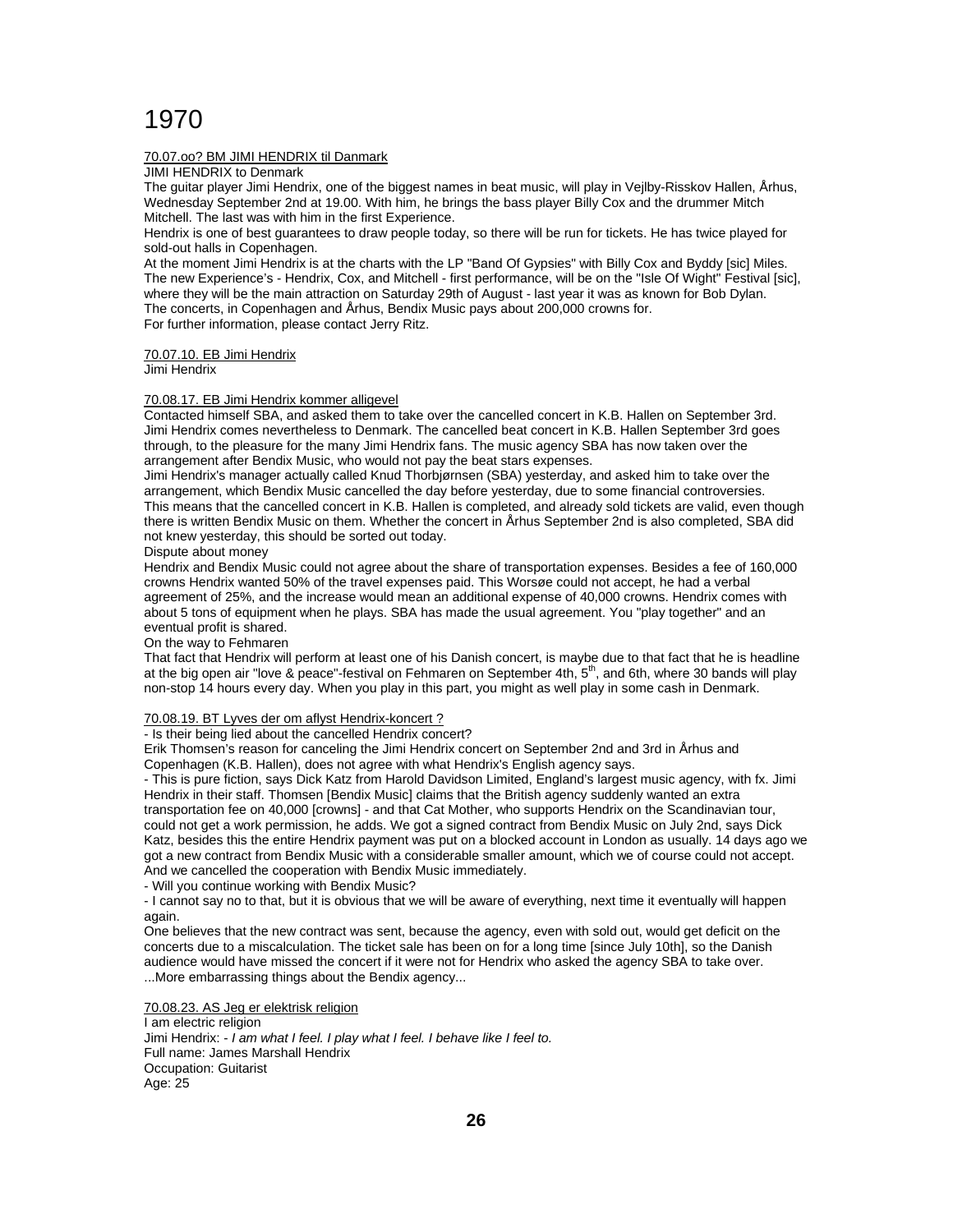## 1970

## 70.07.oo? BM JIMI HENDRIX til Danmark

JIMI HENDRIX to Denmark

The guitar player Jimi Hendrix, one of the biggest names in beat music, will play in Vejlby-Risskov Hallen, Århus, Wednesday September 2nd at 19.00. With him, he brings the bass player Billy Cox and the drummer Mitch Mitchell. The last was with him in the first Experience.

Hendrix is one of best guarantees to draw people today, so there will be run for tickets. He has twice played for sold-out halls in Copenhagen.

At the moment Jimi Hendrix is at the charts with the LP "Band Of Gypsies" with Billy Cox and Byddy [sic] Miles. The new Experience's - Hendrix, Cox, and Mitchell - first performance, will be on the "Isle Of Wight" Festival [sic], where they will be the main attraction on Saturday 29th of August - last year it was as known for Bob Dylan. The concerts, in Copenhagen and Århus, Bendix Music pays about 200,000 crowns for. For further information, please contact Jerry Ritz.

70.07.10. EB Jimi Hendrix

Jimi Hendrix

## 70.08.17. EB Jimi Hendrix kommer alligevel

Contacted himself SBA, and asked them to take over the cancelled concert in K.B. Hallen on September 3rd. Jimi Hendrix comes nevertheless to Denmark. The cancelled beat concert in K.B. Hallen September 3rd goes through, to the pleasure for the many Jimi Hendrix fans. The music agency SBA has now taken over the arrangement after Bendix Music, who would not pay the beat stars expenses.

Jimi Hendrix's manager actually called Knud Thorbjørnsen (SBA) yesterday, and asked him to take over the arrangement, which Bendix Music cancelled the day before yesterday, due to some financial controversies. This means that the cancelled concert in K.B. Hallen is completed, and already sold tickets are valid, even though there is written Bendix Music on them. Whether the concert in Århus September 2nd is also completed, SBA did not knew yesterday, this should be sorted out today.

Dispute about money

Hendrix and Bendix Music could not agree about the share of transportation expenses. Besides a fee of 160,000 crowns Hendrix wanted 50% of the travel expenses paid. This Worsøe could not accept, he had a verbal agreement of 25%, and the increase would mean an additional expense of 40,000 crowns. Hendrix comes with about 5 tons of equipment when he plays. SBA has made the usual agreement. You "play together" and an eventual profit is shared.

On the way to Fehmaren

That fact that Hendrix will perform at least one of his Danish concert, is maybe due to that fact that he is headline at the big open air "love & peace"-festival on Fehmaren on September 4th, 5<sup>th</sup>, and 6th, where 30 bands will play non-stop 14 hours every day. When you play in this part, you might as well play in some cash in Denmark.

## 70.08.19. BT Lyves der om aflyst Hendrix-koncert ?

- Is their being lied about the cancelled Hendrix concert?

Erik Thomsen's reason for canceling the Jimi Hendrix concert on September 2nd and 3rd in Århus and Copenhagen (K.B. Hallen), does not agree with what Hendrix's English agency says.

- This is pure fiction, says Dick Katz from Harold Davidson Limited, England's largest music agency, with fx. Jimi Hendrix in their staff. Thomsen [Bendix Music] claims that the British agency suddenly wanted an extra transportation fee on 40,000 [crowns] - and that Cat Mother, who supports Hendrix on the Scandinavian tour, could not get a work permission, he adds. We got a signed contract from Bendix Music on July 2nd, says Dick Katz, besides this the entire Hendrix payment was put on a blocked account in London as usually. 14 days ago we got a new contract from Bendix Music with a considerable smaller amount, which we of course could not accept. And we cancelled the cooperation with Bendix Music immediately.

- Will you continue working with Bendix Music?

- I cannot say no to that, but it is obvious that we will be aware of everything, next time it eventually will happen again.

One believes that the new contract was sent, because the agency, even with sold out, would get deficit on the concerts due to a miscalculation. The ticket sale has been on for a long time [since July 10th], so the Danish audience would have missed the concert if it were not for Hendrix who asked the agency SBA to take over. ...More embarrassing things about the Bendix agency...

70.08.23. AS Jeg er elektrisk religion

I am electric religion Jimi Hendrix: - *I am what I feel. I play what I feel. I behave like I feel to.*  Full name: James Marshall Hendrix Occupation: Guitarist Age: 25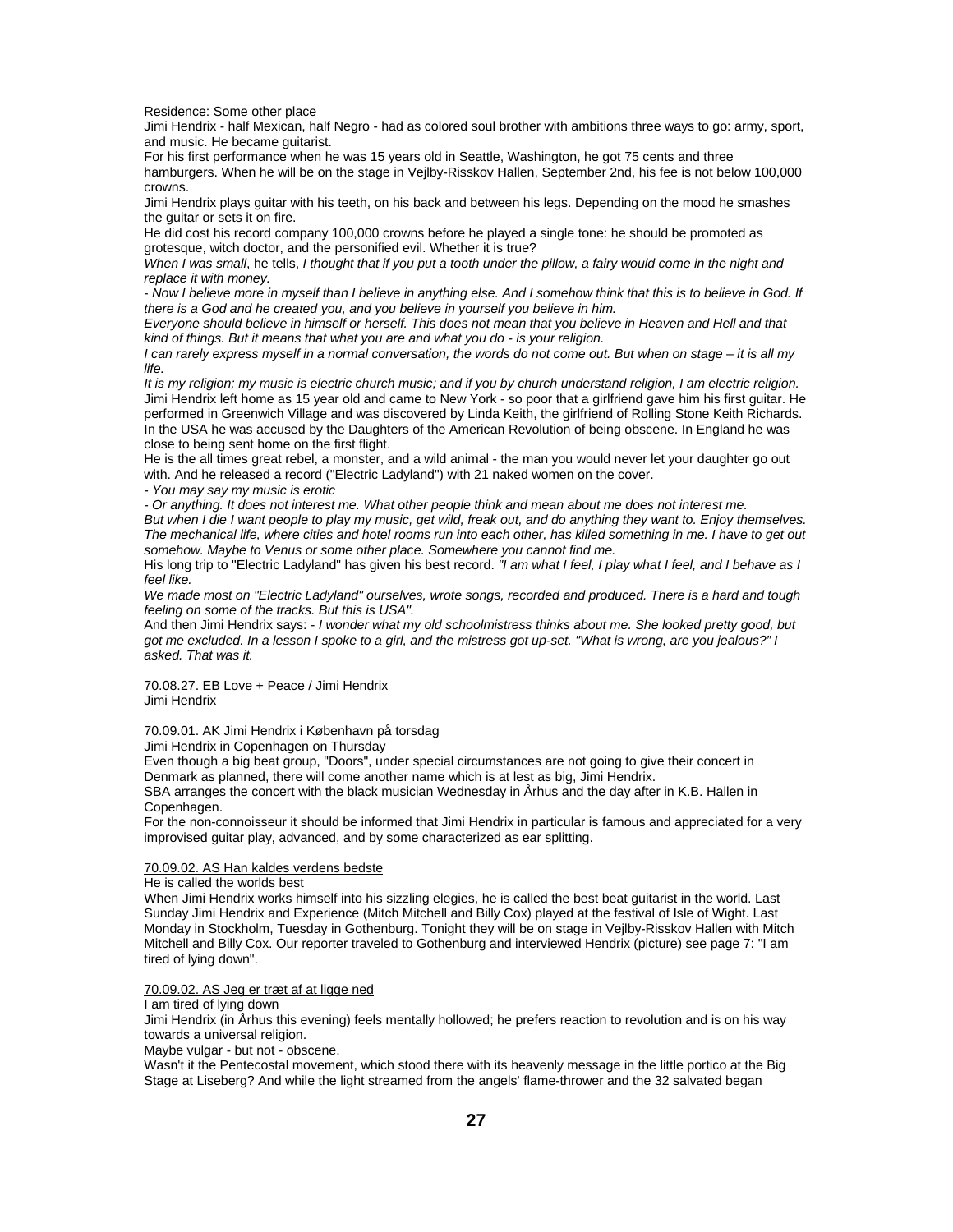Residence: Some other place

Jimi Hendrix - half Mexican, half Negro - had as colored soul brother with ambitions three ways to go: army, sport, and music. He became guitarist.

For his first performance when he was 15 years old in Seattle, Washington, he got 75 cents and three hamburgers. When he will be on the stage in Vejlby-Risskov Hallen, September 2nd, his fee is not below 100,000 crowns.

Jimi Hendrix plays guitar with his teeth, on his back and between his legs. Depending on the mood he smashes the guitar or sets it on fire.

He did cost his record company 100,000 crowns before he played a single tone: he should be promoted as grotesque, witch doctor, and the personified evil. Whether it is true?

*When I was small, he tells, I thought that if you put a tooth under the pillow, a fairy would come in the night and replace it with money.* 

- *Now I believe more in myself than I believe in anything else. And I somehow think that this is to believe in God. If there is a God and he created you, and you believe in yourself you believe in him.* 

*Everyone should believe in himself or herself. This does not mean that you believe in Heaven and Hell and that kind of things. But it means that what you are and what you do - is your religion.* 

*I can rarely express myself in a normal conversation, the words do not come out. But when on stage – it is all my life.* 

*It is my religion; my music is electric church music; and if you by church understand religion, I am electric religion.* Jimi Hendrix left home as 15 year old and came to New York - so poor that a girlfriend gave him his first guitar. He performed in Greenwich Village and was discovered by Linda Keith, the girlfriend of Rolling Stone Keith Richards. In the USA he was accused by the Daughters of the American Revolution of being obscene. In England he was close to being sent home on the first flight.

He is the all times great rebel, a monster, and a wild animal - the man you would never let your daughter go out with. And he released a record ("Electric Ladyland") with 21 naked women on the cover.

*- You may say my music is erotic* 

*- Or anything. It does not interest me. What other people think and mean about me does not interest me.* 

*But when I die I want people to play my music, get wild, freak out, and do anything they want to. Enjoy themselves. The mechanical life, where cities and hotel rooms run into each other, has killed something in me. I have to get out somehow. Maybe to Venus or some other place. Somewhere you cannot find me.* 

His long trip to "Electric Ladyland" has given his best record. *"I am what I feel, I play what I feel, and I behave as I feel like.* 

*We made most on "Electric Ladyland" ourselves, wrote songs, recorded and produced. There is a hard and tough feeling on some of the tracks. But this is USA".* 

And then Jimi Hendrix says: - *I wonder what my old schoolmistress thinks about me. She looked pretty good, but got me excluded. In a lesson I spoke to a girl, and the mistress got up-set. "What is wrong, are you jealous?" I asked. That was it.* 

70.08.27. EB Love + Peace / Jimi Hendrix Jimi Hendrix

## 70.09.01. AK Jimi Hendrix i København på torsdag

Jimi Hendrix in Copenhagen on Thursday

Even though a big beat group, "Doors", under special circumstances are not going to give their concert in Denmark as planned, there will come another name which is at lest as big, Jimi Hendrix.

SBA arranges the concert with the black musician Wednesday in Århus and the day after in K.B. Hallen in Copenhagen.

For the non-connoisseur it should be informed that Jimi Hendrix in particular is famous and appreciated for a very improvised guitar play, advanced, and by some characterized as ear splitting.

## 70.09.02. AS Han kaldes verdens bedste

He is called the worlds best

When Jimi Hendrix works himself into his sizzling elegies, he is called the best beat guitarist in the world. Last Sunday Jimi Hendrix and Experience (Mitch Mitchell and Billy Cox) played at the festival of Isle of Wight. Last Monday in Stockholm, Tuesday in Gothenburg. Tonight they will be on stage in Vejlby-Risskov Hallen with Mitch Mitchell and Billy Cox. Our reporter traveled to Gothenburg and interviewed Hendrix (picture) see page 7: "I am tired of lying down".

## 70.09.02. AS Jeg er træt af at ligge ned

I am tired of lying down

Jimi Hendrix (in Århus this evening) feels mentally hollowed; he prefers reaction to revolution and is on his way towards a universal religion.

Maybe vulgar - but not - obscene.

Wasn't it the Pentecostal movement, which stood there with its heavenly message in the little portico at the Big Stage at Liseberg? And while the light streamed from the angels' flame-thrower and the 32 salvated began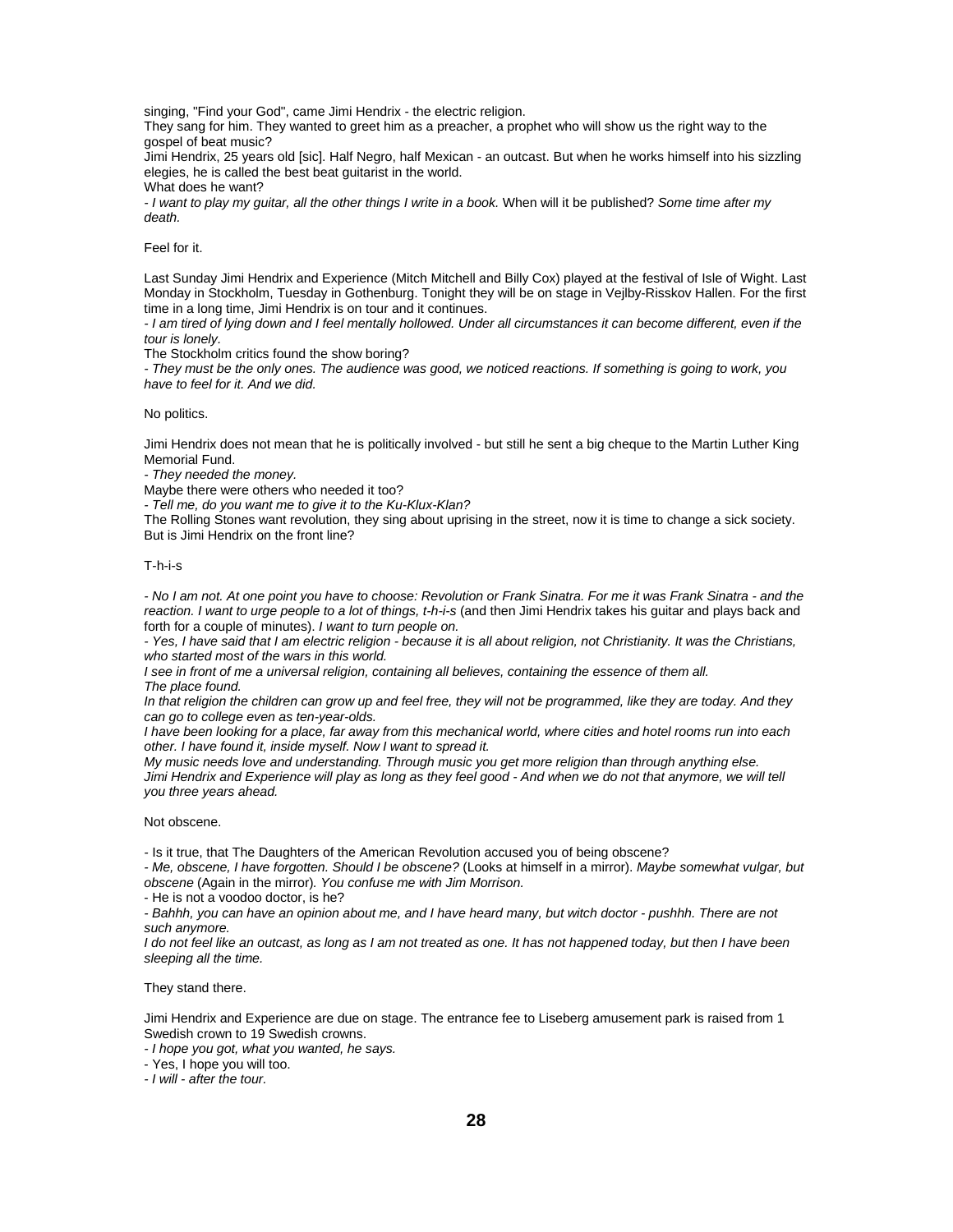singing, "Find your God", came Jimi Hendrix - the electric religion.

They sang for him. They wanted to greet him as a preacher, a prophet who will show us the right way to the gospel of beat music?

Jimi Hendrix, 25 years old [sic]. Half Negro, half Mexican - an outcast. But when he works himself into his sizzling elegies, he is called the best beat guitarist in the world.

What does he want?

*- I want to play my guitar, all the other things I write in a book.* When will it be published? *Some time after my death.* 

Feel for it.

Last Sunday Jimi Hendrix and Experience (Mitch Mitchell and Billy Cox) played at the festival of Isle of Wight. Last Monday in Stockholm, Tuesday in Gothenburg. Tonight they will be on stage in Vejlby-Risskov Hallen. For the first time in a long time, Jimi Hendrix is on tour and it continues.

*- I am tired of lying down and I feel mentally hollowed. Under all circumstances it can become different, even if the tour is lonely.* 

The Stockholm critics found the show boring?

*- They must be the only ones. The audience was good, we noticed reactions. If something is going to work, you have to feel for it. And we did.* 

No politics.

Jimi Hendrix does not mean that he is politically involved - but still he sent a big cheque to the Martin Luther King Memorial Fund.

*- They needed the money.* 

Maybe there were others who needed it too?

*- Tell me, do you want me to give it to the Ku-Klux-Klan?* 

The Rolling Stones want revolution, they sing about uprising in the street, now it is time to change a sick society. But is Jimi Hendrix on the front line?

T-h-i-s

*- No I am not. At one point you have to choose: Revolution or Frank Sinatra. For me it was Frank Sinatra - and the reaction. I want to urge people to a lot of things, t-h-i-s* (and then Jimi Hendrix takes his guitar and plays back and forth for a couple of minutes). *I want to turn people on.* 

*- Yes, I have said that I am electric religion - because it is all about religion, not Christianity. It was the Christians, who started most of the wars in this world.* 

*I see in front of me a universal religion, containing all believes, containing the essence of them all. The place found.* 

In that religion the children can grow up and feel free, they will not be programmed, like they are today. And they *can go to college even as ten-year-olds.* 

*I have been looking for a place, far away from this mechanical world, where cities and hotel rooms run into each other. I have found it, inside myself. Now I want to spread it.* 

*My music needs love and understanding. Through music you get more religion than through anything else. Jimi Hendrix and Experience will play as long as they feel good - And when we do not that anymore, we will tell you three years ahead.* 

Not obscene.

*-* Is it true, that The Daughters of the American Revolution accused you of being obscene?

*- Me, obscene, I have forgotten. Should I be obscene?* (Looks at himself in a mirror). *Maybe somewhat vulgar, but obscene* (Again in the mirror)*. You confuse me with Jim Morrison.* 

- He is not a voodoo doctor, is he?

*- Bahhh, you can have an opinion about me, and I have heard many, but witch doctor - pushhh. There are not such anymore.* 

*I do not feel like an outcast, as long as I am not treated as one. It has not happened today, but then I have been sleeping all the time.* 

They stand there.

Jimi Hendrix and Experience are due on stage. The entrance fee to Liseberg amusement park is raised from 1 Swedish crown to 19 Swedish crowns.

*- I hope you got, what you wanted, he says.* 

- Yes, I hope you will too.

*- I will - after the tour.*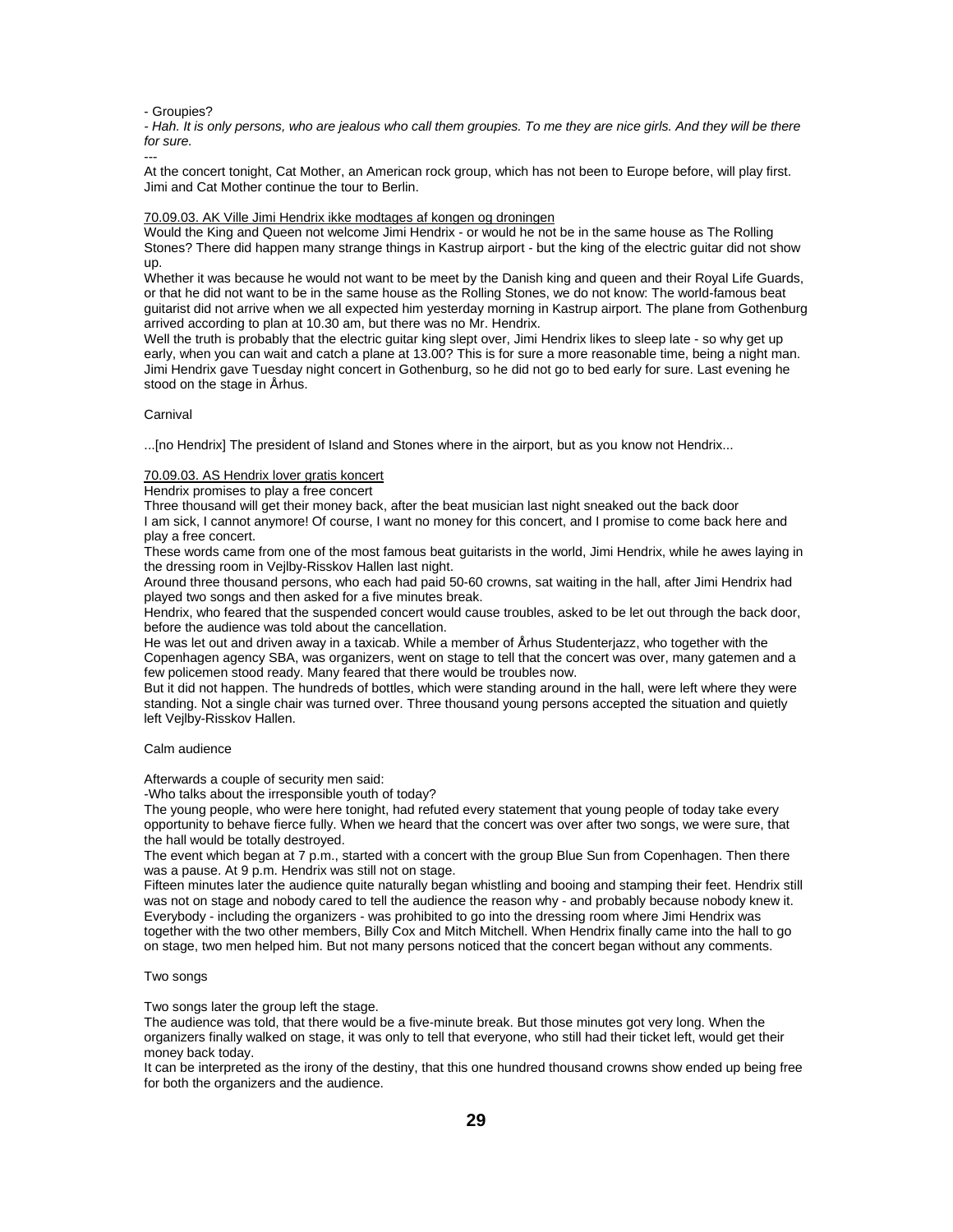#### - Groupies?

*- Hah. It is only persons, who are jealous who call them groupies. To me they are nice girls. And they will be there for sure.* 

--- At the concert tonight, Cat Mother, an American rock group, which has not been to Europe before, will play first. Jimi and Cat Mother continue the tour to Berlin.

#### 70.09.03. AK Ville Jimi Hendrix ikke modtages af kongen og droningen

Would the King and Queen not welcome Jimi Hendrix - or would he not be in the same house as The Rolling Stones? There did happen many strange things in Kastrup airport - but the king of the electric guitar did not show up.

Whether it was because he would not want to be meet by the Danish king and queen and their Royal Life Guards, or that he did not want to be in the same house as the Rolling Stones, we do not know: The world-famous beat guitarist did not arrive when we all expected him yesterday morning in Kastrup airport. The plane from Gothenburg arrived according to plan at 10.30 am, but there was no Mr. Hendrix.

Well the truth is probably that the electric quitar king slept over, Jimi Hendrix likes to sleep late - so why get up early, when you can wait and catch a plane at 13.00? This is for sure a more reasonable time, being a night man. Jimi Hendrix gave Tuesday night concert in Gothenburg, so he did not go to bed early for sure. Last evening he stood on the stage in Århus.

#### **Carnival**

...[no Hendrix] The president of Island and Stones where in the airport, but as you know not Hendrix...

#### 70.09.03. AS Hendrix lover gratis koncert

Hendrix promises to play a free concert

Three thousand will get their money back, after the beat musician last night sneaked out the back door I am sick, I cannot anymore! Of course, I want no money for this concert, and I promise to come back here and play a free concert.

These words came from one of the most famous beat guitarists in the world, Jimi Hendrix, while he awes laying in the dressing room in Vejlby-Risskov Hallen last night.

Around three thousand persons, who each had paid 50-60 crowns, sat waiting in the hall, after Jimi Hendrix had played two songs and then asked for a five minutes break.

Hendrix, who feared that the suspended concert would cause troubles, asked to be let out through the back door, before the audience was told about the cancellation.

He was let out and driven away in a taxicab. While a member of Århus Studenterjazz, who together with the Copenhagen agency SBA, was organizers, went on stage to tell that the concert was over, many gatemen and a few policemen stood ready. Many feared that there would be troubles now.

But it did not happen. The hundreds of bottles, which were standing around in the hall, were left where they were standing. Not a single chair was turned over. Three thousand young persons accepted the situation and quietly left Vejlby-Risskov Hallen.

#### Calm audience

Afterwards a couple of security men said:

-Who talks about the irresponsible youth of today?

The young people, who were here tonight, had refuted every statement that young people of today take every opportunity to behave fierce fully. When we heard that the concert was over after two songs, we were sure, that the hall would be totally destroyed.

The event which began at 7 p.m., started with a concert with the group Blue Sun from Copenhagen. Then there was a pause. At 9 p.m. Hendrix was still not on stage.

Fifteen minutes later the audience quite naturally began whistling and booing and stamping their feet. Hendrix still was not on stage and nobody cared to tell the audience the reason why - and probably because nobody knew it. Everybody - including the organizers - was prohibited to go into the dressing room where Jimi Hendrix was together with the two other members, Billy Cox and Mitch Mitchell. When Hendrix finally came into the hall to go on stage, two men helped him. But not many persons noticed that the concert began without any comments.

#### Two songs

Two songs later the group left the stage.

The audience was told, that there would be a five-minute break. But those minutes got very long. When the organizers finally walked on stage, it was only to tell that everyone, who still had their ticket left, would get their money back today.

It can be interpreted as the irony of the destiny, that this one hundred thousand crowns show ended up being free for both the organizers and the audience.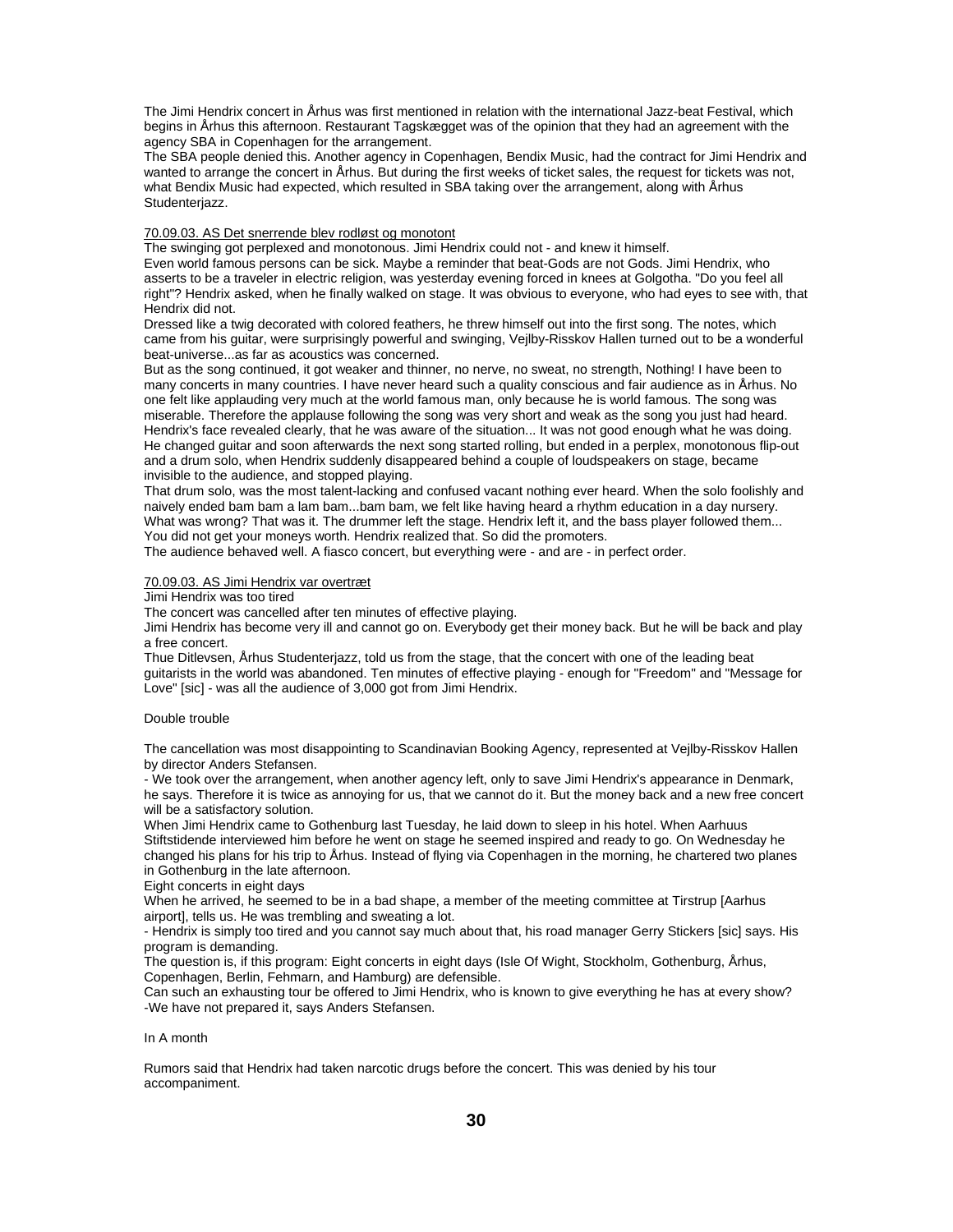The Jimi Hendrix concert in Århus was first mentioned in relation with the international Jazz-beat Festival, which begins in Århus this afternoon. Restaurant Tagskægget was of the opinion that they had an agreement with the agency SBA in Copenhagen for the arrangement.

The SBA people denied this. Another agency in Copenhagen, Bendix Music, had the contract for Jimi Hendrix and wanted to arrange the concert in Århus. But during the first weeks of ticket sales, the request for tickets was not, what Bendix Music had expected, which resulted in SBA taking over the arrangement, along with Århus Studenterjazz.

## 70.09.03. AS Det snerrende blev rodløst og monotont

The swinging got perplexed and monotonous. Jimi Hendrix could not - and knew it himself.

Even world famous persons can be sick. Maybe a reminder that beat-Gods are not Gods. Jimi Hendrix, who asserts to be a traveler in electric religion, was yesterday evening forced in knees at Golgotha. "Do you feel all right"? Hendrix asked, when he finally walked on stage. It was obvious to everyone, who had eyes to see with, that Hendrix did not.

Dressed like a twig decorated with colored feathers, he threw himself out into the first song. The notes, which came from his guitar, were surprisingly powerful and swinging, Vejlby-Risskov Hallen turned out to be a wonderful beat-universe...as far as acoustics was concerned.

But as the song continued, it got weaker and thinner, no nerve, no sweat, no strength, Nothing! I have been to many concerts in many countries. I have never heard such a quality conscious and fair audience as in Århus. No one felt like applauding very much at the world famous man, only because he is world famous. The song was miserable. Therefore the applause following the song was very short and weak as the song you just had heard. Hendrix's face revealed clearly, that he was aware of the situation... It was not good enough what he was doing. He changed guitar and soon afterwards the next song started rolling, but ended in a perplex, monotonous flip-out and a drum solo, when Hendrix suddenly disappeared behind a couple of loudspeakers on stage, became invisible to the audience, and stopped playing.

That drum solo, was the most talent-lacking and confused vacant nothing ever heard. When the solo foolishly and naively ended bam bam a lam bam...bam bam, we felt like having heard a rhythm education in a day nursery. What was wrong? That was it. The drummer left the stage. Hendrix left it, and the bass player followed them... You did not get your moneys worth. Hendrix realized that. So did the promoters.

The audience behaved well. A fiasco concert, but everything were - and are - in perfect order.

## 70.09.03. AS Jimi Hendrix var overtræt

Jimi Hendrix was too tired

The concert was cancelled after ten minutes of effective playing.

Jimi Hendrix has become very ill and cannot go on. Everybody get their money back. But he will be back and play a free concert.

Thue Ditlevsen, Århus Studenterjazz, told us from the stage, that the concert with one of the leading beat guitarists in the world was abandoned. Ten minutes of effective playing - enough for "Freedom" and "Message for Love" [sic] - was all the audience of 3,000 got from Jimi Hendrix.

## Double trouble

The cancellation was most disappointing to Scandinavian Booking Agency, represented at Vejlby-Risskov Hallen by director Anders Stefansen.

- We took over the arrangement, when another agency left, only to save Jimi Hendrix's appearance in Denmark, he says. Therefore it is twice as annoying for us, that we cannot do it. But the money back and a new free concert will be a satisfactory solution.

When Jimi Hendrix came to Gothenburg last Tuesday, he laid down to sleep in his hotel. When Aarhuus Stiftstidende interviewed him before he went on stage he seemed inspired and ready to go. On Wednesday he changed his plans for his trip to Århus. Instead of flying via Copenhagen in the morning, he chartered two planes in Gothenburg in the late afternoon.

Eight concerts in eight days

When he arrived, he seemed to be in a bad shape, a member of the meeting committee at Tirstrup [Aarhus airport], tells us. He was trembling and sweating a lot.

- Hendrix is simply too tired and you cannot say much about that, his road manager Gerry Stickers [sic] says. His program is demanding.

The question is, if this program: Eight concerts in eight days (Isle Of Wight, Stockholm, Gothenburg, Århus, Copenhagen, Berlin, Fehmarn, and Hamburg) are defensible.

Can such an exhausting tour be offered to Jimi Hendrix, who is known to give everything he has at every show? -We have not prepared it, says Anders Stefansen.

### In A month

Rumors said that Hendrix had taken narcotic drugs before the concert. This was denied by his tour accompaniment.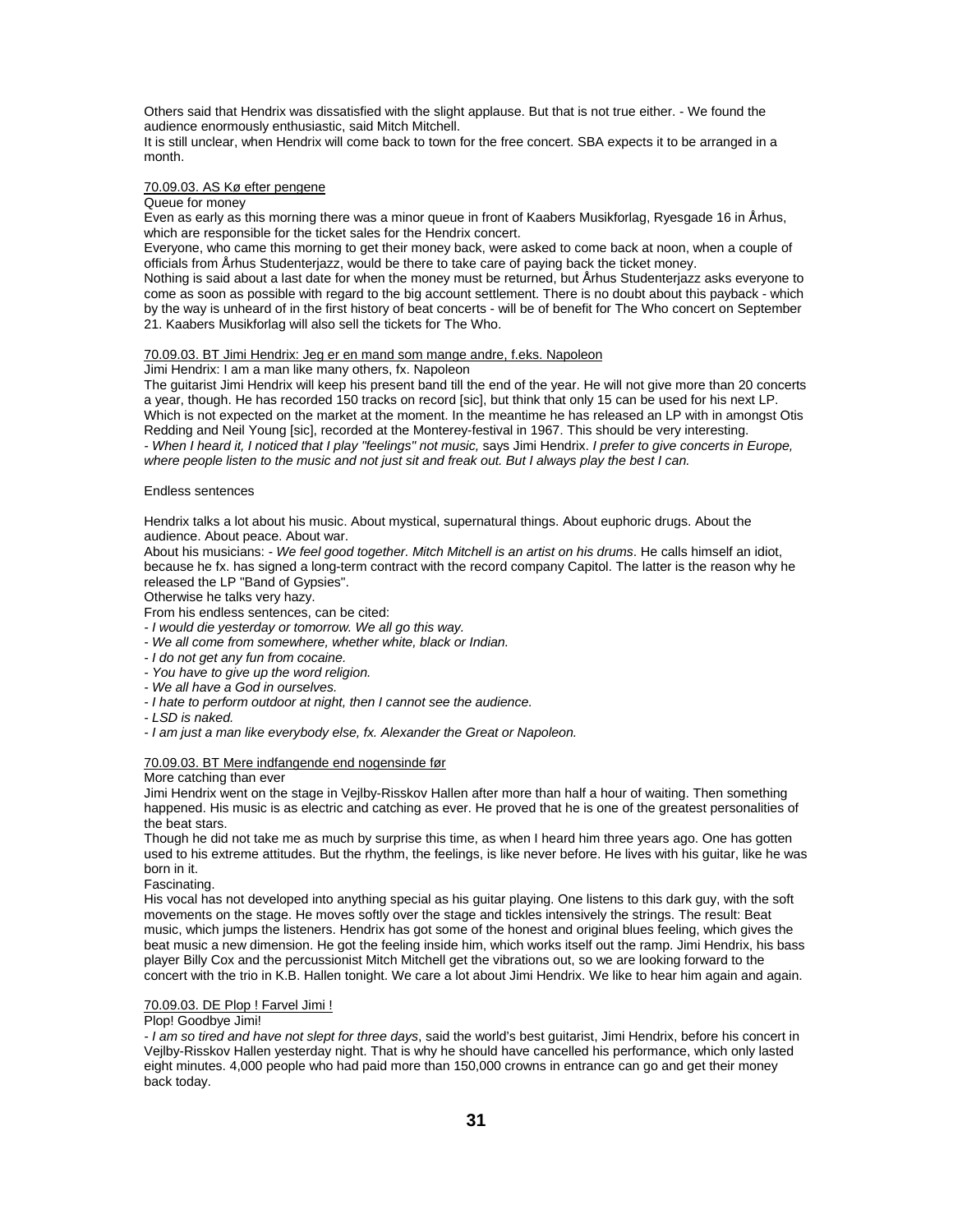Others said that Hendrix was dissatisfied with the slight applause. But that is not true either. - We found the audience enormously enthusiastic, said Mitch Mitchell.

It is still unclear, when Hendrix will come back to town for the free concert. SBA expects it to be arranged in a month.

## 70.09.03. AS Kø efter pengene

Queue for money

Even as early as this morning there was a minor queue in front of Kaabers Musikforlag, Ryesgade 16 in Århus, which are responsible for the ticket sales for the Hendrix concert.

Everyone, who came this morning to get their money back, were asked to come back at noon, when a couple of officials from Århus Studenterjazz, would be there to take care of paying back the ticket money.

Nothing is said about a last date for when the money must be returned, but Århus Studenterjazz asks everyone to come as soon as possible with regard to the big account settlement. There is no doubt about this payback - which by the way is unheard of in the first history of beat concerts - will be of benefit for The Who concert on September 21. Kaabers Musikforlag will also sell the tickets for The Who.

## 70.09.03. BT Jimi Hendrix: Jeg er en mand som mange andre, f.eks. Napoleon

Jimi Hendrix: I am a man like many others, fx. Napoleon

The guitarist Jimi Hendrix will keep his present band till the end of the year. He will not give more than 20 concerts a year, though. He has recorded 150 tracks on record [sic], but think that only 15 can be used for his next LP. Which is not expected on the market at the moment. In the meantime he has released an LP with in amongst Otis Redding and Neil Young [sic], recorded at the Monterey-festival in 1967. This should be very interesting. *- When I heard it, I noticed that I play "feelings" not music,* says Jimi Hendrix. *I prefer to give concerts in Europe, where people listen to the music and not just sit and freak out. But I always play the best I can.* 

## Endless sentences

Hendrix talks a lot about his music. About mystical, supernatural things. About euphoric drugs. About the audience. About peace. About war.

About his musicians: *- We feel good together. Mitch Mitchell is an artist on his drums*. He calls himself an idiot, because he fx. has signed a long-term contract with the record company Capitol. The latter is the reason why he released the LP "Band of Gypsies".

Otherwise he talks very hazy.

From his endless sentences, can be cited:

- *I would die yesterday or tomorrow. We all go this way.*
- *We all come from somewhere, whether white, black or Indian.*
- *I do not get any fun from cocaine.*
- *You have to give up the word religion.*
- *We all have a God in ourselves.*
- *I hate to perform outdoor at night, then I cannot see the audience.*
- *LSD is naked.*
- *I am just a man like everybody else, fx. Alexander the Great or Napoleon.*

## 70.09.03. BT Mere indfangende end nogensinde før

#### More catching than ever

Jimi Hendrix went on the stage in Vejlby-Risskov Hallen after more than half a hour of waiting. Then something happened. His music is as electric and catching as ever. He proved that he is one of the greatest personalities of the beat stars.

Though he did not take me as much by surprise this time, as when I heard him three years ago. One has gotten used to his extreme attitudes. But the rhythm, the feelings, is like never before. He lives with his guitar, like he was born in it.

Fascinating.

His vocal has not developed into anything special as his guitar playing. One listens to this dark guy, with the soft movements on the stage. He moves softly over the stage and tickles intensively the strings. The result: Beat music, which jumps the listeners. Hendrix has got some of the honest and original blues feeling, which gives the beat music a new dimension. He got the feeling inside him, which works itself out the ramp. Jimi Hendrix, his bass player Billy Cox and the percussionist Mitch Mitchell get the vibrations out, so we are looking forward to the concert with the trio in K.B. Hallen tonight. We care a lot about Jimi Hendrix. We like to hear him again and again.

## 70.09.03. DE Plop ! Farvel Jimi !

## Plop! Goodbye Jimi!

*- I am so tired and have not slept for three days*, said the world's best guitarist, Jimi Hendrix, before his concert in Vejlby-Risskov Hallen yesterday night. That is why he should have cancelled his performance, which only lasted eight minutes. 4,000 people who had paid more than 150,000 crowns in entrance can go and get their money back today.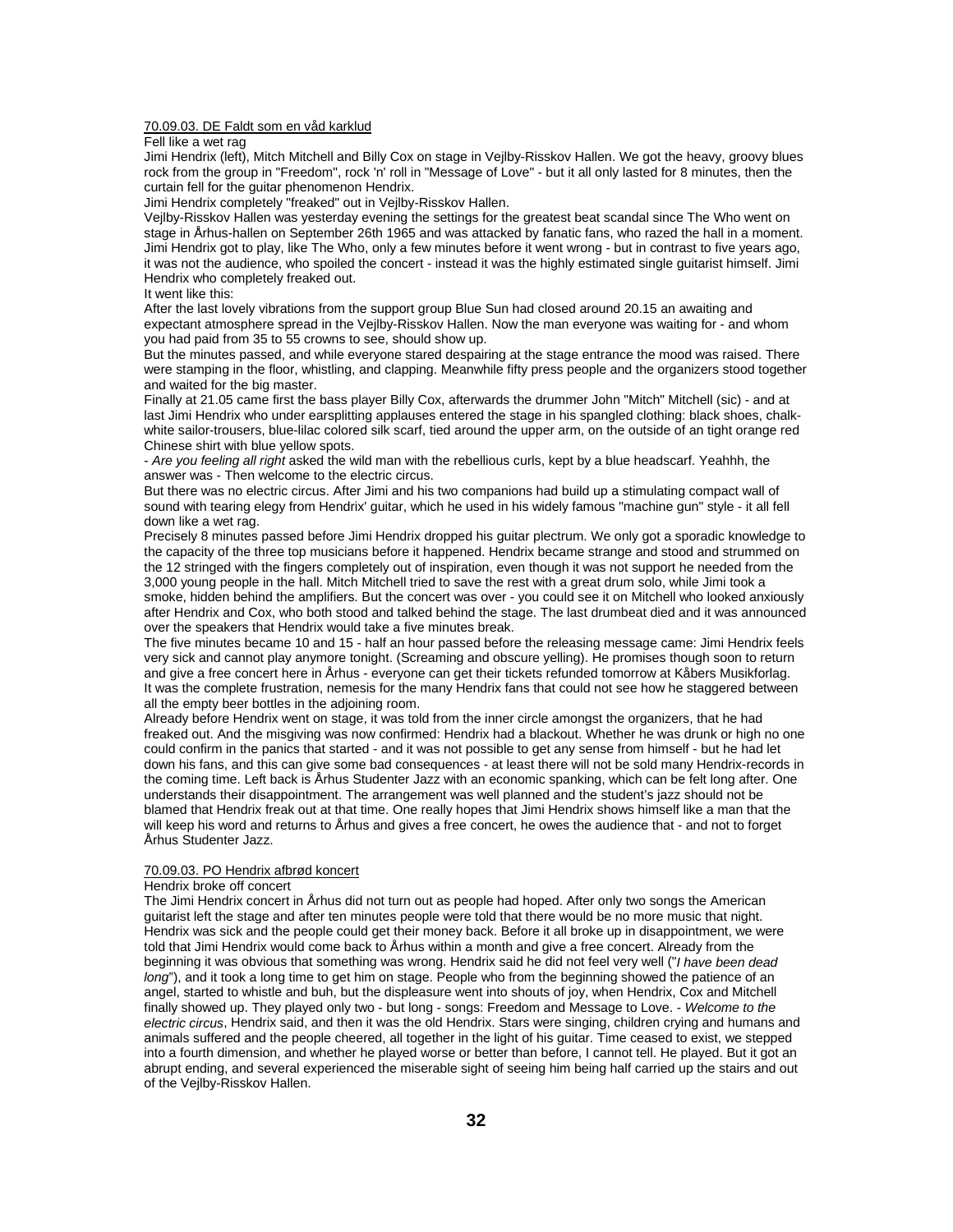## 70.09.03. DE Faldt som en våd karklud

Fell like a wet rag

Jimi Hendrix (left), Mitch Mitchell and Billy Cox on stage in Vejlby-Risskov Hallen. We got the heavy, groovy blues rock from the group in "Freedom", rock 'n' roll in "Message of Love" - but it all only lasted for 8 minutes, then the curtain fell for the guitar phenomenon Hendrix.

Jimi Hendrix completely "freaked" out in Vejlby-Risskov Hallen.

Vejlby-Risskov Hallen was yesterday evening the settings for the greatest beat scandal since The Who went on stage in Århus-hallen on September 26th 1965 and was attacked by fanatic fans, who razed the hall in a moment. Jimi Hendrix got to play, like The Who, only a few minutes before it went wrong - but in contrast to five years ago, it was not the audience, who spoiled the concert - instead it was the highly estimated single guitarist himself. Jimi Hendrix who completely freaked out.

#### It went like this:

After the last lovely vibrations from the support group Blue Sun had closed around 20.15 an awaiting and expectant atmosphere spread in the Vejlby-Risskov Hallen. Now the man everyone was waiting for - and whom you had paid from 35 to 55 crowns to see, should show up.

But the minutes passed, and while everyone stared despairing at the stage entrance the mood was raised. There were stamping in the floor, whistling, and clapping. Meanwhile fifty press people and the organizers stood together and waited for the big master.

Finally at 21.05 came first the bass player Billy Cox, afterwards the drummer John "Mitch" Mitchell (sic) - and at last Jimi Hendrix who under earsplitting applauses entered the stage in his spangled clothing: black shoes, chalkwhite sailor-trousers, blue-lilac colored silk scarf, tied around the upper arm, on the outside of an tight orange red Chinese shirt with blue yellow spots.

- *Are you feeling all right* asked the wild man with the rebellious curls, kept by a blue headscarf. Yeahhh, the answer was - Then welcome to the electric circus.

But there was no electric circus. After Jimi and his two companions had build up a stimulating compact wall of sound with tearing elegy from Hendrix' guitar, which he used in his widely famous "machine gun" style - it all fell down like a wet rag.

Precisely 8 minutes passed before Jimi Hendrix dropped his guitar plectrum. We only got a sporadic knowledge to the capacity of the three top musicians before it happened. Hendrix became strange and stood and strummed on the 12 stringed with the fingers completely out of inspiration, even though it was not support he needed from the 3,000 young people in the hall. Mitch Mitchell tried to save the rest with a great drum solo, while Jimi took a smoke, hidden behind the amplifiers. But the concert was over - you could see it on Mitchell who looked anxiously after Hendrix and Cox, who both stood and talked behind the stage. The last drumbeat died and it was announced over the speakers that Hendrix would take a five minutes break.

The five minutes became 10 and 15 - half an hour passed before the releasing message came: Jimi Hendrix feels very sick and cannot play anymore tonight. (Screaming and obscure yelling). He promises though soon to return and give a free concert here in Århus - everyone can get their tickets refunded tomorrow at Kåbers Musikforlag. It was the complete frustration, nemesis for the many Hendrix fans that could not see how he staggered between all the empty beer bottles in the adjoining room.

Already before Hendrix went on stage, it was told from the inner circle amongst the organizers, that he had freaked out. And the misgiving was now confirmed: Hendrix had a blackout. Whether he was drunk or high no one could confirm in the panics that started - and it was not possible to get any sense from himself - but he had let down his fans, and this can give some bad consequences - at least there will not be sold many Hendrix-records in the coming time. Left back is Århus Studenter Jazz with an economic spanking, which can be felt long after. One understands their disappointment. The arrangement was well planned and the student's jazz should not be blamed that Hendrix freak out at that time. One really hopes that Jimi Hendrix shows himself like a man that the will keep his word and returns to Århus and gives a free concert, he owes the audience that - and not to forget Århus Studenter Jazz.

## 70.09.03. PO Hendrix afbrød koncert

Hendrix broke off concert

The Jimi Hendrix concert in Århus did not turn out as people had hoped. After only two songs the American guitarist left the stage and after ten minutes people were told that there would be no more music that night. Hendrix was sick and the people could get their money back. Before it all broke up in disappointment, we were told that Jimi Hendrix would come back to Århus within a month and give a free concert. Already from the beginning it was obvious that something was wrong. Hendrix said he did not feel very well ("*I have been dead long*"), and it took a long time to get him on stage. People who from the beginning showed the patience of an angel, started to whistle and buh, but the displeasure went into shouts of joy, when Hendrix, Cox and Mitchell finally showed up. They played only two - but long - songs: Freedom and Message to Love. - *Welcome to the electric circus*, Hendrix said, and then it was the old Hendrix. Stars were singing, children crying and humans and animals suffered and the people cheered, all together in the light of his guitar. Time ceased to exist, we stepped into a fourth dimension, and whether he played worse or better than before, I cannot tell. He played. But it got an abrupt ending, and several experienced the miserable sight of seeing him being half carried up the stairs and out of the Vejlby-Risskov Hallen.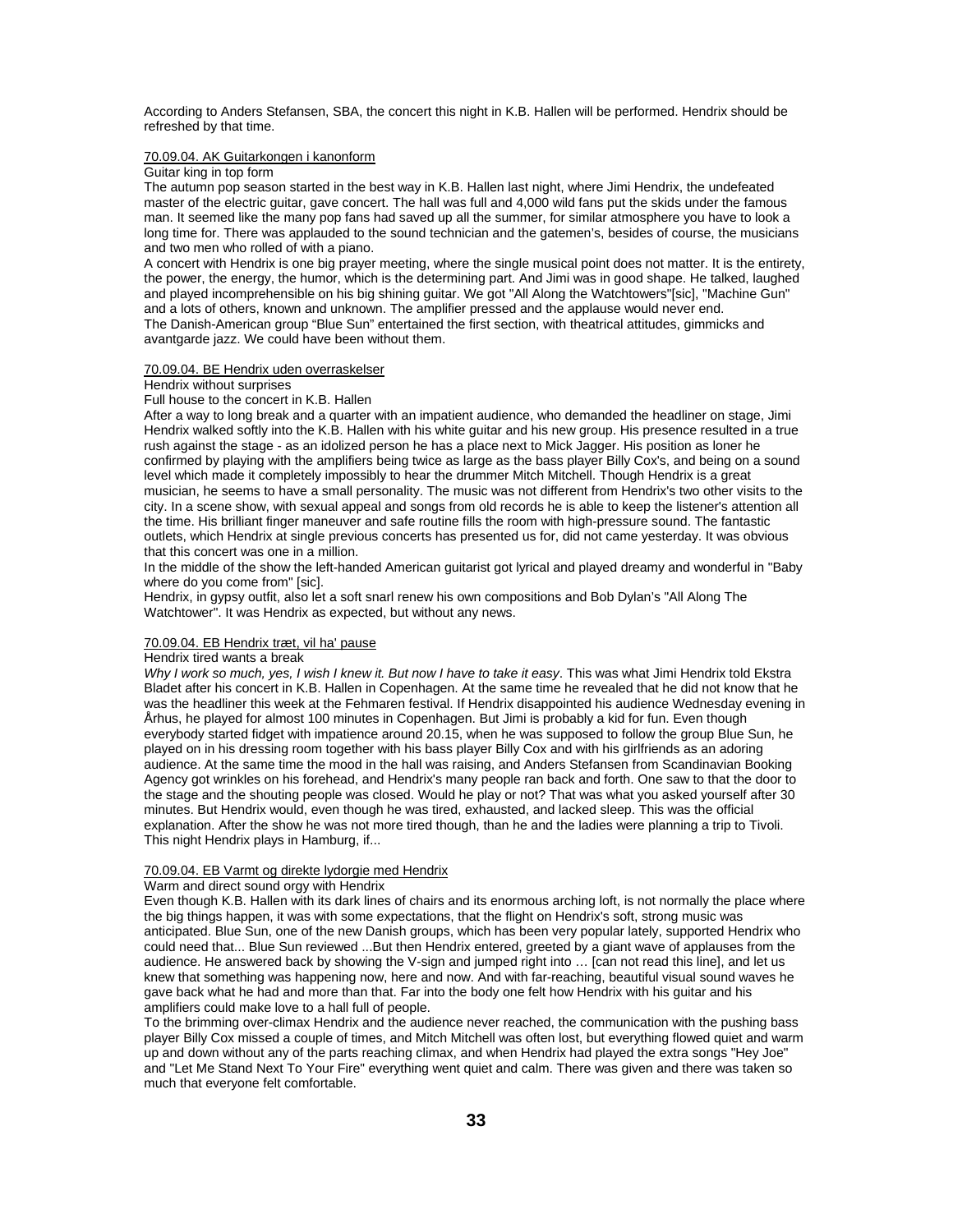According to Anders Stefansen, SBA, the concert this night in K.B. Hallen will be performed. Hendrix should be refreshed by that time.

## 70.09.04. AK Guitarkongen i kanonform

Guitar king in top form

The autumn pop season started in the best way in K.B. Hallen last night, where Jimi Hendrix, the undefeated master of the electric guitar, gave concert. The hall was full and 4,000 wild fans put the skids under the famous man. It seemed like the many pop fans had saved up all the summer, for similar atmosphere you have to look a long time for. There was applauded to the sound technician and the gatemen's, besides of course, the musicians and two men who rolled of with a piano.

A concert with Hendrix is one big prayer meeting, where the single musical point does not matter. It is the entirety, the power, the energy, the humor, which is the determining part. And Jimi was in good shape. He talked, laughed and played incomprehensible on his big shining guitar. We got "All Along the Watchtowers"[sic], "Machine Gun" and a lots of others, known and unknown. The amplifier pressed and the applause would never end. The Danish-American group "Blue Sun" entertained the first section, with theatrical attitudes, gimmicks and avantgarde jazz. We could have been without them.

#### 70.09.04. BE Hendrix uden overraskelser

Hendrix without surprises

Full house to the concert in K.B. Hallen

After a way to long break and a quarter with an impatient audience, who demanded the headliner on stage, Jimi Hendrix walked softly into the K.B. Hallen with his white guitar and his new group. His presence resulted in a true rush against the stage - as an idolized person he has a place next to Mick Jagger. His position as loner he confirmed by playing with the amplifiers being twice as large as the bass player Billy Cox's, and being on a sound level which made it completely impossibly to hear the drummer Mitch Mitchell. Though Hendrix is a great musician, he seems to have a small personality. The music was not different from Hendrix's two other visits to the city. In a scene show, with sexual appeal and songs from old records he is able to keep the listener's attention all the time. His brilliant finger maneuver and safe routine fills the room with high-pressure sound. The fantastic outlets, which Hendrix at single previous concerts has presented us for, did not came yesterday. It was obvious that this concert was one in a million.

In the middle of the show the left-handed American guitarist got lyrical and played dreamy and wonderful in "Baby where do you come from" [sic].

Hendrix, in gypsy outfit, also let a soft snarl renew his own compositions and Bob Dylan's "All Along The Watchtower". It was Hendrix as expected, but without any news.

#### 70.09.04. EB Hendrix træt, vil ha' pause

## Hendrix tired wants a break

*Why I work so much, yes, I wish I knew it. But now I have to take it easy*. This was what Jimi Hendrix told Ekstra Bladet after his concert in K.B. Hallen in Copenhagen. At the same time he revealed that he did not know that he was the headliner this week at the Fehmaren festival. If Hendrix disappointed his audience Wednesday evening in Århus, he played for almost 100 minutes in Copenhagen. But Jimi is probably a kid for fun. Even though everybody started fidget with impatience around 20.15, when he was supposed to follow the group Blue Sun, he played on in his dressing room together with his bass player Billy Cox and with his girlfriends as an adoring audience. At the same time the mood in the hall was raising, and Anders Stefansen from Scandinavian Booking Agency got wrinkles on his forehead, and Hendrix's many people ran back and forth. One saw to that the door to the stage and the shouting people was closed. Would he play or not? That was what you asked yourself after 30 minutes. But Hendrix would, even though he was tired, exhausted, and lacked sleep. This was the official explanation. After the show he was not more tired though, than he and the ladies were planning a trip to Tivoli. This night Hendrix plays in Hamburg, if...

## 70.09.04. EB Varmt og direkte lydorgie med Hendrix

Warm and direct sound orgy with Hendrix

Even though K.B. Hallen with its dark lines of chairs and its enormous arching loft, is not normally the place where the big things happen, it was with some expectations, that the flight on Hendrix's soft, strong music was anticipated. Blue Sun, one of the new Danish groups, which has been very popular lately, supported Hendrix who could need that... Blue Sun reviewed ...But then Hendrix entered, greeted by a giant wave of applauses from the audience. He answered back by showing the V-sign and jumped right into … [can not read this line], and let us knew that something was happening now, here and now. And with far-reaching, beautiful visual sound waves he gave back what he had and more than that. Far into the body one felt how Hendrix with his guitar and his amplifiers could make love to a hall full of people.

To the brimming over-climax Hendrix and the audience never reached, the communication with the pushing bass player Billy Cox missed a couple of times, and Mitch Mitchell was often lost, but everything flowed quiet and warm up and down without any of the parts reaching climax, and when Hendrix had played the extra songs "Hey Joe" and "Let Me Stand Next To Your Fire" everything went quiet and calm. There was given and there was taken so much that everyone felt comfortable.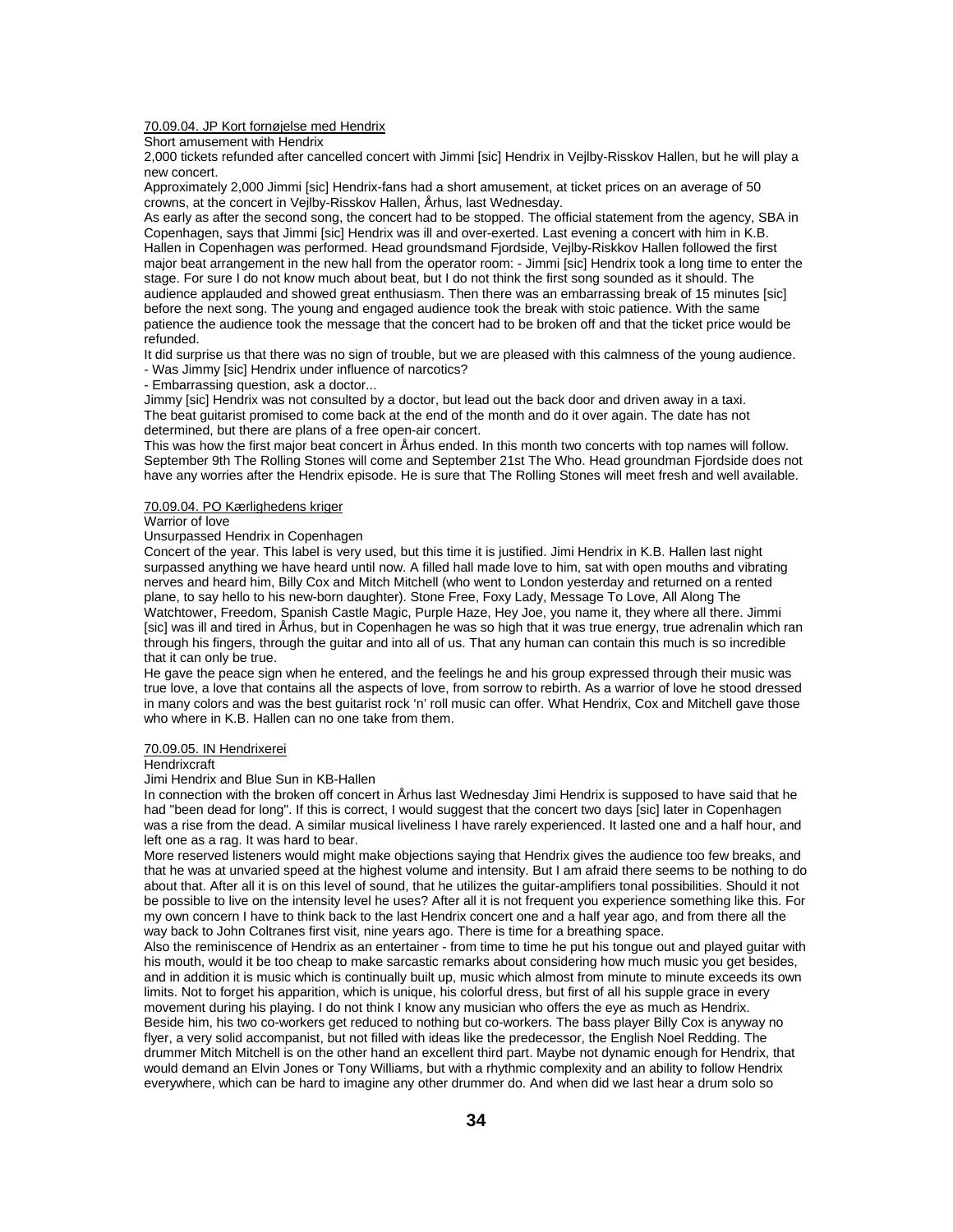70.09.04. JP Kort fornøjelse med Hendrix

Short amusement with Hendrix

2,000 tickets refunded after cancelled concert with Jimmi [sic] Hendrix in Vejlby-Risskov Hallen, but he will play a new concert.

Approximately 2,000 Jimmi [sic] Hendrix-fans had a short amusement, at ticket prices on an average of 50 crowns, at the concert in Vejlby-Risskov Hallen, Århus, last Wednesday.

As early as after the second song, the concert had to be stopped. The official statement from the agency, SBA in Copenhagen, says that Jimmi [sic] Hendrix was ill and over-exerted. Last evening a concert with him in K.B. Hallen in Copenhagen was performed. Head groundsmand Fjordside, Vejlby-Riskkov Hallen followed the first major beat arrangement in the new hall from the operator room: - Jimmi [sic] Hendrix took a long time to enter the stage. For sure I do not know much about beat, but I do not think the first song sounded as it should. The audience applauded and showed great enthusiasm. Then there was an embarrassing break of 15 minutes [sic] before the next song. The young and engaged audience took the break with stoic patience. With the same patience the audience took the message that the concert had to be broken off and that the ticket price would be refunded.

It did surprise us that there was no sign of trouble, but we are pleased with this calmness of the young audience.

- Was Jimmy [sic] Hendrix under influence of narcotics?

- Embarrassing question, ask a doctor...

Jimmy [sic] Hendrix was not consulted by a doctor, but lead out the back door and driven away in a taxi. The beat guitarist promised to come back at the end of the month and do it over again. The date has not determined, but there are plans of a free open-air concert.

This was how the first major beat concert in Århus ended. In this month two concerts with top names will follow. September 9th The Rolling Stones will come and September 21st The Who. Head groundman Fjordside does not have any worries after the Hendrix episode. He is sure that The Rolling Stones will meet fresh and well available.

## 70.09.04. PO Kærlighedens kriger

Warrior of love

Unsurpassed Hendrix in Copenhagen

Concert of the year. This label is very used, but this time it is justified. Jimi Hendrix in K.B. Hallen last night surpassed anything we have heard until now. A filled hall made love to him, sat with open mouths and vibrating nerves and heard him, Billy Cox and Mitch Mitchell (who went to London yesterday and returned on a rented plane, to say hello to his new-born daughter). Stone Free, Foxy Lady, Message To Love, All Along The Watchtower, Freedom, Spanish Castle Magic, Purple Haze, Hey Joe, you name it, they where all there. Jimmi [sic] was ill and tired in Århus, but in Copenhagen he was so high that it was true energy, true adrenalin which ran through his fingers, through the guitar and into all of us. That any human can contain this much is so incredible that it can only be true.

He gave the peace sign when he entered, and the feelings he and his group expressed through their music was true love, a love that contains all the aspects of love, from sorrow to rebirth. As a warrior of love he stood dressed in many colors and was the best guitarist rock 'n' roll music can offer. What Hendrix, Cox and Mitchell gave those who where in K.B. Hallen can no one take from them.

#### 70.09.05. IN Hendrixerei

**Hendrixcraft** 

Jimi Hendrix and Blue Sun in KB-Hallen

In connection with the broken off concert in Århus last Wednesday Jimi Hendrix is supposed to have said that he had "been dead for long". If this is correct, I would suggest that the concert two days [sic] later in Copenhagen was a rise from the dead. A similar musical liveliness I have rarely experienced. It lasted one and a half hour, and left one as a rag. It was hard to bear.

More reserved listeners would might make objections saying that Hendrix gives the audience too few breaks, and that he was at unvaried speed at the highest volume and intensity. But I am afraid there seems to be nothing to do about that. After all it is on this level of sound, that he utilizes the guitar-amplifiers tonal possibilities. Should it not be possible to live on the intensity level he uses? After all it is not frequent you experience something like this. For my own concern I have to think back to the last Hendrix concert one and a half year ago, and from there all the way back to John Coltranes first visit, nine years ago. There is time for a breathing space.

Also the reminiscence of Hendrix as an entertainer - from time to time he put his tongue out and played guitar with his mouth, would it be too cheap to make sarcastic remarks about considering how much music you get besides, and in addition it is music which is continually built up, music which almost from minute to minute exceeds its own limits. Not to forget his apparition, which is unique, his colorful dress, but first of all his supple grace in every movement during his playing. I do not think I know any musician who offers the eye as much as Hendrix. Beside him, his two co-workers get reduced to nothing but co-workers. The bass player Billy Cox is anyway no flyer, a very solid accompanist, but not filled with ideas like the predecessor, the English Noel Redding. The drummer Mitch Mitchell is on the other hand an excellent third part. Maybe not dynamic enough for Hendrix, that would demand an Elvin Jones or Tony Williams, but with a rhythmic complexity and an ability to follow Hendrix everywhere, which can be hard to imagine any other drummer do. And when did we last hear a drum solo so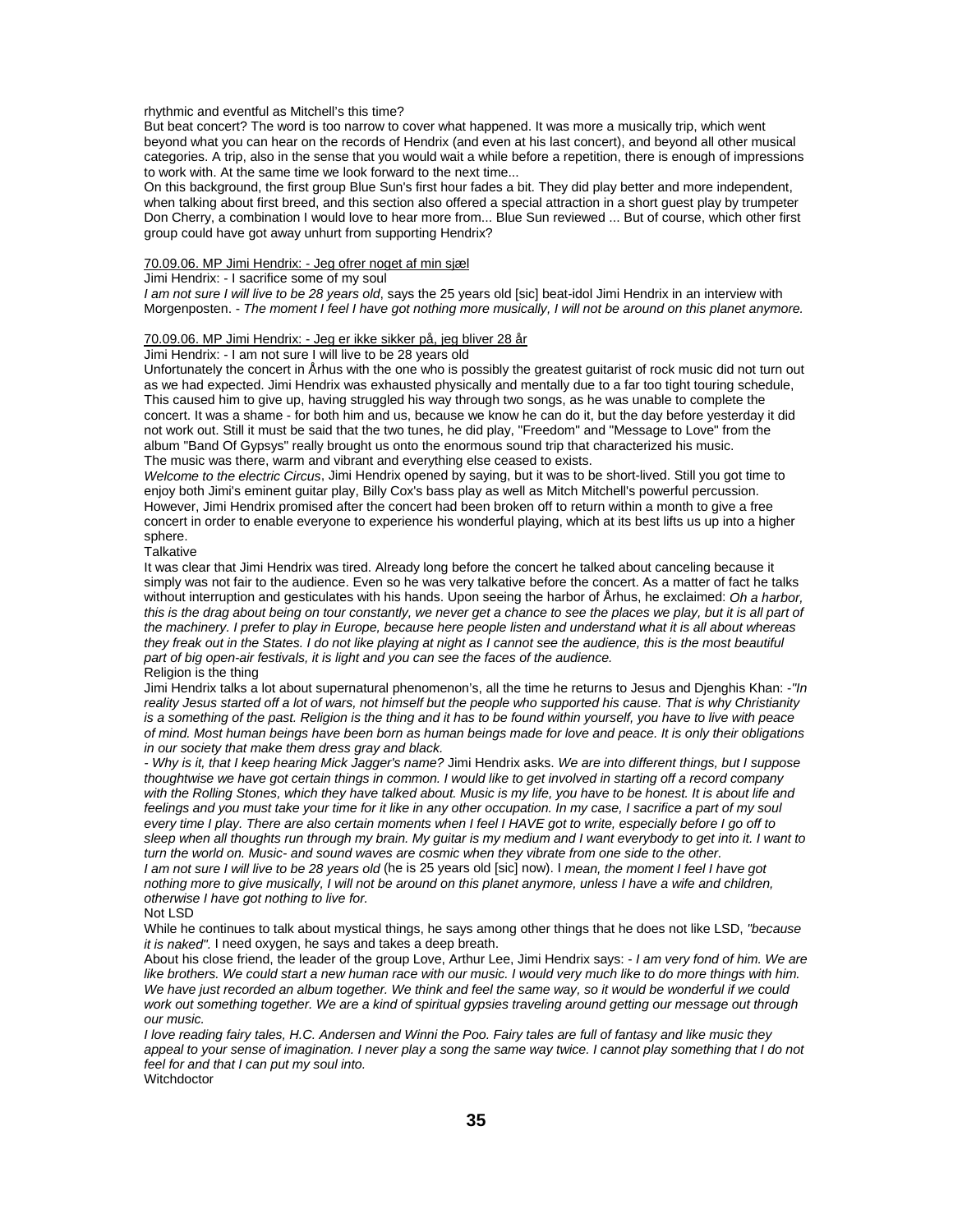## rhythmic and eventful as Mitchell's this time?

But beat concert? The word is too narrow to cover what happened. It was more a musically trip, which went beyond what you can hear on the records of Hendrix (and even at his last concert), and beyond all other musical categories. A trip, also in the sense that you would wait a while before a repetition, there is enough of impressions to work with. At the same time we look forward to the next time...

On this background, the first group Blue Sun's first hour fades a bit. They did play better and more independent, when talking about first breed, and this section also offered a special attraction in a short guest play by trumpeter Don Cherry, a combination I would love to hear more from... Blue Sun reviewed ... But of course, which other first group could have got away unhurt from supporting Hendrix?

## 70.09.06. MP Jimi Hendrix: - Jeg ofrer noget af min sjæl

## Jimi Hendrix: - I sacrifice some of my soul

*I am not sure I will live to be 28 years old*, says the 25 years old [sic] beat-idol Jimi Hendrix in an interview with Morgenposten. - *The moment I feel I have got nothing more musically, I will not be around on this planet anymore.* 

## 70.09.06. MP Jimi Hendrix: - Jeg er ikke sikker på, jeg bliver 28 år

Jimi Hendrix: - I am not sure I will live to be 28 years old

Unfortunately the concert in Århus with the one who is possibly the greatest guitarist of rock music did not turn out as we had expected. Jimi Hendrix was exhausted physically and mentally due to a far too tight touring schedule, This caused him to give up, having struggled his way through two songs, as he was unable to complete the concert. It was a shame - for both him and us, because we know he can do it, but the day before yesterday it did not work out. Still it must be said that the two tunes, he did play, "Freedom" and "Message to Love" from the album "Band Of Gypsys" really brought us onto the enormous sound trip that characterized his music. The music was there, warm and vibrant and everything else ceased to exists.

*Welcome to the electric Circus*, Jimi Hendrix opened by saying, but it was to be short-lived. Still you got time to enjoy both Jimi's eminent guitar play, Billy Cox's bass play as well as Mitch Mitchell's powerful percussion. However, Jimi Hendrix promised after the concert had been broken off to return within a month to give a free concert in order to enable everyone to experience his wonderful playing, which at its best lifts us up into a higher sphere.

#### **Talkative**

It was clear that Jimi Hendrix was tired. Already long before the concert he talked about canceling because it simply was not fair to the audience. Even so he was very talkative before the concert. As a matter of fact he talks without interruption and gesticulates with his hands. Upon seeing the harbor of Århus, he exclaimed: *Oh a harbor, this is the drag about being on tour constantly, we never get a chance to see the places we play, but it is all part of the machinery. I prefer to play in Europe, because here people listen and understand what it is all about whereas*  they freak out in the States. I do not like playing at night as I cannot see the audience, this is the most beautiful *part of big open-air festivals, it is light and you can see the faces of the audience.*  Religion is the thing

## Jimi Hendrix talks a lot about supernatural phenomenon's, all the time he returns to Jesus and Djenghis Khan: -*"In reality Jesus started off a lot of wars, not himself but the people who supported his cause. That is why Christianity is a something of the past. Religion is the thing and it has to be found within yourself, you have to live with peace of mind. Most human beings have been born as human beings made for love and peace. It is only their obligations in our society that make them dress gray and black.*

*- Why is it, that I keep hearing Mick Jagger's name?* Jimi Hendrix asks. *We are into different things, but I suppose thoughtwise we have got certain things in common. I would like to get involved in starting off a record company*  with the Rolling Stones, which they have talked about. Music is my life, you have to be honest. It is about life and *feelings and you must take your time for it like in any other occupation. In my case, I sacrifice a part of my soul every time I play. There are also certain moments when I feel I HAVE got to write, especially before I go off to sleep when all thoughts run through my brain. My guitar is my medium and I want everybody to get into it. I want to turn the world on. Music- and sound waves are cosmic when they vibrate from one side to the other. I am not sure I will live to be 28 years old* (he is 25 years old [sic] now). I *mean, the moment I feel I have got nothing more to give musically, I will not be around on this planet anymore, unless I have a wife and children, otherwise I have got nothing to live for.* 

#### Not LSD

While he continues to talk about mystical things, he says among other things that he does not like LSD, *"because it is naked".* I need oxygen, he says and takes a deep breath.

About his close friend, the leader of the group Love, Arthur Lee, Jimi Hendrix says: - *I am very fond of him. We are like brothers. We could start a new human race with our music. I would very much like to do more things with him. We have just recorded an album together. We think and feel the same way, so it would be wonderful if we could work out something together. We are a kind of spiritual gypsies traveling around getting our message out through our music.* 

*I love reading fairy tales, H.C. Andersen and Winni the Poo. Fairy tales are full of fantasy and like music they*  appeal to your sense of imagination. I never play a song the same way twice. I cannot play something that I do not *feel for and that I can put my soul into.* 

Witchdoctor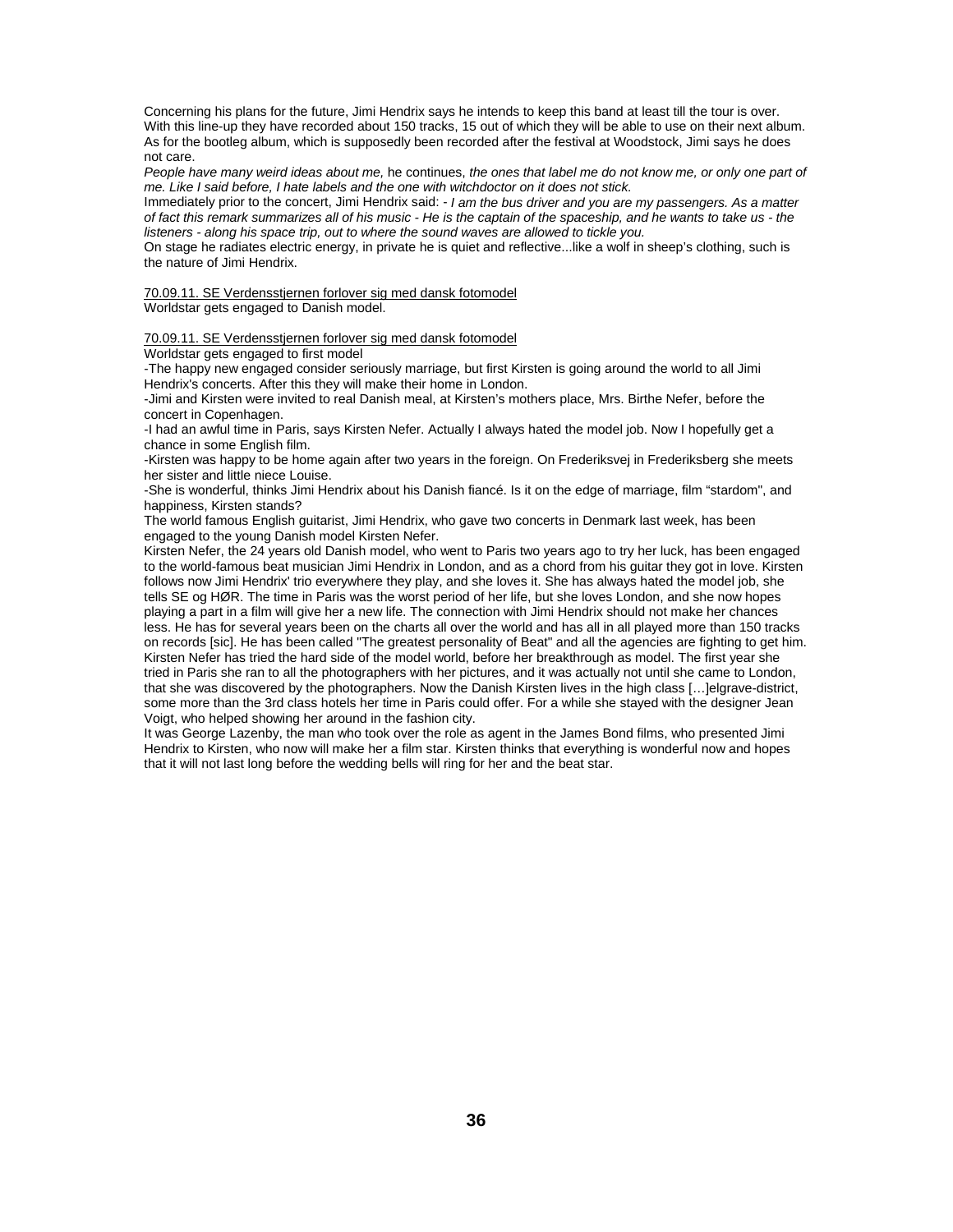Concerning his plans for the future, Jimi Hendrix says he intends to keep this band at least till the tour is over. With this line-up they have recorded about 150 tracks, 15 out of which they will be able to use on their next album. As for the bootleg album, which is supposedly been recorded after the festival at Woodstock, Jimi says he does not care.

*People have many weird ideas about me,* he continues, *the ones that label me do not know me, or only one part of me. Like I said before, I hate labels and the one with witchdoctor on it does not stick.* 

Immediately prior to the concert, Jimi Hendrix said: - *I am the bus driver and you are my passengers. As a matter of fact this remark summarizes all of his music - He is the captain of the spaceship, and he wants to take us - the listeners - along his space trip, out to where the sound waves are allowed to tickle you.* 

On stage he radiates electric energy, in private he is quiet and reflective...like a wolf in sheep's clothing, such is the nature of Jimi Hendrix.

70.09.11. SE Verdensstjernen forlover sig med dansk fotomodel Worldstar gets engaged to Danish model.

70.09.11. SE Verdensstjernen forlover sig med dansk fotomodel

Worldstar gets engaged to first model

-The happy new engaged consider seriously marriage, but first Kirsten is going around the world to all Jimi Hendrix's concerts. After this they will make their home in London.

-Jimi and Kirsten were invited to real Danish meal, at Kirsten's mothers place, Mrs. Birthe Nefer, before the concert in Copenhagen.

-I had an awful time in Paris, says Kirsten Nefer. Actually I always hated the model job. Now I hopefully get a chance in some English film.

-Kirsten was happy to be home again after two years in the foreign. On Frederiksvej in Frederiksberg she meets her sister and little niece Louise.

-She is wonderful, thinks Jimi Hendrix about his Danish fiancé. Is it on the edge of marriage, film "stardom", and happiness, Kirsten stands?

The world famous English guitarist, Jimi Hendrix, who gave two concerts in Denmark last week, has been engaged to the young Danish model Kirsten Nefer.

Kirsten Nefer, the 24 years old Danish model, who went to Paris two years ago to try her luck, has been engaged to the world-famous beat musician Jimi Hendrix in London, and as a chord from his guitar they got in love. Kirsten follows now Jimi Hendrix' trio everywhere they play, and she loves it. She has always hated the model job, she tells SE og HØR. The time in Paris was the worst period of her life, but she loves London, and she now hopes playing a part in a film will give her a new life. The connection with Jimi Hendrix should not make her chances less. He has for several years been on the charts all over the world and has all in all played more than 150 tracks on records [sic]. He has been called "The greatest personality of Beat" and all the agencies are fighting to get him. Kirsten Nefer has tried the hard side of the model world, before her breakthrough as model. The first year she tried in Paris she ran to all the photographers with her pictures, and it was actually not until she came to London, that she was discovered by the photographers. Now the Danish Kirsten lives in the high class […]elgrave-district, some more than the 3rd class hotels her time in Paris could offer. For a while she stayed with the designer Jean Voigt, who helped showing her around in the fashion city.

It was George Lazenby, the man who took over the role as agent in the James Bond films, who presented Jimi Hendrix to Kirsten, who now will make her a film star. Kirsten thinks that everything is wonderful now and hopes that it will not last long before the wedding bells will ring for her and the beat star.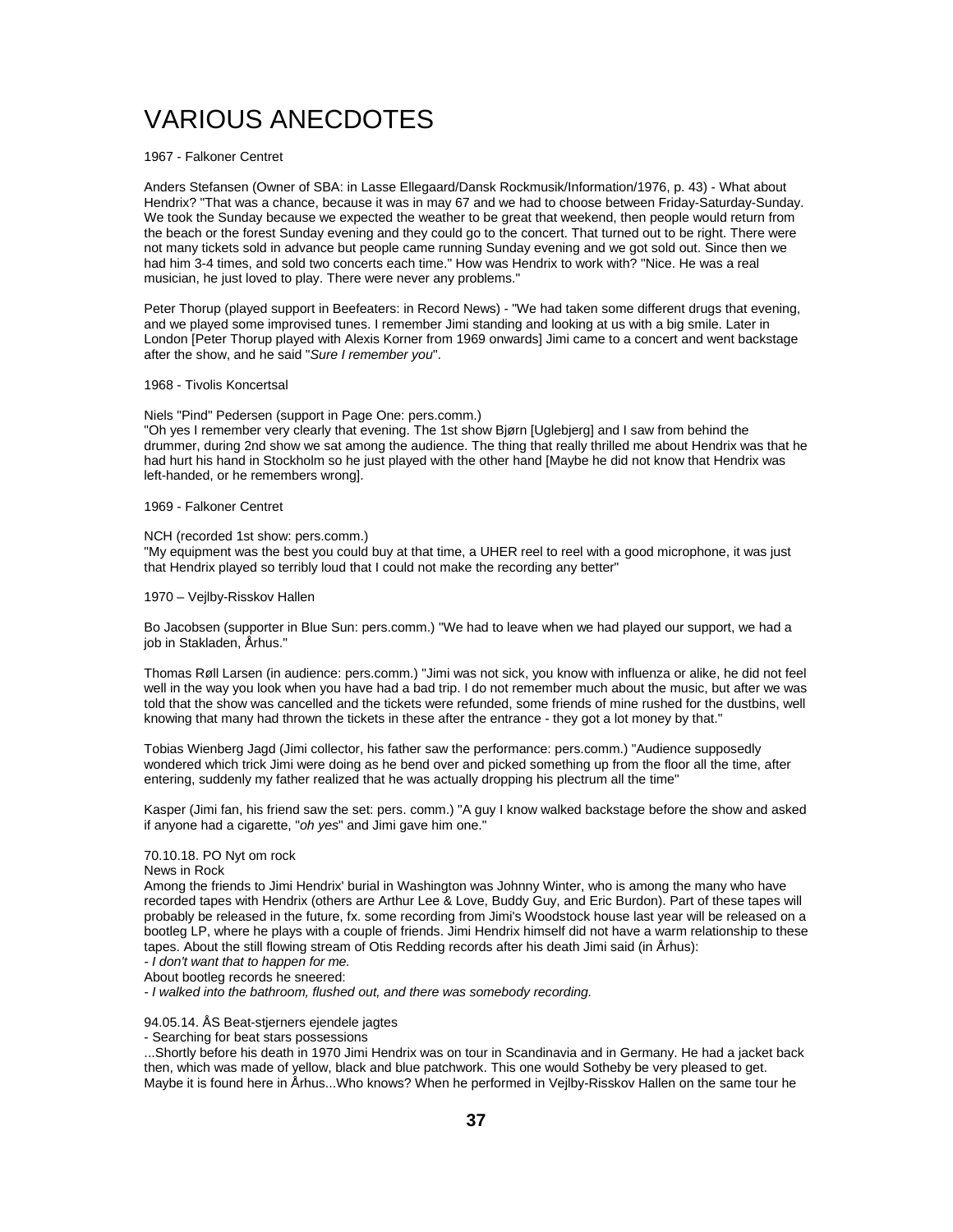# VARIOUS ANECDOTES

## 1967 - Falkoner Centret

Anders Stefansen (Owner of SBA: in Lasse Ellegaard/Dansk Rockmusik/Information/1976, p. 43) - What about Hendrix? "That was a chance, because it was in may 67 and we had to choose between Friday-Saturday-Sunday. We took the Sunday because we expected the weather to be great that weekend, then people would return from the beach or the forest Sunday evening and they could go to the concert. That turned out to be right. There were not many tickets sold in advance but people came running Sunday evening and we got sold out. Since then we had him 3-4 times, and sold two concerts each time." How was Hendrix to work with? "Nice. He was a real musician, he just loved to play. There were never any problems."

Peter Thorup (played support in Beefeaters: in Record News) - "We had taken some different drugs that evening, and we played some improvised tunes. I remember Jimi standing and looking at us with a big smile. Later in London [Peter Thorup played with Alexis Korner from 1969 onwards] Jimi came to a concert and went backstage after the show, and he said "*Sure I remember you*".

#### 1968 - Tivolis Koncertsal

#### Niels "Pind" Pedersen (support in Page One: pers.comm.)

"Oh yes I remember very clearly that evening. The 1st show Bjørn [Uglebjerg] and I saw from behind the drummer, during 2nd show we sat among the audience. The thing that really thrilled me about Hendrix was that he had hurt his hand in Stockholm so he just played with the other hand [Maybe he did not know that Hendrix was left-handed, or he remembers wrong].

## 1969 - Falkoner Centret

#### NCH (recorded 1st show: pers.comm.)

"My equipment was the best you could buy at that time, a UHER reel to reel with a good microphone, it was just that Hendrix played so terribly loud that I could not make the recording any better"

### 1970 – Vejlby-Risskov Hallen

Bo Jacobsen (supporter in Blue Sun: pers.comm.) "We had to leave when we had played our support, we had a job in Stakladen, Århus."

Thomas Røll Larsen (in audience: pers.comm.) "Jimi was not sick, you know with influenza or alike, he did not feel well in the way you look when you have had a bad trip. I do not remember much about the music, but after we was told that the show was cancelled and the tickets were refunded, some friends of mine rushed for the dustbins, well knowing that many had thrown the tickets in these after the entrance - they got a lot money by that."

Tobias Wienberg Jagd (Jimi collector, his father saw the performance: pers.comm.) "Audience supposedly wondered which trick Jimi were doing as he bend over and picked something up from the floor all the time, after entering, suddenly my father realized that he was actually dropping his plectrum all the time"

Kasper (Jimi fan, his friend saw the set: pers. comm.) "A guy I know walked backstage before the show and asked if anyone had a cigarette, "*oh yes*" and Jimi gave him one."

#### 70.10.18. PO Nyt om rock

## News in Rock

Among the friends to Jimi Hendrix' burial in Washington was Johnny Winter, who is among the many who have recorded tapes with Hendrix (others are Arthur Lee & Love, Buddy Guy, and Eric Burdon). Part of these tapes will probably be released in the future, fx. some recording from Jimi's Woodstock house last year will be released on a bootleg LP, where he plays with a couple of friends. Jimi Hendrix himself did not have a warm relationship to these tapes. About the still flowing stream of Otis Redding records after his death Jimi said (in Århus):

*- I don't want that to happen for me.* 

About bootleg records he sneered:

*- I walked into the bathroom, flushed out, and there was somebody recording.* 

94.05.14. ÅS Beat-stjerners ejendele jagtes

- Searching for beat stars possessions

...Shortly before his death in 1970 Jimi Hendrix was on tour in Scandinavia and in Germany. He had a jacket back then, which was made of yellow, black and blue patchwork. This one would Sotheby be very pleased to get. Maybe it is found here in Århus...Who knows? When he performed in Vejlby-Risskov Hallen on the same tour he